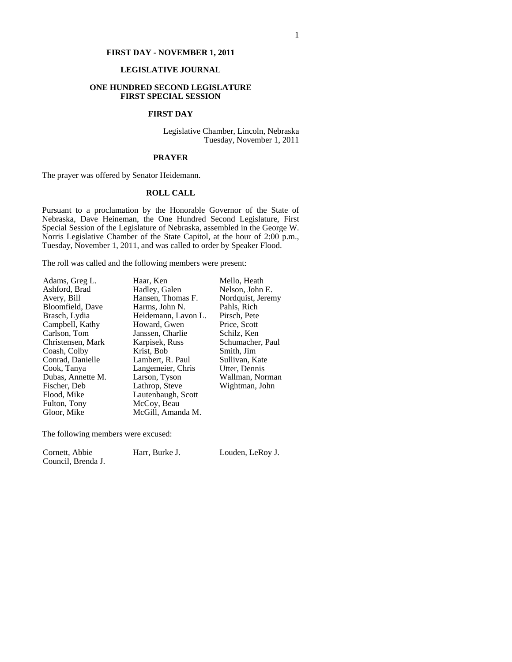### **FIRST DAY - NOVEMBER 1, 2011**

### **LEGISLATIVE JOURNAL**

## **ONE HUNDRED SECOND LEGISLATURE FIRST SPECIAL SESSION**

#### **FIRST DAY**

Legislative Chamber, Lincoln, Nebraska Tuesday, November 1, 2011

#### **PRAYER**

The prayer was offered by Senator Heidemann.

# **ROLL CALL**

Pursuant to a proclamation by the Honorable Governor of the State of Nebraska, Dave Heineman, the One Hundred Second Legislature, First Special Session of the Legislature of Nebraska, assembled in the George W. Norris Legislative Chamber of the State Capitol, at the hour of 2:00 p.m., Tuesday, November 1, 2011, and was called to order by Speaker Flood.

The roll was called and the following members were present:

| Adams, Greg L.    | Haar, Ken           | Mello, Heath      |
|-------------------|---------------------|-------------------|
| Ashford, Brad     | Hadley, Galen       | Nelson, John E.   |
| Avery, Bill       | Hansen, Thomas F.   | Nordquist, Jeremy |
| Bloomfield, Dave  | Harms, John N.      | Pahls, Rich       |
| Brasch, Lydia     | Heidemann, Lavon L. | Pirsch, Pete      |
| Campbell, Kathy   | Howard, Gwen        | Price, Scott      |
| Carlson, Tom      | Janssen, Charlie    | Schilz, Ken       |
| Christensen, Mark | Karpisek, Russ      | Schumacher, Paul  |
| Coash, Colby      | Krist, Bob          | Smith, Jim        |
| Conrad, Danielle  | Lambert, R. Paul    | Sullivan, Kate    |
| Cook, Tanya       | Langemeier, Chris   | Utter, Dennis     |
| Dubas, Annette M. | Larson, Tyson       | Wallman, Norman   |
| Fischer, Deb      | Lathrop, Steve      | Wightman, John    |
| Flood, Mike       | Lautenbaugh, Scott  |                   |
| Fulton, Tony      | McCoy, Beau         |                   |
| Gloor, Mike       | McGill, Amanda M.   |                   |

The following members were excused:

| Cornett, Abbie     | Harr, Burke J. | Louden, LeRoy J. |
|--------------------|----------------|------------------|
| Council, Brenda J. |                |                  |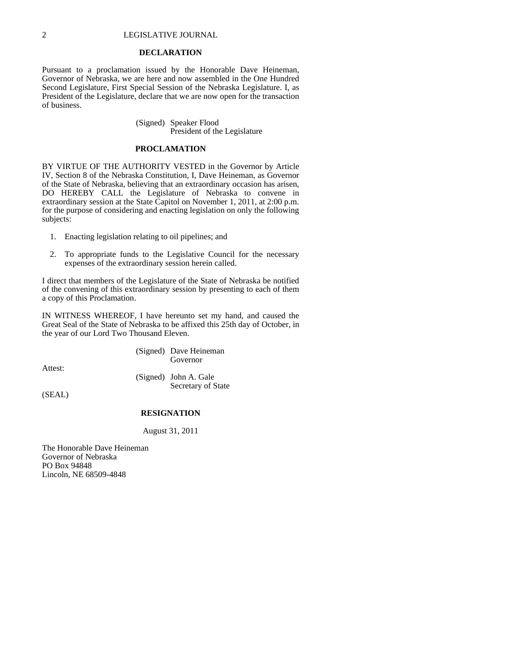### **DECLARATION**

Pursuant to a proclamation issued by the Honorable Dave Heineman, Governor of Nebraska, we are here and now assembled in the One Hundred Second Legislature, First Special Session of the Nebraska Legislature. I, as President of the Legislature, declare that we are now open for the transaction of business.

> (Signed) Speaker Flood President of the Legislature

## **PROCLAMATION**

BY VIRTUE OF THE AUTHORITY VESTED in the Governor by Article IV, Section 8 of the Nebraska Constitution, I, Dave Heineman, as Governor of the State of Nebraska, believing that an extraordinary occasion has arisen, DO HEREBY CALL the Legislature of Nebraska to convene in extraordinary session at the State Capitol on November 1, 2011, at 2:00 p.m. for the purpose of considering and enacting legislation on only the following subjects:

- 1. Enacting legislation relating to oil pipelines; and
- 2. To appropriate funds to the Legislative Council for the necessary expenses of the extraordinary session herein called.

I direct that members of the Legislature of the State of Nebraska be notified of the convening of this extraordinary session by presenting to each of them a copy of this Proclamation.

IN WITNESS WHEREOF, I have hereunto set my hand, and caused the Great Seal of the State of Nebraska to be affixed this 25th day of October, in the year of our Lord Two Thousand Eleven.

> (Signed) Dave Heineman Governor

Attest:

 (Signed) John A. Gale Secretary of State

(SEAL)

## **RESIGNATION**

August 31, 2011

The Honorable Dave Heineman Governor of Nebraska PO Box 94848 Lincoln, NE 68509-4848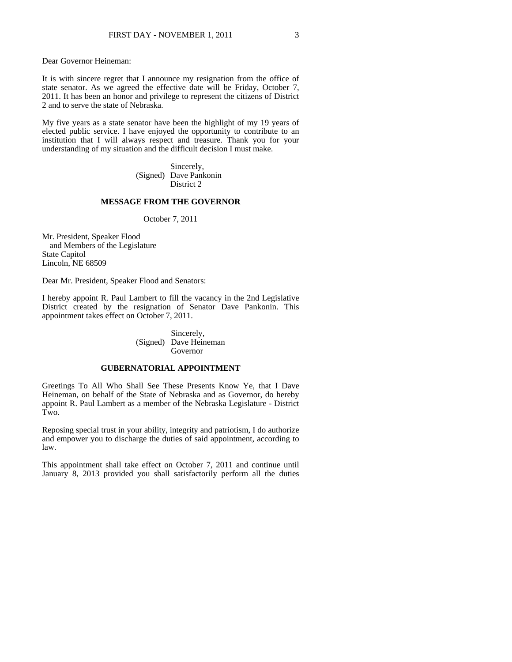Dear Governor Heineman:

It is with sincere regret that I announce my resignation from the office of state senator. As we agreed the effective date will be Friday, October 7, 2011. It has been an honor and privilege to represent the citizens of District 2 and to serve the state of Nebraska.

My five years as a state senator have been the highlight of my 19 years of elected public service. I have enjoyed the opportunity to contribute to an institution that I will always respect and treasure. Thank you for your understanding of my situation and the difficult decision I must make.

> Sincerely, (Signed) Dave Pankonin District 2

### **MESSAGE FROM THE GOVERNOR**

October 7, 2011

Mr. President, Speaker Flood and Members of the Legislature State Capitol Lincoln, NE 68509

Dear Mr. President, Speaker Flood and Senators:

I hereby appoint R. Paul Lambert to fill the vacancy in the 2nd Legislative District created by the resignation of Senator Dave Pankonin. This appointment takes effect on October 7, 2011.

> Sincerely, (Signed) Dave Heineman Governor

# **GUBERNATORIAL APPOINTMENT**

Greetings To All Who Shall See These Presents Know Ye, that I Dave Heineman, on behalf of the State of Nebraska and as Governor, do hereby appoint R. Paul Lambert as a member of the Nebraska Legislature - District Two.

Reposing special trust in your ability, integrity and patriotism, I do authorize and empower you to discharge the duties of said appointment, according to law.

This appointment shall take effect on October 7, 2011 and continue until January 8, 2013 provided you shall satisfactorily perform all the duties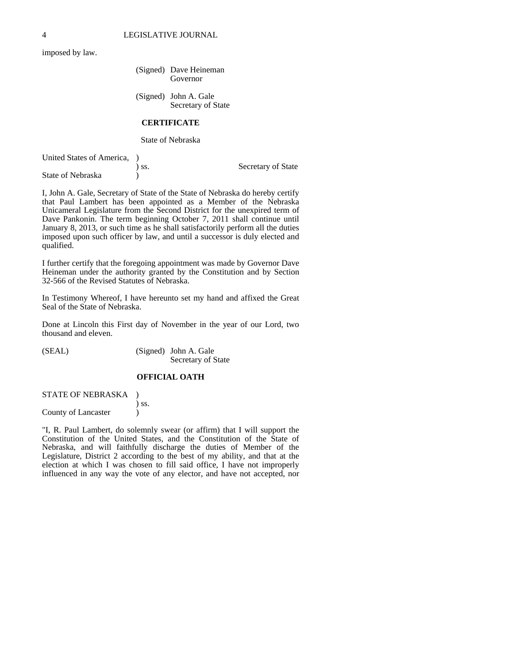imposed by law.

 (Signed) Dave Heineman Governor

 (Signed) John A. Gale Secretary of State

Secretary of State

# **CERTIFICATE**

State of Nebraska

| United States of America, |            |
|---------------------------|------------|
|                           | $\sum$ SS. |
| State of Nebraska         |            |

I, John A. Gale, Secretary of State of the State of Nebraska do hereby certify that Paul Lambert has been appointed as a Member of the Nebraska Unicameral Legislature from the Second District for the unexpired term of Dave Pankonin. The term beginning October 7, 2011 shall continue until January 8, 2013, or such time as he shall satisfactorily perform all the duties imposed upon such officer by law, and until a successor is duly elected and qualified.

I further certify that the foregoing appointment was made by Governor Dave Heineman under the authority granted by the Constitution and by Section 32-566 of the Revised Statutes of Nebraska.

In Testimony Whereof, I have hereunto set my hand and affixed the Great Seal of the State of Nebraska.

Done at Lincoln this First day of November in the year of our Lord, two thousand and eleven.

(SEAL) (Signed) John A. Gale Secretary of State

# **OFFICIAL OATH**

STATE OF NEBRASKA )

) ss.

County of Lancaster (1)

"I, R. Paul Lambert, do solemnly swear (or affirm) that I will support the Constitution of the United States, and the Constitution of the State of Nebraska, and will faithfully discharge the duties of Member of the Legislature, District 2 according to the best of my ability, and that at the election at which I was chosen to fill said office, I have not improperly influenced in any way the vote of any elector, and have not accepted, nor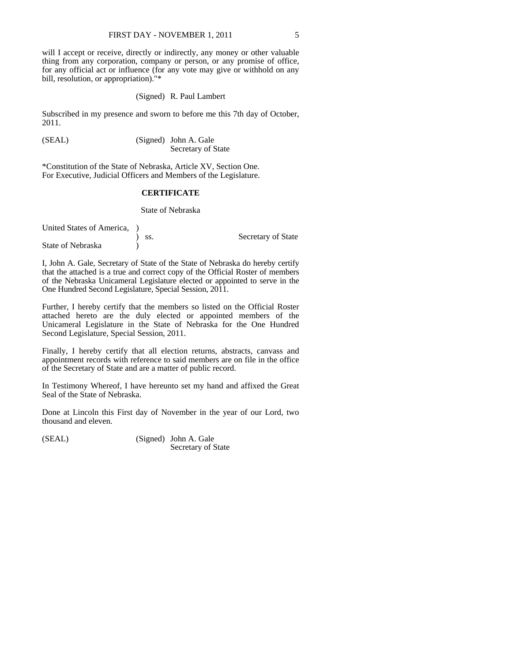will I accept or receive, directly or indirectly, any money or other valuable thing from any corporation, company or person, or any promise of office, for any official act or influence (for any vote may give or withhold on any bill, resolution, or appropriation)."\*

(Signed) R. Paul Lambert

Subscribed in my presence and sworn to before me this 7th day of October, 2011.

| (SEAL) | (Signed) John A. Gale |
|--------|-----------------------|
|        | Secretary of State    |

\*Constitution of the State of Nebraska, Article XV, Section One. For Executive, Judicial Officers and Members of the Legislature.

# **CERTIFICATE**

State of Nebraska

United States of America, ) ss.

State of Nebraska )

I, John A. Gale, Secretary of State of the State of Nebraska do hereby certify that the attached is a true and correct copy of the Official Roster of members of the Nebraska Unicameral Legislature elected or appointed to serve in the One Hundred Second Legislature, Special Session, 2011.

Further, I hereby certify that the members so listed on the Official Roster attached hereto are the duly elected or appointed members of the Unicameral Legislature in the State of Nebraska for the One Hundred Second Legislature, Special Session, 2011.

Finally, I hereby certify that all election returns, abstracts, canvass and appointment records with reference to said members are on file in the office of the Secretary of State and are a matter of public record.

In Testimony Whereof, I have hereunto set my hand and affixed the Great Seal of the State of Nebraska.

Done at Lincoln this First day of November in the year of our Lord, two thousand and eleven.

(SEAL) (Signed) John A. Gale Secretary of State

Secretary of State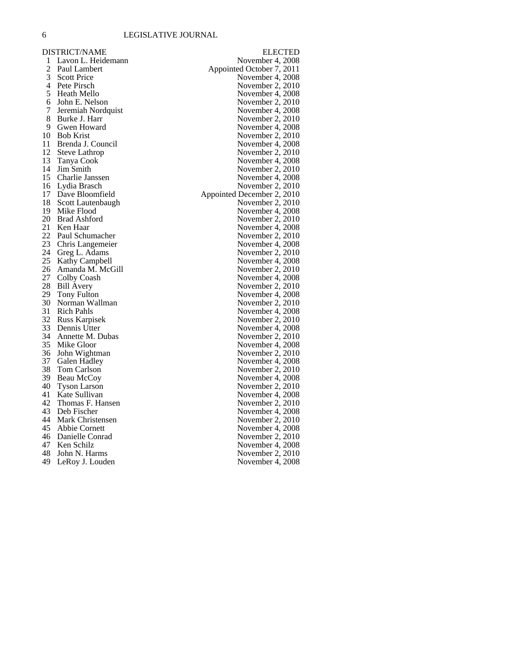DISTRICT/NAME ELECTED<br>1 Lavon L. Heidemann November 4, 2008 1 Lavon L. Heidemann<br>2 Paul Lambert 2 Paul Lambert Appointed October 7, 2011<br>3 Scott Price (Appointed October 7, 2011) 3 Scott Price November 4, 2008<br>4 Pete Pirsch November 2, 2010 4 Pete Pirsch November 2, 2010<br>5 Heath Mello November 4, 2008 November 4, 2008<br>November 2, 2010 6 John E. Nelson<br>
7 Jeremiah Nordquist<br>
7 Jeremiah Nordquist<br>
8 November 4, 2008 7 Jeremiah Nordquist<br>8 Burke J. Harr 8 Burke J. Harr (1992) 8 Burke J. Harr (1994) 8 November 2, 2010<br>
9 Gwen Howard (1996) 8 November 4, 2008 9 Gwen Howard November 4, 2008<br>10 Bob Krist November 2, 2010 November 2, 2010 11 Brenda J. Council November 4, 2008 12 Steve Lathrop November 2, 2010<br>
13 Tanya Cook November 4, 2008 13 Tanya Cook<br>14 Jim Smith November 2, 2010<br>November 4, 2008 15 Charlie Janssen<br>16 Lydia Brasch 16 Lydia Brasch November 2, 2010<br>17 Dave Bloomfield Appointed December 2, 2010 Appointed December 2, 2010 18 Scott Lautenbaugh November 2, 2010<br>
19 Mike Flood November 4, 2008 19 Mike Flood November 4, 2008<br>
20 Brad Ashford November 2, 2010 20 Brad Ashford November 2, 2010<br>
21 Ken Haar November 4, 2008 November 4, 2008<br>November 2, 2010 22 Paul Schumacher November 2, 2010<br>
23 Chris Langemeier November 4, 2008 23 Chris Langemeier November 4, 2008<br>24 Gree L. Adams November 2, 2010 24 Greg L. Adams 25 Kathy Campbell November 4, 2008<br>26 Amanda M. McGill November 2, 2010 26 Amanda M. McGill<br>27 Colby Coash 27 Colby Coash November 4, 2008<br>
28 Bill Avery November 2, 2010 28 Bill Avery November 2, 2010<br>29 Tony Fulton November 4, 2008 November 4, 2008<br>November 2, 2010 30 Norman Wallman<br>31 Rich Pahls November 4, 2008<br>November 2, 2010 32 Russ Karpisek<br>33 Dennis Utter 13 November 4, 2008<br>November 2, 2010 34 Annette M. Dubas<br>35 Mike Gloor November 4, 2008<br>November 2, 2010 36 John Wightman<br>37 Galen Hadley 37 Galen Hadley November 4, 2008<br>38 Tom Carlson November 2, 2010 November 2, 2010<br>November 4, 2008 39 Beau McCoy November 4, 2008<br>40 Tyson Larson November 2, 2010 40 Tyson Larson<br>41 Kate Sullivan November 4, 2008<br>November 2, 2010 42 Thomas F. Hansen<br>43 Deb Fischer November 4, 2008<br>November 2, 2010 44 Mark Christensen<br>45 Abbie Cornett November 4, 2008<br>November 2, 2010 46 Danielle Conrad<br>47 Ken Schilz 47 Ken Schilz November 4, 2008<br>48 John N. Harms November 2, 2010 November 2, 2010<br>November 4, 2008 49 LeRoy J. Louden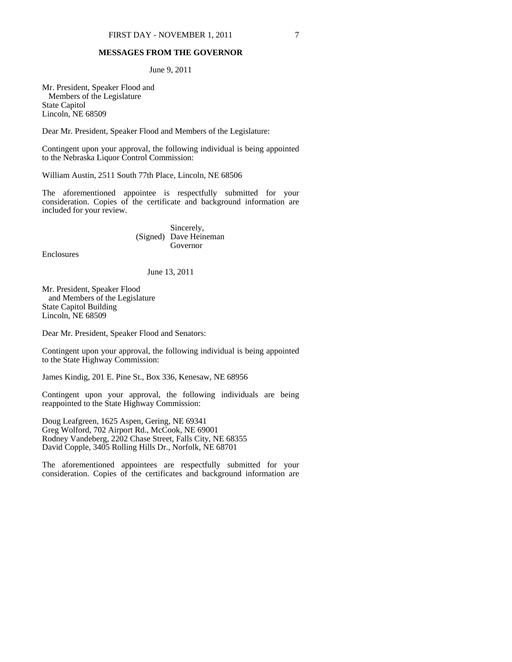#### FIRST DAY - NOVEMBER 1, 2011 7

## **MESSAGES FROM THE GOVERNOR**

June 9, 2011

Mr. President, Speaker Flood and Members of the Legislature State Capitol Lincoln, NE 68509

Dear Mr. President, Speaker Flood and Members of the Legislature:

Contingent upon your approval, the following individual is being appointed to the Nebraska Liquor Control Commission:

William Austin, 2511 South 77th Place, Lincoln, NE 68506

The aforementioned appointee is respectfully submitted for your consideration. Copies of the certificate and background information are included for your review.

> Sincerely, (Signed) Dave Heineman Governor

Enclosures

June 13, 2011

Mr. President, Speaker Flood and Members of the Legislature State Capitol Building Lincoln, NE 68509

Dear Mr. President, Speaker Flood and Senators:

Contingent upon your approval, the following individual is being appointed to the State Highway Commission:

James Kindig, 201 E. Pine St., Box 336, Kenesaw, NE 68956

Contingent upon your approval, the following individuals are being reappointed to the State Highway Commission:

Doug Leafgreen, 1625 Aspen, Gering, NE 69341 Greg Wolford, 702 Airport Rd., McCook, NE 69001 Rodney Vandeberg, 2202 Chase Street, Falls City, NE 68355 David Copple, 3405 Rolling Hills Dr., Norfolk, NE 68701

The aforementioned appointees are respectfully submitted for your consideration. Copies of the certificates and background information are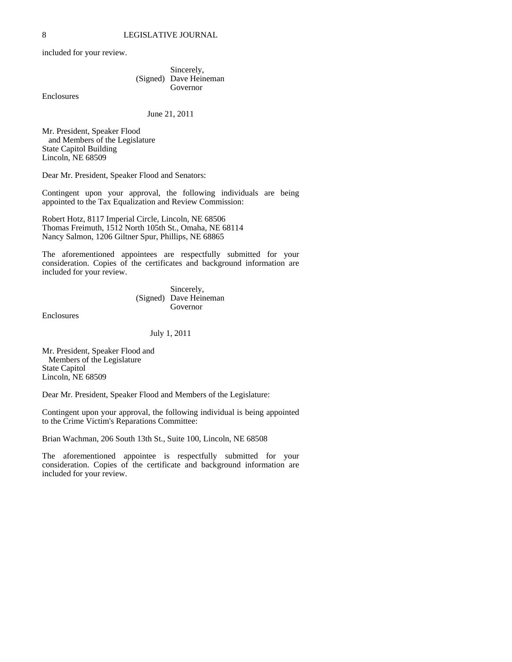included for your review.

 Sincerely, (Signed) Dave Heineman Governor

Enclosures

June 21, 2011

Mr. President, Speaker Flood and Members of the Legislature State Capitol Building Lincoln, NE 68509

Dear Mr. President, Speaker Flood and Senators:

Contingent upon your approval, the following individuals are being appointed to the Tax Equalization and Review Commission:

Robert Hotz, 8117 Imperial Circle, Lincoln, NE 68506 Thomas Freimuth, 1512 North 105th St., Omaha, NE 68114 Nancy Salmon, 1206 Giltner Spur, Phillips, NE 68865

The aforementioned appointees are respectfully submitted for your consideration. Copies of the certificates and background information are included for your review.

> Sincerely, (Signed) Dave Heineman Governor

Enclosures

### July 1, 2011

Mr. President, Speaker Flood and Members of the Legislature State Capitol Lincoln, NE 68509

Dear Mr. President, Speaker Flood and Members of the Legislature:

Contingent upon your approval, the following individual is being appointed to the Crime Victim's Reparations Committee:

Brian Wachman, 206 South 13th St., Suite 100, Lincoln, NE 68508

The aforementioned appointee is respectfully submitted for your consideration. Copies of the certificate and background information are included for your review.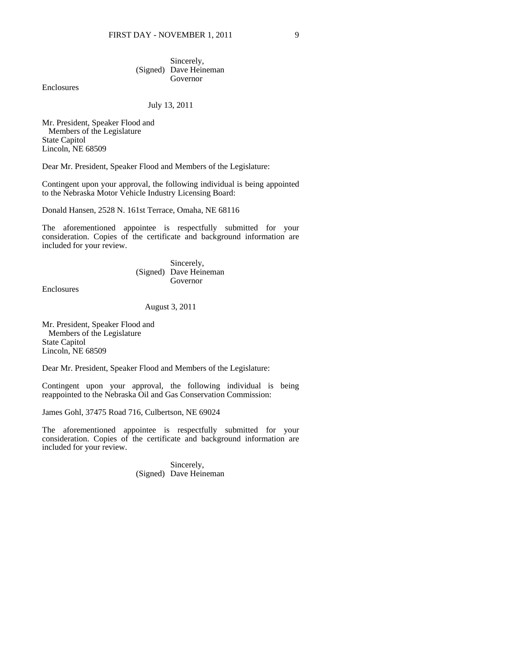## Sincerely, (Signed) Dave Heineman Governor

Enclosures

### July 13, 2011

Mr. President, Speaker Flood and Members of the Legislature State Capitol Lincoln, NE 68509

Dear Mr. President, Speaker Flood and Members of the Legislature:

Contingent upon your approval, the following individual is being appointed to the Nebraska Motor Vehicle Industry Licensing Board:

Donald Hansen, 2528 N. 161st Terrace, Omaha, NE 68116

The aforementioned appointee is respectfully submitted for your consideration. Copies of the certificate and background information are included for your review.

### Sincerely, (Signed) Dave Heineman Governor

Enclosures

#### August 3, 2011

Mr. President, Speaker Flood and Members of the Legislature State Capitol Lincoln, NE 68509

Dear Mr. President, Speaker Flood and Members of the Legislature:

Contingent upon your approval, the following individual is being reappointed to the Nebraska Oil and Gas Conservation Commission:

James Gohl, 37475 Road 716, Culbertson, NE 69024

The aforementioned appointee is respectfully submitted for your consideration. Copies of the certificate and background information are included for your review.

> Sincerely, (Signed) Dave Heineman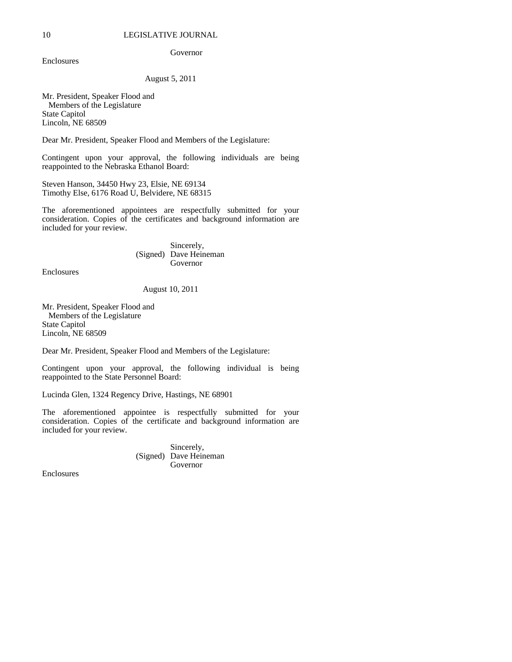Governor

Enclosures

## August 5, 2011

Mr. President, Speaker Flood and Members of the Legislature State Capitol Lincoln, NE 68509

Dear Mr. President, Speaker Flood and Members of the Legislature:

Contingent upon your approval, the following individuals are being reappointed to the Nebraska Ethanol Board:

Steven Hanson, 34450 Hwy 23, Elsie, NE 69134 Timothy Else, 6176 Road U, Belvidere, NE 68315

The aforementioned appointees are respectfully submitted for your consideration. Copies of the certificates and background information are included for your review.

> Sincerely, (Signed) Dave Heineman Governor

Enclosures

### August 10, 2011

Mr. President, Speaker Flood and Members of the Legislature State Capitol Lincoln, NE 68509

Dear Mr. President, Speaker Flood and Members of the Legislature:

Contingent upon your approval, the following individual is being reappointed to the State Personnel Board:

Lucinda Glen, 1324 Regency Drive, Hastings, NE 68901

The aforementioned appointee is respectfully submitted for your consideration. Copies of the certificate and background information are included for your review.

> Sincerely, (Signed) Dave Heineman Governor

Enclosures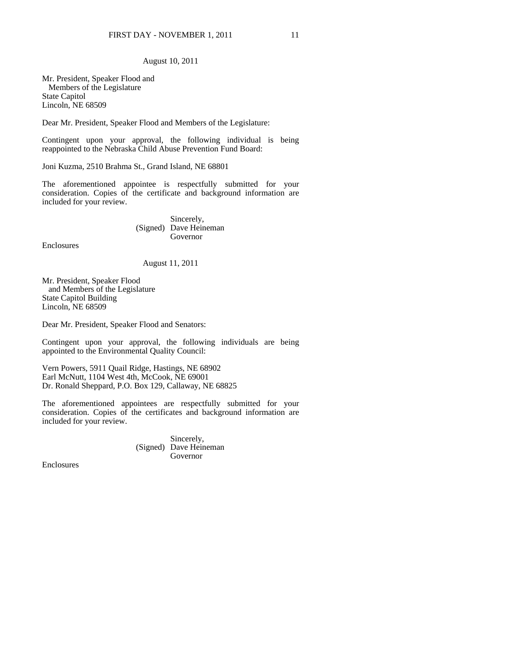### August 10, 2011

Mr. President, Speaker Flood and Members of the Legislature State Capitol Lincoln, NE 68509

Dear Mr. President, Speaker Flood and Members of the Legislature:

Contingent upon your approval, the following individual is being reappointed to the Nebraska Child Abuse Prevention Fund Board:

Joni Kuzma, 2510 Brahma St., Grand Island, NE 68801

The aforementioned appointee is respectfully submitted for your consideration. Copies of the certificate and background information are included for your review.

> Sincerely, (Signed) Dave Heineman Governor

Enclosures

August 11, 2011

Mr. President, Speaker Flood and Members of the Legislature State Capitol Building Lincoln, NE 68509

Dear Mr. President, Speaker Flood and Senators:

Contingent upon your approval, the following individuals are being appointed to the Environmental Quality Council:

Vern Powers, 5911 Quail Ridge, Hastings, NE 68902 Earl McNutt, 1104 West 4th, McCook, NE 69001 Dr. Ronald Sheppard, P.O. Box 129, Callaway, NE 68825

The aforementioned appointees are respectfully submitted for your consideration. Copies of the certificates and background information are included for your review.

> Sincerely, (Signed) Dave Heineman Governor

Enclosures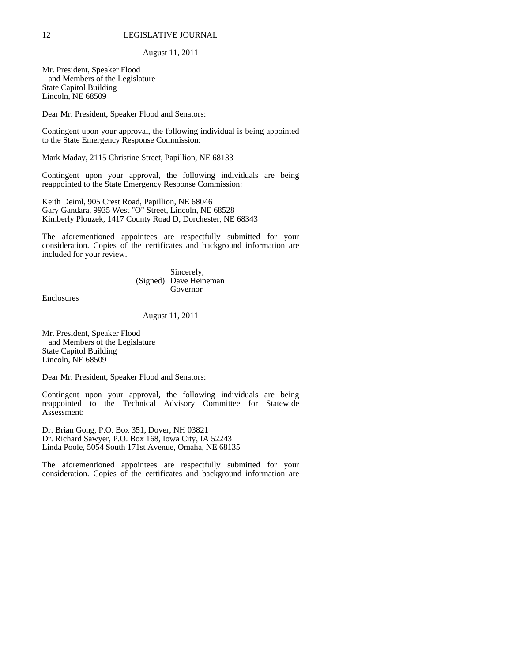#### August 11, 2011

Mr. President, Speaker Flood and Members of the Legislature State Capitol Building Lincoln, NE 68509

Dear Mr. President, Speaker Flood and Senators:

Contingent upon your approval, the following individual is being appointed to the State Emergency Response Commission:

Mark Maday, 2115 Christine Street, Papillion, NE 68133

Contingent upon your approval, the following individuals are being reappointed to the State Emergency Response Commission:

Keith Deiml, 905 Crest Road, Papillion, NE 68046 Gary Gandara, 9935 West "O" Street, Lincoln, NE 68528 Kimberly Plouzek, 1417 County Road D, Dorchester, NE 68343

The aforementioned appointees are respectfully submitted for your consideration. Copies of the certificates and background information are included for your review.

> Sincerely, (Signed) Dave Heineman Governor

Enclosures

#### August 11, 2011

Mr. President, Speaker Flood and Members of the Legislature State Capitol Building Lincoln, NE 68509

Dear Mr. President, Speaker Flood and Senators:

Contingent upon your approval, the following individuals are being reappointed to the Technical Advisory Committee for Statewide Assessment:

Dr. Brian Gong, P.O. Box 351, Dover, NH 03821 Dr. Richard Sawyer, P.O. Box 168, Iowa City, IA 52243 Linda Poole, 5054 South 171st Avenue, Omaha, NE 68135

The aforementioned appointees are respectfully submitted for your consideration. Copies of the certificates and background information are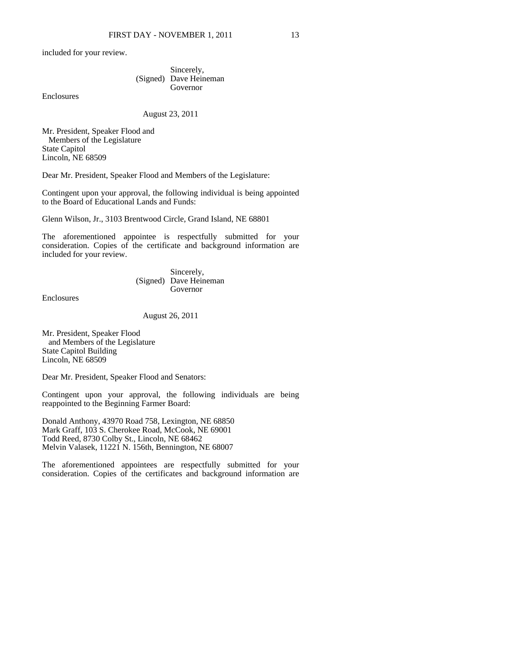included for your review.

 Sincerely, (Signed) Dave Heineman Governor

Enclosures

August 23, 2011

Mr. President, Speaker Flood and Members of the Legislature State Capitol Lincoln, NE 68509

Dear Mr. President, Speaker Flood and Members of the Legislature:

Contingent upon your approval, the following individual is being appointed to the Board of Educational Lands and Funds:

Glenn Wilson, Jr., 3103 Brentwood Circle, Grand Island, NE 68801

The aforementioned appointee is respectfully submitted for your consideration. Copies of the certificate and background information are included for your review.

> Sincerely, (Signed) Dave Heineman Governor

**Enclosures** 

#### August 26, 2011

Mr. President, Speaker Flood and Members of the Legislature State Capitol Building Lincoln, NE 68509

Dear Mr. President, Speaker Flood and Senators:

Contingent upon your approval, the following individuals are being reappointed to the Beginning Farmer Board:

Donald Anthony, 43970 Road 758, Lexington, NE 68850 Mark Graff, 103 S. Cherokee Road, McCook, NE 69001 Todd Reed, 8730 Colby St., Lincoln, NE 68462 Melvin Valasek, 11221 N. 156th, Bennington, NE 68007

The aforementioned appointees are respectfully submitted for your consideration. Copies of the certificates and background information are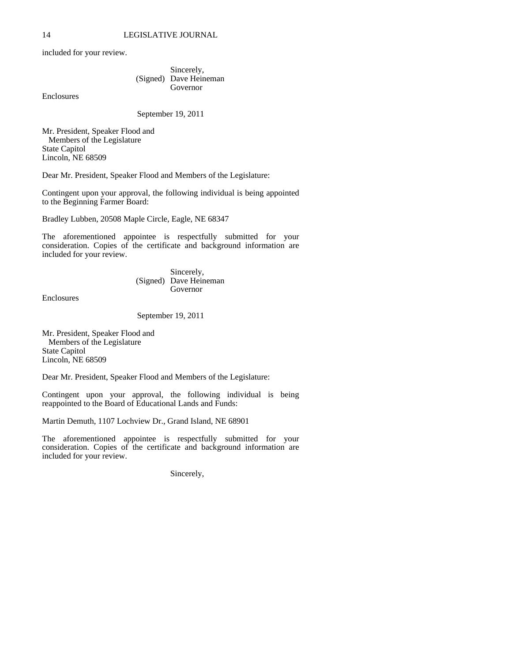included for your review.

 Sincerely, (Signed) Dave Heineman Governor

Enclosures

September 19, 2011

Mr. President, Speaker Flood and Members of the Legislature State Capitol Lincoln, NE 68509

Dear Mr. President, Speaker Flood and Members of the Legislature:

Contingent upon your approval, the following individual is being appointed to the Beginning Farmer Board:

Bradley Lubben, 20508 Maple Circle, Eagle, NE 68347

The aforementioned appointee is respectfully submitted for your consideration. Copies of the certificate and background information are included for your review.

> Sincerely, (Signed) Dave Heineman Governor

Enclosures

# September 19, 2011

Mr. President, Speaker Flood and Members of the Legislature State Capitol Lincoln, NE 68509

Dear Mr. President, Speaker Flood and Members of the Legislature:

Contingent upon your approval, the following individual is being reappointed to the Board of Educational Lands and Funds:

Martin Demuth, 1107 Lochview Dr., Grand Island, NE 68901

The aforementioned appointee is respectfully submitted for your consideration. Copies of the certificate and background information are included for your review.

Sincerely,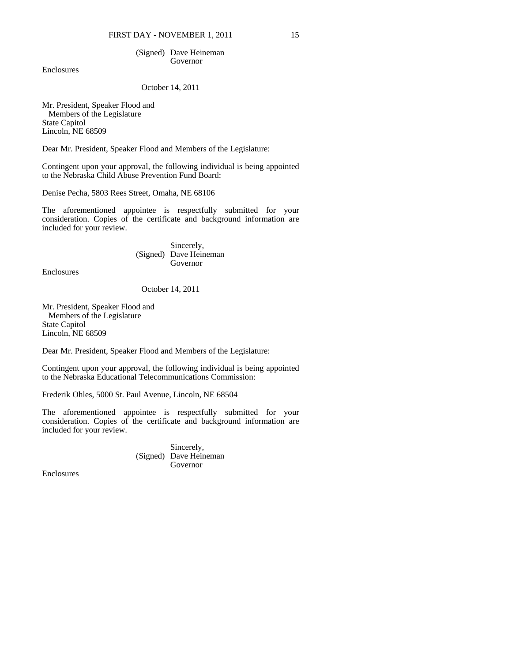# (Signed) Dave Heineman Governor

Enclosures

## October 14, 2011

Mr. President, Speaker Flood and Members of the Legislature State Capitol Lincoln, NE 68509

Dear Mr. President, Speaker Flood and Members of the Legislature:

Contingent upon your approval, the following individual is being appointed to the Nebraska Child Abuse Prevention Fund Board:

Denise Pecha, 5803 Rees Street, Omaha, NE 68106

The aforementioned appointee is respectfully submitted for your consideration. Copies of the certificate and background information are included for your review.

> Sincerely, (Signed) Dave Heineman Governor

Enclosures

October 14, 2011

Mr. President, Speaker Flood and Members of the Legislature State Capitol Lincoln, NE 68509

Dear Mr. President, Speaker Flood and Members of the Legislature:

Contingent upon your approval, the following individual is being appointed to the Nebraska Educational Telecommunications Commission:

Frederik Ohles, 5000 St. Paul Avenue, Lincoln, NE 68504

The aforementioned appointee is respectfully submitted for your consideration. Copies of the certificate and background information are included for your review.

> Sincerely, (Signed) Dave Heineman Governor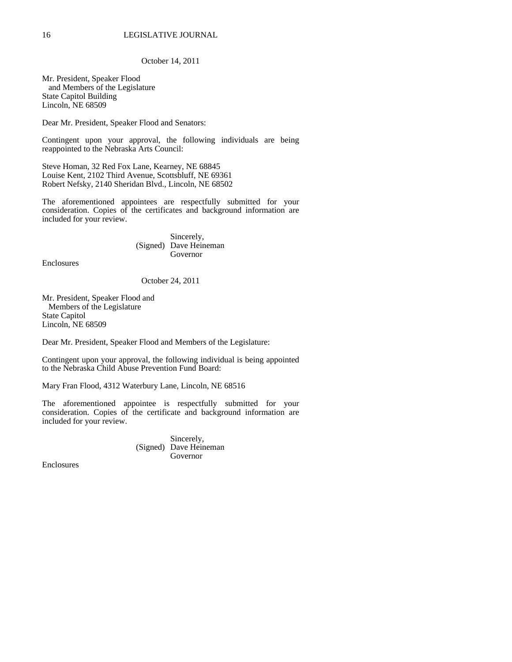October 14, 2011

Mr. President, Speaker Flood and Members of the Legislature State Capitol Building Lincoln, NE 68509

Dear Mr. President, Speaker Flood and Senators:

Contingent upon your approval, the following individuals are being reappointed to the Nebraska Arts Council:

Steve Homan, 32 Red Fox Lane, Kearney, NE 68845 Louise Kent, 2102 Third Avenue, Scottsbluff, NE 69361 Robert Nefsky, 2140 Sheridan Blvd., Lincoln, NE 68502

The aforementioned appointees are respectfully submitted for your consideration. Copies of the certificates and background information are included for your review.

> Sincerely, (Signed) Dave Heineman Governor

Enclosures

# October 24, 2011

Mr. President, Speaker Flood and Members of the Legislature State Capitol Lincoln, NE 68509

Dear Mr. President, Speaker Flood and Members of the Legislature:

Contingent upon your approval, the following individual is being appointed to the Nebraska Child Abuse Prevention Fund Board:

Mary Fran Flood, 4312 Waterbury Lane, Lincoln, NE 68516

The aforementioned appointee is respectfully submitted for your consideration. Copies of the certificate and background information are included for your review.

> Sincerely, (Signed) Dave Heineman Governor

Enclosures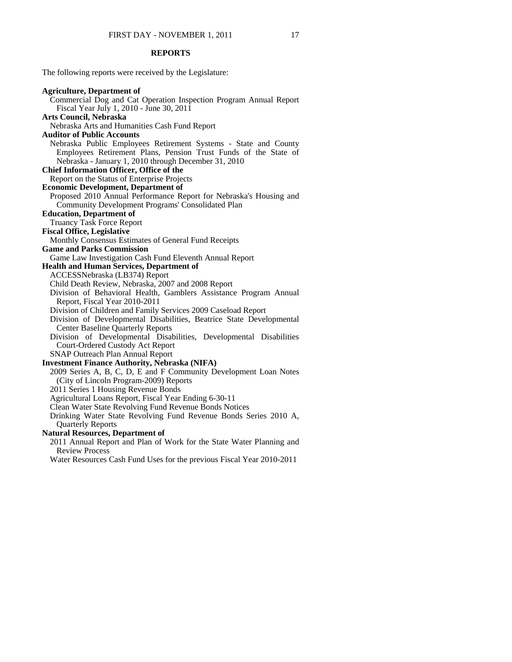### **REPORTS**

The following reports were received by the Legislature:

**Agriculture, Department of**  Commercial Dog and Cat Operation Inspection Program Annual Report Fiscal Year July 1, 2010 - June 30, 2011 **Arts Council, Nebraska**  Nebraska Arts and Humanities Cash Fund Report **Auditor of Public Accounts**  Nebraska Public Employees Retirement Systems - State and County Employees Retirement Plans, Pension Trust Funds of the State of Nebraska - January 1, 2010 through December 31, 2010 **Chief Information Officer, Office of the**  Report on the Status of Enterprise Projects **Economic Development, Department of**  Proposed 2010 Annual Performance Report for Nebraska's Housing and Community Development Programs' Consolidated Plan **Education, Department of**  Truancy Task Force Report **Fiscal Office, Legislative**  Monthly Consensus Estimates of General Fund Receipts **Game and Parks Commission**  Game Law Investigation Cash Fund Eleventh Annual Report **Health and Human Services, Department of**  ACCESSNebraska (LB374) Report Child Death Review, Nebraska, 2007 and 2008 Report Division of Behavioral Health, Gamblers Assistance Program Annual Report, Fiscal Year 2010-2011 Division of Children and Family Services 2009 Caseload Report Division of Developmental Disabilities, Beatrice State Developmental Center Baseline Quarterly Reports Division of Developmental Disabilities, Developmental Disabilities Court-Ordered Custody Act Report SNAP Outreach Plan Annual Report **Investment Finance Authority, Nebraska (NIFA)**  2009 Series A, B, C, D, E and F Community Development Loan Notes (City of Lincoln Program-2009) Reports 2011 Series 1 Housing Revenue Bonds Agricultural Loans Report, Fiscal Year Ending 6-30-11 Clean Water State Revolving Fund Revenue Bonds Notices Drinking Water State Revolving Fund Revenue Bonds Series 2010 A, Quarterly Reports **Natural Resources, Department of**  2011 Annual Report and Plan of Work for the State Water Planning and Review Process Water Resources Cash Fund Uses for the previous Fiscal Year 2010-2011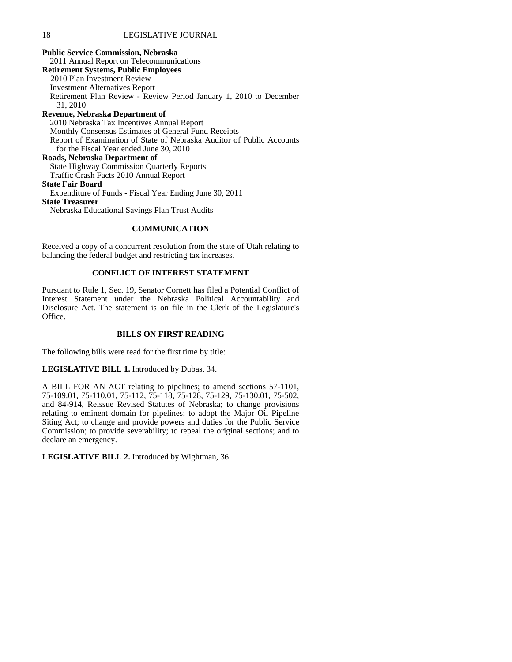| <b>Public Service Commission, Nebraska</b>                            |
|-----------------------------------------------------------------------|
| 2011 Annual Report on Telecommunications                              |
| <b>Retirement Systems, Public Employees</b>                           |
| 2010 Plan Investment Review                                           |
| <b>Investment Alternatives Report</b>                                 |
| Retirement Plan Review - Review Period January 1, 2010 to December    |
| 31, 2010                                                              |
| Revenue, Nebraska Department of                                       |
| 2010 Nebraska Tax Incentives Annual Report                            |
| Monthly Consensus Estimates of General Fund Receipts                  |
| Report of Examination of State of Nebraska Auditor of Public Accounts |
| for the Fiscal Year ended June 30, 2010                               |
| Roads, Nebraska Department of                                         |
| <b>State Highway Commission Quarterly Reports</b>                     |
| Traffic Crash Facts 2010 Annual Report                                |
| <b>State Fair Board</b>                                               |
| Expenditure of Funds - Fiscal Year Ending June 30, 2011               |
| <b>State Treasurer</b>                                                |
| Nebraska Educational Savings Plan Trust Audits                        |

# **COMMUNICATION**

Received a copy of a concurrent resolution from the state of Utah relating to balancing the federal budget and restricting tax increases.

# **CONFLICT OF INTEREST STATEMENT**

Pursuant to Rule 1, Sec. 19, Senator Cornett has filed a Potential Conflict of Interest Statement under the Nebraska Political Accountability and Disclosure Act. The statement is on file in the Clerk of the Legislature's Office.

# **BILLS ON FIRST READING**

The following bills were read for the first time by title:

# **LEGISLATIVE BILL 1.** Introduced by Dubas, 34.

A BILL FOR AN ACT relating to pipelines; to amend sections 57-1101, 75-109.01, 75-110.01, 75-112, 75-118, 75-128, 75-129, 75-130.01, 75-502, and 84-914, Reissue Revised Statutes of Nebraska; to change provisions relating to eminent domain for pipelines; to adopt the Major Oil Pipeline Siting Act; to change and provide powers and duties for the Public Service Commission; to provide severability; to repeal the original sections; and to declare an emergency.

# **LEGISLATIVE BILL 2.** Introduced by Wightman, 36.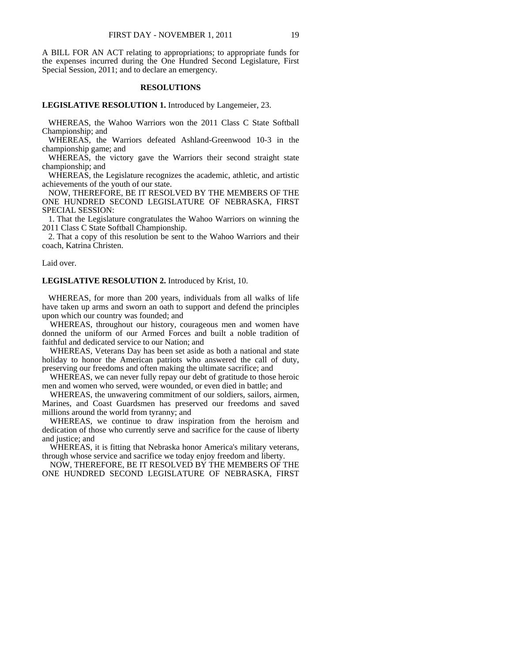A BILL FOR AN ACT relating to appropriations; to appropriate funds for the expenses incurred during the One Hundred Second Legislature, First Special Session, 2011; and to declare an emergency.

### **RESOLUTIONS**

#### **LEGISLATIVE RESOLUTION 1.** Introduced by Langemeier, 23.

 WHEREAS, the Wahoo Warriors won the 2011 Class C State Softball Championship; and

 WHEREAS, the Warriors defeated Ashland-Greenwood 10-3 in the championship game; and

 WHEREAS, the victory gave the Warriors their second straight state championship; and

 WHEREAS, the Legislature recognizes the academic, athletic, and artistic achievements of the youth of our state.

 NOW, THEREFORE, BE IT RESOLVED BY THE MEMBERS OF THE ONE HUNDRED SECOND LEGISLATURE OF NEBRASKA, FIRST SPECIAL SESSION:

 1. That the Legislature congratulates the Wahoo Warriors on winning the 2011 Class C State Softball Championship.

 2. That a copy of this resolution be sent to the Wahoo Warriors and their coach, Katrina Christen.

Laid over.

### **LEGISLATIVE RESOLUTION 2.** Introduced by Krist, 10.

 WHEREAS, for more than 200 years, individuals from all walks of life have taken up arms and sworn an oath to support and defend the principles upon which our country was founded; and

 WHEREAS, throughout our history, courageous men and women have donned the uniform of our Armed Forces and built a noble tradition of faithful and dedicated service to our Nation; and

 WHEREAS, Veterans Day has been set aside as both a national and state holiday to honor the American patriots who answered the call of duty, preserving our freedoms and often making the ultimate sacrifice; and

 WHEREAS, we can never fully repay our debt of gratitude to those heroic men and women who served, were wounded, or even died in battle; and

 WHEREAS, the unwavering commitment of our soldiers, sailors, airmen, Marines, and Coast Guardsmen has preserved our freedoms and saved millions around the world from tyranny; and

 WHEREAS, we continue to draw inspiration from the heroism and dedication of those who currently serve and sacrifice for the cause of liberty and justice; and

 WHEREAS, it is fitting that Nebraska honor America's military veterans, through whose service and sacrifice we today enjoy freedom and liberty.

 NOW, THEREFORE, BE IT RESOLVED BY THE MEMBERS OF THE ONE HUNDRED SECOND LEGISLATURE OF NEBRASKA, FIRST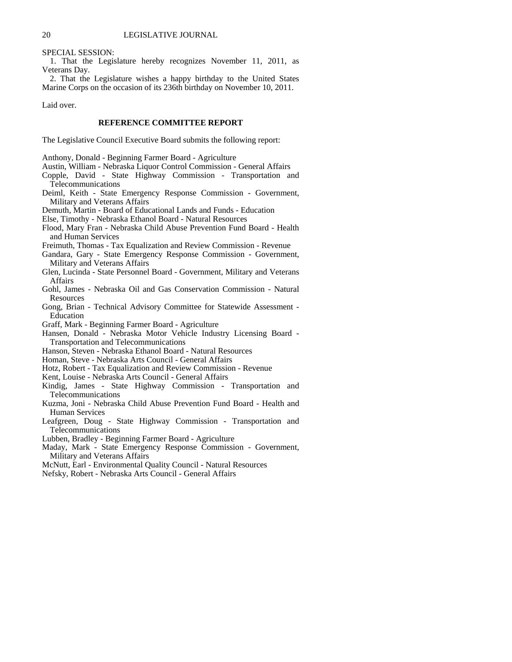SPECIAL SESSION:

 1. That the Legislature hereby recognizes November 11, 2011, as Veterans Day.

 2. That the Legislature wishes a happy birthday to the United States Marine Corps on the occasion of its 236th birthday on November 10, 2011.

Laid over.

### **REFERENCE COMMITTEE REPORT**

The Legislative Council Executive Board submits the following report:

Anthony, Donald - Beginning Farmer Board - Agriculture

Austin, William - Nebraska Liquor Control Commission - General Affairs

- Copple, David State Highway Commission Transportation and Telecommunications
- Deiml, Keith State Emergency Response Commission Government, Military and Veterans Affairs
- Demuth, Martin Board of Educational Lands and Funds Education

Else, Timothy - Nebraska Ethanol Board - Natural Resources

- Flood, Mary Fran Nebraska Child Abuse Prevention Fund Board Health and Human Services
- Freimuth, Thomas Tax Equalization and Review Commission Revenue
- Gandara, Gary State Emergency Response Commission Government, Military and Veterans Affairs
- Glen, Lucinda State Personnel Board Government, Military and Veterans **Affairs**
- Gohl, James Nebraska Oil and Gas Conservation Commission Natural Resources
- Gong, Brian Technical Advisory Committee for Statewide Assessment Education
- Graff, Mark Beginning Farmer Board Agriculture
- Hansen, Donald Nebraska Motor Vehicle Industry Licensing Board Transportation and Telecommunications
- Hanson, Steven Nebraska Ethanol Board Natural Resources
- Homan, Steve Nebraska Arts Council General Affairs
- Hotz, Robert Tax Equalization and Review Commission Revenue
- Kent, Louise Nebraska Arts Council General Affairs
- Kindig, James State Highway Commission Transportation and Telecommunications
- Kuzma, Joni Nebraska Child Abuse Prevention Fund Board Health and Human Services
- Leafgreen, Doug State Highway Commission Transportation and Telecommunications
- Lubben, Bradley Beginning Farmer Board Agriculture
- Maday, Mark State Emergency Response Commission Government, Military and Veterans Affairs
- McNutt, Earl Environmental Quality Council Natural Resources
- Nefsky, Robert Nebraska Arts Council General Affairs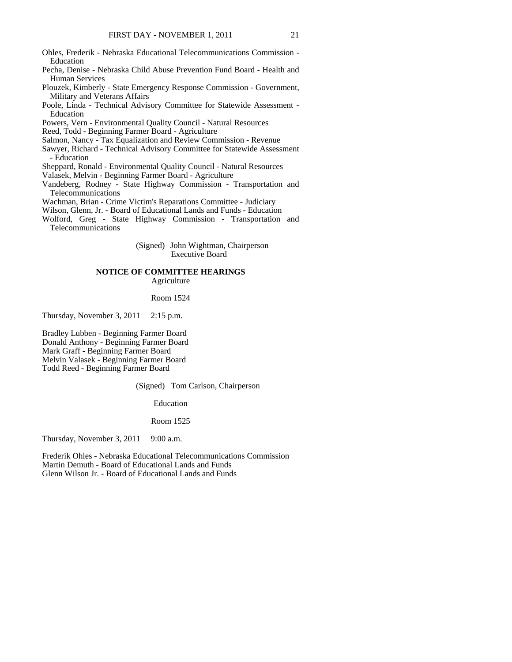- Ohles, Frederik Nebraska Educational Telecommunications Commission Education
- Pecha, Denise Nebraska Child Abuse Prevention Fund Board Health and Human Services
- Plouzek, Kimberly State Emergency Response Commission Government, Military and Veterans Affairs
- Poole, Linda Technical Advisory Committee for Statewide Assessment Education
- Powers, Vern Environmental Quality Council Natural Resources
- Reed, Todd Beginning Farmer Board Agriculture
- Salmon, Nancy Tax Equalization and Review Commission Revenue
- Sawyer, Richard Technical Advisory Committee for Statewide Assessment - Education
- Sheppard, Ronald Environmental Quality Council Natural Resources
- Valasek, Melvin Beginning Farmer Board Agriculture
- Vandeberg, Rodney State Highway Commission Transportation and Telecommunications
- Wachman, Brian Crime Victim's Reparations Committee Judiciary
- Wilson, Glenn, Jr. Board of Educational Lands and Funds Education
- Wolford, Greg State Highway Commission Transportation and Telecommunications

 (Signed) John Wightman, Chairperson Executive Board

#### **NOTICE OF COMMITTEE HEARINGS**  Agriculture

Room 1524

Thursday, November 3, 2011  $2:15$  p.m.

Bradley Lubben - Beginning Farmer Board Donald Anthony - Beginning Farmer Board Mark Graff - Beginning Farmer Board Melvin Valasek - Beginning Farmer Board Todd Reed - Beginning Farmer Board

(Signed) Tom Carlson, Chairperson

## Education

#### Room 1525

Thursday, November 3,  $2011$  9:00 a.m.

Frederik Ohles - Nebraska Educational Telecommunications Commission Martin Demuth - Board of Educational Lands and Funds Glenn Wilson Jr. - Board of Educational Lands and Funds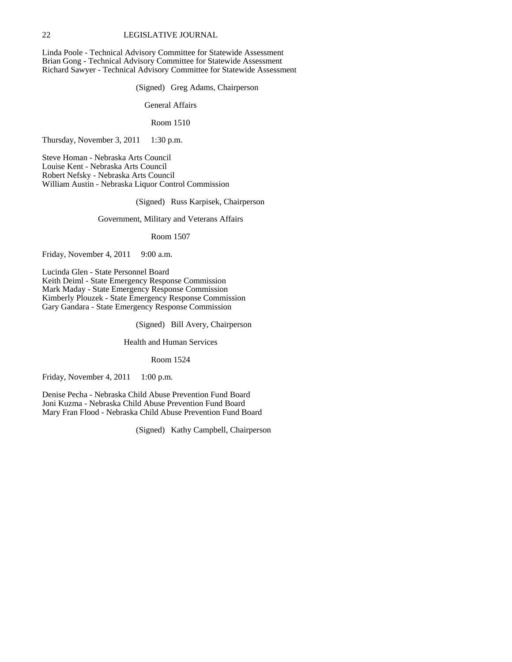Linda Poole - Technical Advisory Committee for Statewide Assessment Brian Gong - Technical Advisory Committee for Statewide Assessment Richard Sawyer - Technical Advisory Committee for Statewide Assessment

(Signed) Greg Adams, Chairperson

General Affairs

Room 1510

Thursday, November 3, 2011  $1:30$  p.m.

Steve Homan - Nebraska Arts Council Louise Kent - Nebraska Arts Council Robert Nefsky - Nebraska Arts Council William Austin - Nebraska Liquor Control Commission

(Signed) Russ Karpisek, Chairperson

Government, Military and Veterans Affairs

Room 1507

Friday, November 4, 2011 9:00 a.m.

Lucinda Glen - State Personnel Board Keith Deiml - State Emergency Response Commission Mark Maday - State Emergency Response Commission Kimberly Plouzek - State Emergency Response Commission Gary Gandara - State Emergency Response Commission

(Signed) Bill Avery, Chairperson

Health and Human Services

Room 1524

Friday, November 4, 2011 1:00 p.m.

Denise Pecha - Nebraska Child Abuse Prevention Fund Board Joni Kuzma - Nebraska Child Abuse Prevention Fund Board Mary Fran Flood - Nebraska Child Abuse Prevention Fund Board

(Signed) Kathy Campbell, Chairperson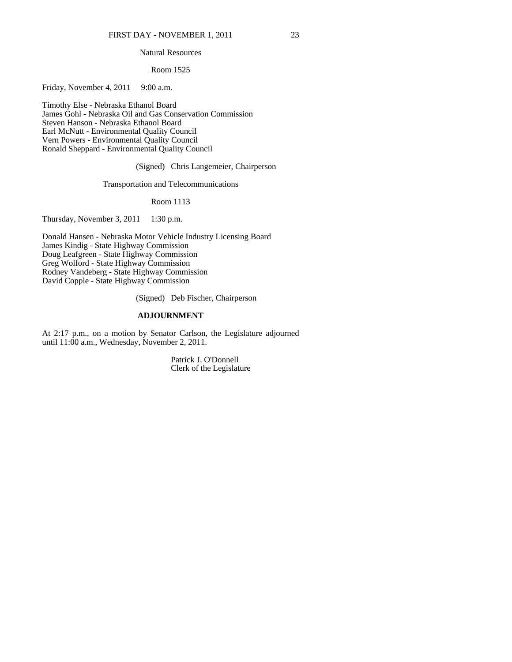### Natural Resources

### Room 1525

Friday, November 4, 2011 9:00 a.m.

Timothy Else - Nebraska Ethanol Board James Gohl - Nebraska Oil and Gas Conservation Commission Steven Hanson - Nebraska Ethanol Board Earl McNutt - Environmental Quality Council Vern Powers - Environmental Quality Council Ronald Sheppard - Environmental Quality Council

(Signed) Chris Langemeier, Chairperson

Transportation and Telecommunications

Room 1113

Thursday, November 3, 2011  $1:30$  p.m.

Donald Hansen - Nebraska Motor Vehicle Industry Licensing Board James Kindig - State Highway Commission Doug Leafgreen - State Highway Commission Greg Wolford - State Highway Commission Rodney Vandeberg - State Highway Commission David Copple - State Highway Commission

(Signed) Deb Fischer, Chairperson

#### **ADJOURNMENT**

At 2:17 p.m., on a motion by Senator Carlson, the Legislature adjourned until 11:00 a.m., Wednesday, November 2, 2011.

> Patrick J. O'Donnell Clerk of the Legislature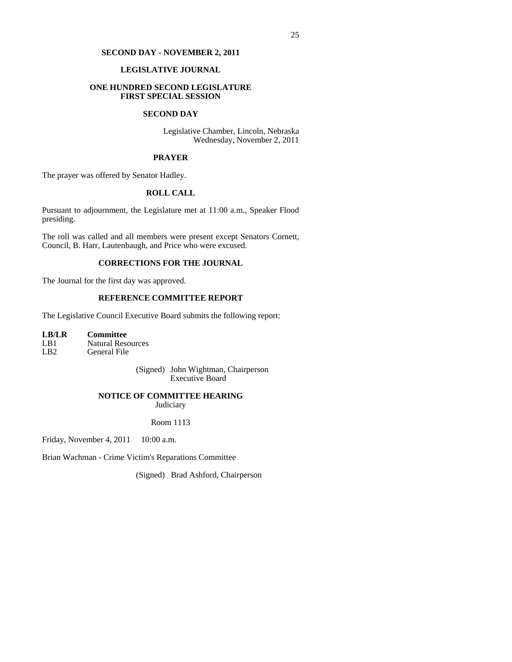# **SECOND DAY - NOVEMBER 2, 2011**

## **LEGISLATIVE JOURNAL**

# **ONE HUNDRED SECOND LEGISLATURE FIRST SPECIAL SESSION**

### **SECOND DAY**

Legislative Chamber, Lincoln, Nebraska Wednesday, November 2, 2011

### **PRAYER**

The prayer was offered by Senator Hadley.

# **ROLL CALL**

Pursuant to adjournment, the Legislature met at 11:00 a.m., Speaker Flood presiding.

The roll was called and all members were present except Senators Cornett, Council, B. Harr, Lautenbaugh, and Price who were excused.

# **CORRECTIONS FOR THE JOURNAL**

The Journal for the first day was approved.

# **REFERENCE COMMITTEE REPORT**

The Legislative Council Executive Board submits the following report:

**LB/LR Committee**  LB1 Natural Resources LB2 General File

> (Signed) John Wightman, Chairperson Executive Board

# **NOTICE OF COMMITTEE HEARING Judiciary**

## Room 1113

Friday, November 4, 2011 10:00 a.m.

Brian Wachman - Crime Victim's Reparations Committee

(Signed) Brad Ashford, Chairperson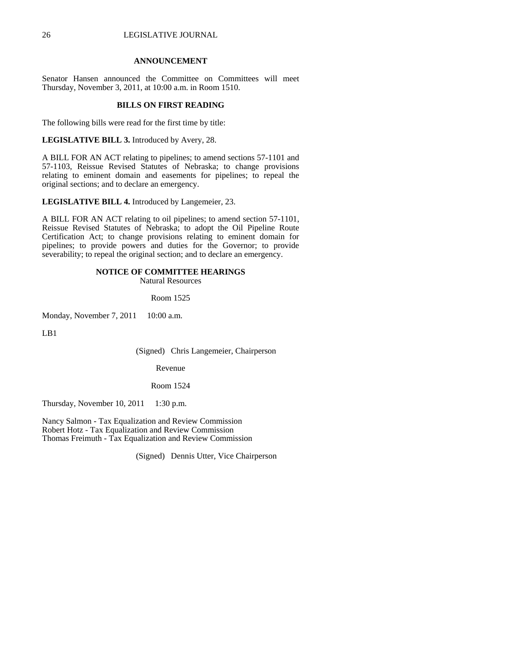### **ANNOUNCEMENT**

Senator Hansen announced the Committee on Committees will meet Thursday, November 3, 2011, at 10:00 a.m. in Room 1510.

# **BILLS ON FIRST READING**

The following bills were read for the first time by title:

**LEGISLATIVE BILL 3.** Introduced by Avery, 28.

A BILL FOR AN ACT relating to pipelines; to amend sections 57-1101 and 57-1103, Reissue Revised Statutes of Nebraska; to change provisions relating to eminent domain and easements for pipelines; to repeal the original sections; and to declare an emergency.

**LEGISLATIVE BILL 4.** Introduced by Langemeier, 23.

A BILL FOR AN ACT relating to oil pipelines; to amend section 57-1101, Reissue Revised Statutes of Nebraska; to adopt the Oil Pipeline Route Certification Act; to change provisions relating to eminent domain for pipelines; to provide powers and duties for the Governor; to provide severability; to repeal the original section; and to declare an emergency.

### **NOTICE OF COMMITTEE HEARINGS**

Natural Resources

Room 1525

Monday, November 7, 2011 10:00 a.m.

LB1

(Signed) Chris Langemeier, Chairperson

Revenue

Room 1524

Thursday, November 10, 2011  $1:30$  p.m.

Nancy Salmon - Tax Equalization and Review Commission Robert Hotz - Tax Equalization and Review Commission Thomas Freimuth - Tax Equalization and Review Commission

(Signed) Dennis Utter, Vice Chairperson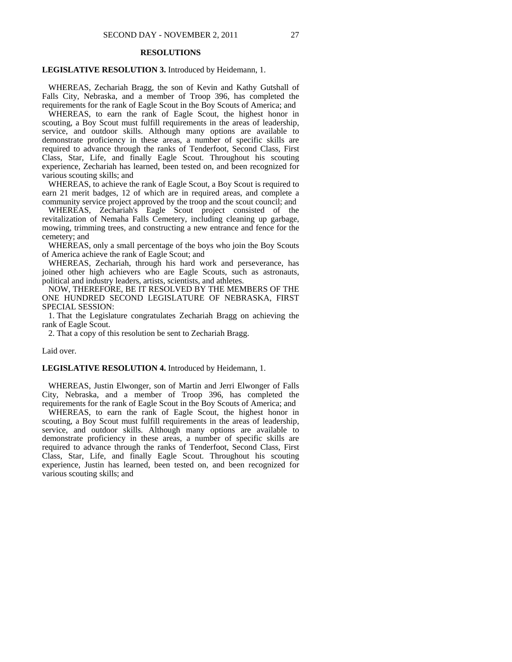### **RESOLUTIONS**

#### **LEGISLATIVE RESOLUTION 3.** Introduced by Heidemann, 1.

 WHEREAS, Zechariah Bragg, the son of Kevin and Kathy Gutshall of Falls City, Nebraska, and a member of Troop 396, has completed the requirements for the rank of Eagle Scout in the Boy Scouts of America; and

 WHEREAS, to earn the rank of Eagle Scout, the highest honor in scouting, a Boy Scout must fulfill requirements in the areas of leadership, service, and outdoor skills. Although many options are available to demonstrate proficiency in these areas, a number of specific skills are required to advance through the ranks of Tenderfoot, Second Class, First Class, Star, Life, and finally Eagle Scout. Throughout his scouting experience, Zechariah has learned, been tested on, and been recognized for various scouting skills; and

 WHEREAS, to achieve the rank of Eagle Scout, a Boy Scout is required to earn 21 merit badges, 12 of which are in required areas, and complete a community service project approved by the troop and the scout council; and

 WHEREAS, Zechariah's Eagle Scout project consisted of the revitalization of Nemaha Falls Cemetery, including cleaning up garbage, mowing, trimming trees, and constructing a new entrance and fence for the cemetery; and

 WHEREAS, only a small percentage of the boys who join the Boy Scouts of America achieve the rank of Eagle Scout; and

 WHEREAS, Zechariah, through his hard work and perseverance, has joined other high achievers who are Eagle Scouts, such as astronauts, political and industry leaders, artists, scientists, and athletes.

 NOW, THEREFORE, BE IT RESOLVED BY THE MEMBERS OF THE ONE HUNDRED SECOND LEGISLATURE OF NEBRASKA, FIRST SPECIAL SESSION:

 1. That the Legislature congratulates Zechariah Bragg on achieving the rank of Eagle Scout.

2. That a copy of this resolution be sent to Zechariah Bragg.

Laid over.

### **LEGISLATIVE RESOLUTION 4.** Introduced by Heidemann, 1.

 WHEREAS, Justin Elwonger, son of Martin and Jerri Elwonger of Falls City, Nebraska, and a member of Troop 396, has completed the requirements for the rank of Eagle Scout in the Boy Scouts of America; and

 WHEREAS, to earn the rank of Eagle Scout, the highest honor in scouting, a Boy Scout must fulfill requirements in the areas of leadership, service, and outdoor skills. Although many options are available to demonstrate proficiency in these areas, a number of specific skills are required to advance through the ranks of Tenderfoot, Second Class, First Class, Star, Life, and finally Eagle Scout. Throughout his scouting experience, Justin has learned, been tested on, and been recognized for various scouting skills; and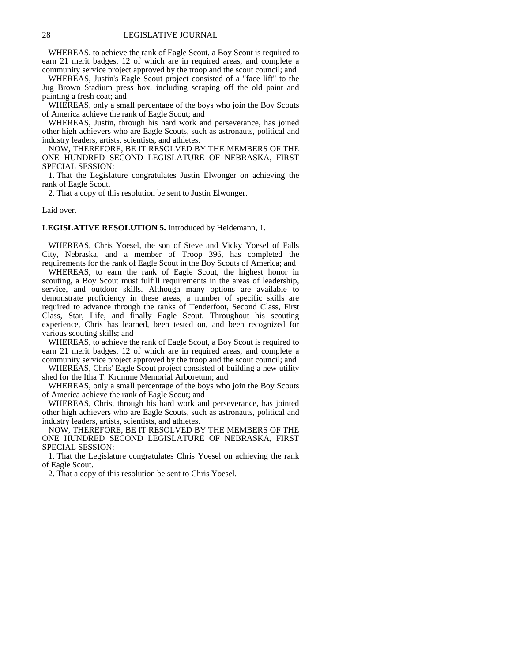WHEREAS, to achieve the rank of Eagle Scout, a Boy Scout is required to earn 21 merit badges, 12 of which are in required areas, and complete a community service project approved by the troop and the scout council; and

 WHEREAS, Justin's Eagle Scout project consisted of a "face lift" to the Jug Brown Stadium press box, including scraping off the old paint and painting a fresh coat; and

 WHEREAS, only a small percentage of the boys who join the Boy Scouts of America achieve the rank of Eagle Scout; and

 WHEREAS, Justin, through his hard work and perseverance, has joined other high achievers who are Eagle Scouts, such as astronauts, political and industry leaders, artists, scientists, and athletes.

 NOW, THEREFORE, BE IT RESOLVED BY THE MEMBERS OF THE ONE HUNDRED SECOND LEGISLATURE OF NEBRASKA, FIRST SPECIAL SESSION:

 1. That the Legislature congratulates Justin Elwonger on achieving the rank of Eagle Scout.

2. That a copy of this resolution be sent to Justin Elwonger.

Laid over.

#### **LEGISLATIVE RESOLUTION 5.** Introduced by Heidemann, 1.

 WHEREAS, Chris Yoesel, the son of Steve and Vicky Yoesel of Falls City, Nebraska, and a member of Troop 396, has completed the requirements for the rank of Eagle Scout in the Boy Scouts of America; and

 WHEREAS, to earn the rank of Eagle Scout, the highest honor in scouting, a Boy Scout must fulfill requirements in the areas of leadership, service, and outdoor skills. Although many options are available to demonstrate proficiency in these areas, a number of specific skills are required to advance through the ranks of Tenderfoot, Second Class, First Class, Star, Life, and finally Eagle Scout. Throughout his scouting experience, Chris has learned, been tested on, and been recognized for various scouting skills; and

 WHEREAS, to achieve the rank of Eagle Scout, a Boy Scout is required to earn 21 merit badges, 12 of which are in required areas, and complete a community service project approved by the troop and the scout council; and

 WHEREAS, Chris' Eagle Scout project consisted of building a new utility shed for the Itha T. Krumme Memorial Arboretum; and

 WHEREAS, only a small percentage of the boys who join the Boy Scouts of America achieve the rank of Eagle Scout; and

 WHEREAS, Chris, through his hard work and perseverance, has jointed other high achievers who are Eagle Scouts, such as astronauts, political and industry leaders, artists, scientists, and athletes.

 NOW, THEREFORE, BE IT RESOLVED BY THE MEMBERS OF THE ONE HUNDRED SECOND LEGISLATURE OF NEBRASKA, FIRST SPECIAL SESSION:

 1. That the Legislature congratulates Chris Yoesel on achieving the rank of Eagle Scout.

2. That a copy of this resolution be sent to Chris Yoesel.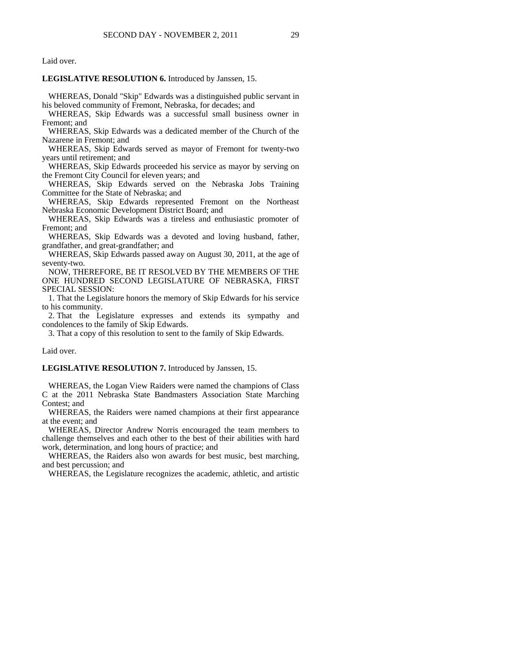Laid over.

# **LEGISLATIVE RESOLUTION 6.** Introduced by Janssen, 15.

 WHEREAS, Donald "Skip" Edwards was a distinguished public servant in his beloved community of Fremont, Nebraska, for decades; and

 WHEREAS, Skip Edwards was a successful small business owner in Fremont; and

 WHEREAS, Skip Edwards was a dedicated member of the Church of the Nazarene in Fremont; and

 WHEREAS, Skip Edwards served as mayor of Fremont for twenty-two years until retirement; and

 WHEREAS, Skip Edwards proceeded his service as mayor by serving on the Fremont City Council for eleven years; and

 WHEREAS, Skip Edwards served on the Nebraska Jobs Training Committee for the State of Nebraska; and

 WHEREAS, Skip Edwards represented Fremont on the Northeast Nebraska Economic Development District Board; and

 WHEREAS, Skip Edwards was a tireless and enthusiastic promoter of Fremont; and

 WHEREAS, Skip Edwards was a devoted and loving husband, father, grandfather, and great-grandfather; and

 WHEREAS, Skip Edwards passed away on August 30, 2011, at the age of seventy-two.

 NOW, THEREFORE, BE IT RESOLVED BY THE MEMBERS OF THE ONE HUNDRED SECOND LEGISLATURE OF NEBRASKA, FIRST SPECIAL SESSION:

 1. That the Legislature honors the memory of Skip Edwards for his service to his community.

 2. That the Legislature expresses and extends its sympathy and condolences to the family of Skip Edwards.

3. That a copy of this resolution to sent to the family of Skip Edwards.

Laid over.

### **LEGISLATIVE RESOLUTION 7.** Introduced by Janssen, 15.

 WHEREAS, the Logan View Raiders were named the champions of Class C at the 2011 Nebraska State Bandmasters Association State Marching Contest; and

 WHEREAS, the Raiders were named champions at their first appearance at the event; and

 WHEREAS, Director Andrew Norris encouraged the team members to challenge themselves and each other to the best of their abilities with hard work, determination, and long hours of practice; and

 WHEREAS, the Raiders also won awards for best music, best marching, and best percussion; and

WHEREAS, the Legislature recognizes the academic, athletic, and artistic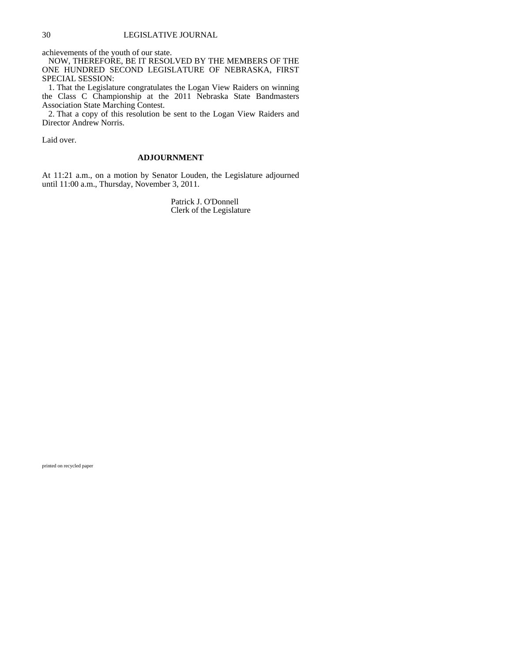achievements of the youth of our state.

 NOW, THEREFORE, BE IT RESOLVED BY THE MEMBERS OF THE ONE HUNDRED SECOND LEGISLATURE OF NEBRASKA, FIRST SPECIAL SESSION:

 1. That the Legislature congratulates the Logan View Raiders on winning the Class C Championship at the 2011 Nebraska State Bandmasters Association State Marching Contest.

 2. That a copy of this resolution be sent to the Logan View Raiders and Director Andrew Norris.

Laid over.

### **ADJOURNMENT**

At 11:21 a.m., on a motion by Senator Louden, the Legislature adjourned until 11:00 a.m., Thursday, November 3, 2011.

> Patrick J. O'Donnell Clerk of the Legislature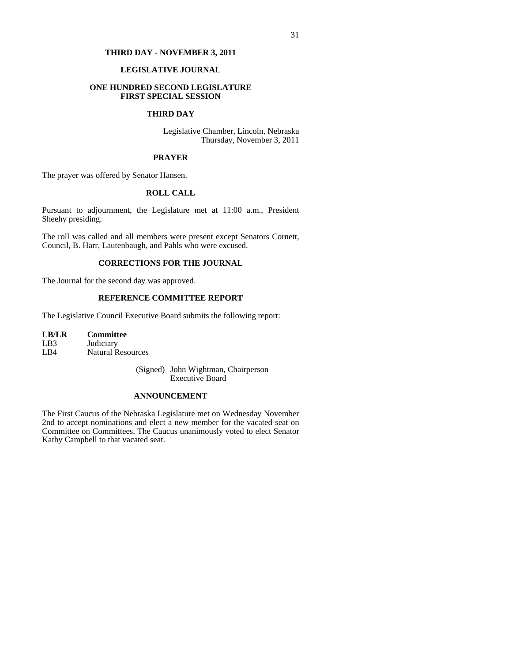# **THIRD DAY - NOVEMBER 3, 2011**

# **LEGISLATIVE JOURNAL**

# **ONE HUNDRED SECOND LEGISLATURE FIRST SPECIAL SESSION**

## **THIRD DAY**

Legislative Chamber, Lincoln, Nebraska Thursday, November 3, 2011

## **PRAYER**

The prayer was offered by Senator Hansen.

# **ROLL CALL**

Pursuant to adjournment, the Legislature met at 11:00 a.m., President Sheehy presiding.

The roll was called and all members were present except Senators Cornett, Council, B. Harr, Lautenbaugh, and Pahls who were excused.

# **CORRECTIONS FOR THE JOURNAL**

The Journal for the second day was approved.

# **REFERENCE COMMITTEE REPORT**

The Legislative Council Executive Board submits the following report:

**LB/LR Committee**  LB3 Judiciary LB4 Natural Resources

> (Signed) John Wightman, Chairperson Executive Board

# **ANNOUNCEMENT**

The First Caucus of the Nebraska Legislature met on Wednesday November 2nd to accept nominations and elect a new member for the vacated seat on Committee on Committees. The Caucus unanimously voted to elect Senator Kathy Campbell to that vacated seat.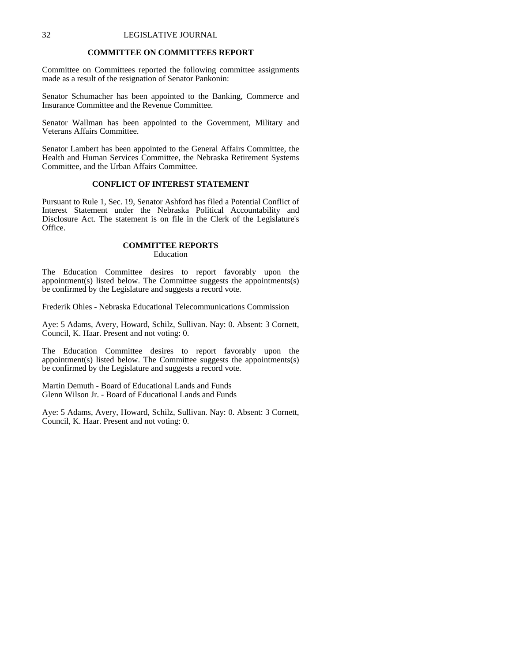# **COMMITTEE ON COMMITTEES REPORT**

Committee on Committees reported the following committee assignments made as a result of the resignation of Senator Pankonin:

Senator Schumacher has been appointed to the Banking, Commerce and Insurance Committee and the Revenue Committee.

Senator Wallman has been appointed to the Government, Military and Veterans Affairs Committee.

Senator Lambert has been appointed to the General Affairs Committee, the Health and Human Services Committee, the Nebraska Retirement Systems Committee, and the Urban Affairs Committee.

# **CONFLICT OF INTEREST STATEMENT**

Pursuant to Rule 1, Sec. 19, Senator Ashford has filed a Potential Conflict of Interest Statement under the Nebraska Political Accountability and Disclosure Act. The statement is on file in the Clerk of the Legislature's Office.

### **COMMITTEE REPORTS**  Education

The Education Committee desires to report favorably upon the appointment(s) listed below. The Committee suggests the appointments(s) be confirmed by the Legislature and suggests a record vote.

Frederik Ohles - Nebraska Educational Telecommunications Commission

Aye: 5 Adams, Avery, Howard, Schilz, Sullivan. Nay: 0. Absent: 3 Cornett, Council, K. Haar. Present and not voting: 0.

The Education Committee desires to report favorably upon the appointment(s) listed below. The Committee suggests the appointments(s) be confirmed by the Legislature and suggests a record vote.

Martin Demuth - Board of Educational Lands and Funds Glenn Wilson Jr. - Board of Educational Lands and Funds

Aye: 5 Adams, Avery, Howard, Schilz, Sullivan. Nay: 0. Absent: 3 Cornett, Council, K. Haar. Present and not voting: 0.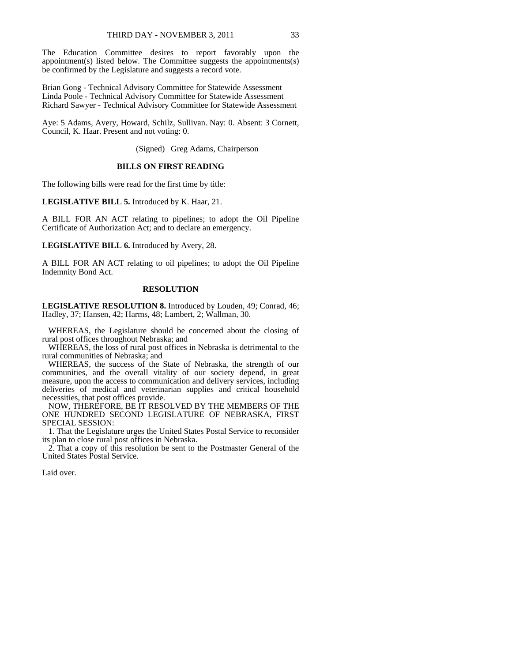The Education Committee desires to report favorably upon the appointment(s) listed below. The Committee suggests the appointments(s) be confirmed by the Legislature and suggests a record vote.

Brian Gong - Technical Advisory Committee for Statewide Assessment Linda Poole - Technical Advisory Committee for Statewide Assessment Richard Sawyer - Technical Advisory Committee for Statewide Assessment

Aye: 5 Adams, Avery, Howard, Schilz, Sullivan. Nay: 0. Absent: 3 Cornett, Council, K. Haar. Present and not voting: 0.

(Signed) Greg Adams, Chairperson

# **BILLS ON FIRST READING**

The following bills were read for the first time by title:

**LEGISLATIVE BILL 5.** Introduced by K. Haar, 21.

A BILL FOR AN ACT relating to pipelines; to adopt the Oil Pipeline Certificate of Authorization Act; and to declare an emergency.

**LEGISLATIVE BILL 6.** Introduced by Avery, 28.

A BILL FOR AN ACT relating to oil pipelines; to adopt the Oil Pipeline Indemnity Bond Act.

### **RESOLUTION**

**LEGISLATIVE RESOLUTION 8.** Introduced by Louden, 49; Conrad, 46; Hadley, 37; Hansen, 42; Harms, 48; Lambert, 2; Wallman, 30.

 WHEREAS, the Legislature should be concerned about the closing of rural post offices throughout Nebraska; and

 WHEREAS, the loss of rural post offices in Nebraska is detrimental to the rural communities of Nebraska; and

 WHEREAS, the success of the State of Nebraska, the strength of our communities, and the overall vitality of our society depend, in great measure, upon the access to communication and delivery services, including deliveries of medical and veterinarian supplies and critical household necessities, that post offices provide.

 NOW, THEREFORE, BE IT RESOLVED BY THE MEMBERS OF THE ONE HUNDRED SECOND LEGISLATURE OF NEBRASKA, FIRST SPECIAL SESSION:

 1. That the Legislature urges the United States Postal Service to reconsider its plan to close rural post offices in Nebraska.

 2. That a copy of this resolution be sent to the Postmaster General of the United States Postal Service.

Laid over.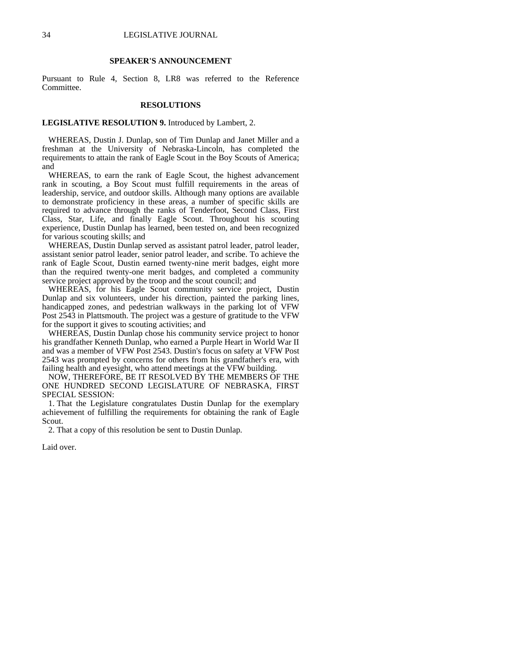#### **SPEAKER'S ANNOUNCEMENT**

Pursuant to Rule 4, Section 8, LR8 was referred to the Reference Committee.

### **RESOLUTIONS**

#### **LEGISLATIVE RESOLUTION 9.** Introduced by Lambert, 2.

 WHEREAS, Dustin J. Dunlap, son of Tim Dunlap and Janet Miller and a freshman at the University of Nebraska-Lincoln, has completed the requirements to attain the rank of Eagle Scout in the Boy Scouts of America; and

 WHEREAS, to earn the rank of Eagle Scout, the highest advancement rank in scouting, a Boy Scout must fulfill requirements in the areas of leadership, service, and outdoor skills. Although many options are available to demonstrate proficiency in these areas, a number of specific skills are required to advance through the ranks of Tenderfoot, Second Class, First Class, Star, Life, and finally Eagle Scout. Throughout his scouting experience, Dustin Dunlap has learned, been tested on, and been recognized for various scouting skills; and

 WHEREAS, Dustin Dunlap served as assistant patrol leader, patrol leader, assistant senior patrol leader, senior patrol leader, and scribe. To achieve the rank of Eagle Scout, Dustin earned twenty-nine merit badges, eight more than the required twenty-one merit badges, and completed a community service project approved by the troop and the scout council; and

 WHEREAS, for his Eagle Scout community service project, Dustin Dunlap and six volunteers, under his direction, painted the parking lines, handicapped zones, and pedestrian walkways in the parking lot of VFW Post 2543 in Plattsmouth. The project was a gesture of gratitude to the VFW for the support it gives to scouting activities; and

 WHEREAS, Dustin Dunlap chose his community service project to honor his grandfather Kenneth Dunlap, who earned a Purple Heart in World War II and was a member of VFW Post 2543. Dustin's focus on safety at VFW Post 2543 was prompted by concerns for others from his grandfather's era, with failing health and eyesight, who attend meetings at the VFW building.

 NOW, THEREFORE, BE IT RESOLVED BY THE MEMBERS OF THE ONE HUNDRED SECOND LEGISLATURE OF NEBRASKA, FIRST SPECIAL SESSION:

 1. That the Legislature congratulates Dustin Dunlap for the exemplary achievement of fulfilling the requirements for obtaining the rank of Eagle Scout.

2. That a copy of this resolution be sent to Dustin Dunlap.

Laid over.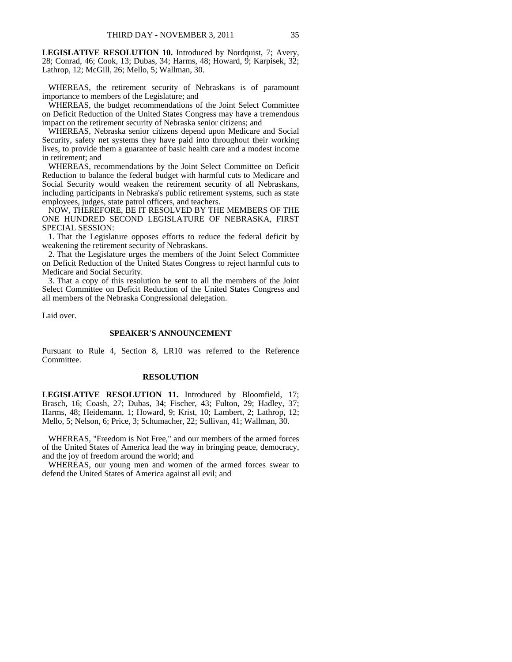**LEGISLATIVE RESOLUTION 10.** Introduced by Nordquist, 7; Avery, 28; Conrad, 46; Cook, 13; Dubas, 34; Harms, 48; Howard, 9; Karpisek, 32; Lathrop, 12; McGill, 26; Mello, 5; Wallman, 30.

 WHEREAS, the retirement security of Nebraskans is of paramount importance to members of the Legislature; and

 WHEREAS, the budget recommendations of the Joint Select Committee on Deficit Reduction of the United States Congress may have a tremendous impact on the retirement security of Nebraska senior citizens; and

 WHEREAS, Nebraska senior citizens depend upon Medicare and Social Security, safety net systems they have paid into throughout their working lives, to provide them a guarantee of basic health care and a modest income in retirement; and

 WHEREAS, recommendations by the Joint Select Committee on Deficit Reduction to balance the federal budget with harmful cuts to Medicare and Social Security would weaken the retirement security of all Nebraskans, including participants in Nebraska's public retirement systems, such as state employees, judges, state patrol officers, and teachers.

 NOW, THEREFORE, BE IT RESOLVED BY THE MEMBERS OF THE ONE HUNDRED SECOND LEGISLATURE OF NEBRASKA, FIRST SPECIAL SESSION:

 1. That the Legislature opposes efforts to reduce the federal deficit by weakening the retirement security of Nebraskans.

 2. That the Legislature urges the members of the Joint Select Committee on Deficit Reduction of the United States Congress to reject harmful cuts to Medicare and Social Security.

 3. That a copy of this resolution be sent to all the members of the Joint Select Committee on Deficit Reduction of the United States Congress and all members of the Nebraska Congressional delegation.

Laid over.

#### **SPEAKER'S ANNOUNCEMENT**

Pursuant to Rule 4, Section 8, LR10 was referred to the Reference Committee.

#### **RESOLUTION**

**LEGISLATIVE RESOLUTION 11.** Introduced by Bloomfield, 17; Brasch, 16; Coash, 27; Dubas, 34; Fischer, 43; Fulton, 29; Hadley, 37; Harms, 48; Heidemann, 1; Howard, 9; Krist, 10; Lambert, 2; Lathrop, 12; Mello, 5; Nelson, 6; Price, 3; Schumacher, 22; Sullivan, 41; Wallman, 30.

 WHEREAS, "Freedom is Not Free," and our members of the armed forces of the United States of America lead the way in bringing peace, democracy, and the joy of freedom around the world; and

 WHEREAS, our young men and women of the armed forces swear to defend the United States of America against all evil; and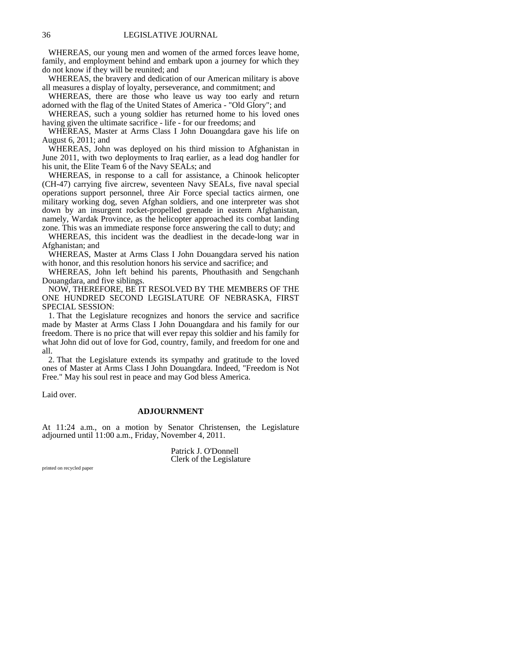WHEREAS, our young men and women of the armed forces leave home, family, and employment behind and embark upon a journey for which they do not know if they will be reunited; and

 WHEREAS, the bravery and dedication of our American military is above all measures a display of loyalty, perseverance, and commitment; and

 WHEREAS, there are those who leave us way too early and return adorned with the flag of the United States of America - "Old Glory"; and

 WHEREAS, such a young soldier has returned home to his loved ones having given the ultimate sacrifice - life - for our freedoms; and

 WHEREAS, Master at Arms Class I John Douangdara gave his life on August 6, 2011; and

 WHEREAS, John was deployed on his third mission to Afghanistan in June 2011, with two deployments to Iraq earlier, as a lead dog handler for his unit, the Elite Team 6 of the Navy SEALs; and

 WHEREAS, in response to a call for assistance, a Chinook helicopter (CH-47) carrying five aircrew, seventeen Navy SEALs, five naval special operations support personnel, three Air Force special tactics airmen, one military working dog, seven Afghan soldiers, and one interpreter was shot down by an insurgent rocket-propelled grenade in eastern Afghanistan, namely, Wardak Province, as the helicopter approached its combat landing zone. This was an immediate response force answering the call to duty; and

 WHEREAS, this incident was the deadliest in the decade-long war in Afghanistan; and

 WHEREAS, Master at Arms Class I John Douangdara served his nation with honor, and this resolution honors his service and sacrifice; and

 WHEREAS, John left behind his parents, Phouthasith and Sengchanh Douangdara, and five siblings.

 NOW, THEREFORE, BE IT RESOLVED BY THE MEMBERS OF THE ONE HUNDRED SECOND LEGISLATURE OF NEBRASKA, FIRST SPECIAL SESSION:

 1. That the Legislature recognizes and honors the service and sacrifice made by Master at Arms Class I John Douangdara and his family for our freedom. There is no price that will ever repay this soldier and his family for what John did out of love for God, country, family, and freedom for one and all.

 2. That the Legislature extends its sympathy and gratitude to the loved ones of Master at Arms Class I John Douangdara. Indeed, "Freedom is Not Free." May his soul rest in peace and may God bless America.

Laid over.

### **ADJOURNMENT**

At 11:24 a.m., on a motion by Senator Christensen, the Legislature adjourned until 11:00 a.m., Friday, November 4, 2011.

> Patrick J. O'Donnell Clerk of the Legislature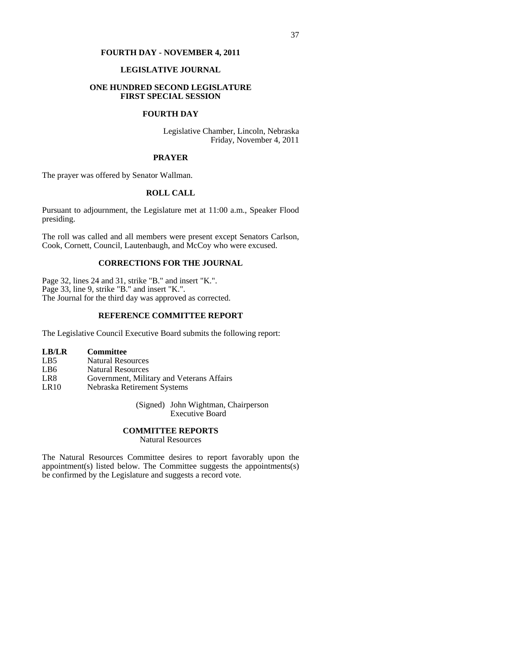# **FOURTH DAY - NOVEMBER 4, 2011**

# **LEGISLATIVE JOURNAL**

## **ONE HUNDRED SECOND LEGISLATURE FIRST SPECIAL SESSION**

## **FOURTH DAY**

Legislative Chamber, Lincoln, Nebraska Friday, November 4, 2011

### **PRAYER**

The prayer was offered by Senator Wallman.

# **ROLL CALL**

Pursuant to adjournment, the Legislature met at 11:00 a.m., Speaker Flood presiding.

The roll was called and all members were present except Senators Carlson, Cook, Cornett, Council, Lautenbaugh, and McCoy who were excused.

# **CORRECTIONS FOR THE JOURNAL**

Page 32, lines 24 and 31, strike "B." and insert "K.". Page 33, line 9, strike "B." and insert "K.". The Journal for the third day was approved as corrected.

# **REFERENCE COMMITTEE REPORT**

The Legislative Council Executive Board submits the following report:

| LB/LR | Committee                                 |
|-------|-------------------------------------------|
| LB5   | <b>Natural Resources</b>                  |
| LB6   | <b>Natural Resources</b>                  |
| LR8   | Government, Military and Veterans Affairs |
| LR10  | Nebraska Retirement Systems               |

 (Signed) John Wightman, Chairperson Executive Board

## **COMMITTEE REPORTS**

Natural Resources

The Natural Resources Committee desires to report favorably upon the appointment(s) listed below. The Committee suggests the appointments(s) be confirmed by the Legislature and suggests a record vote.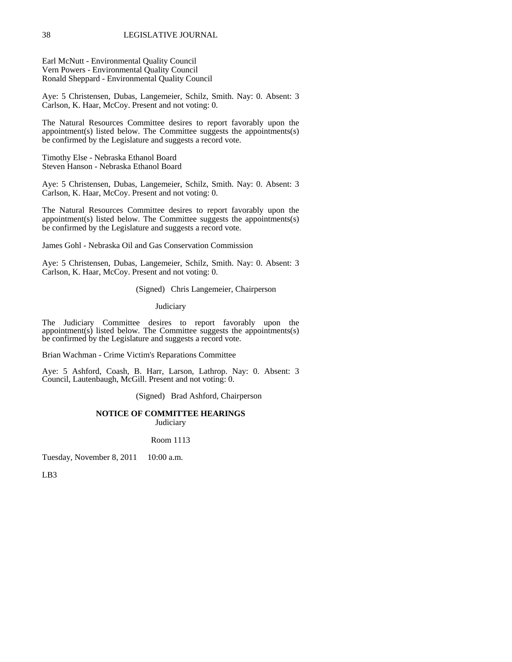## Earl McNutt - Environmental Quality Council Vern Powers - Environmental Quality Council Ronald Sheppard - Environmental Quality Council

Aye: 5 Christensen, Dubas, Langemeier, Schilz, Smith. Nay: 0. Absent: 3 Carlson, K. Haar, McCoy. Present and not voting: 0.

The Natural Resources Committee desires to report favorably upon the appointment(s) listed below. The Committee suggests the appointments(s) be confirmed by the Legislature and suggests a record vote.

Timothy Else - Nebraska Ethanol Board Steven Hanson - Nebraska Ethanol Board

Aye: 5 Christensen, Dubas, Langemeier, Schilz, Smith. Nay: 0. Absent: 3 Carlson, K. Haar, McCoy. Present and not voting: 0.

The Natural Resources Committee desires to report favorably upon the appointment(s) listed below. The Committee suggests the appointments(s) be confirmed by the Legislature and suggests a record vote.

James Gohl - Nebraska Oil and Gas Conservation Commission

Aye: 5 Christensen, Dubas, Langemeier, Schilz, Smith. Nay: 0. Absent: 3 Carlson, K. Haar, McCoy. Present and not voting: 0.

(Signed) Chris Langemeier, Chairperson

**Judiciary** 

The Judiciary Committee desires to report favorably upon the appointment(s) listed below. The Committee suggests the appointments(s) be confirmed by the Legislature and suggests a record vote.

Brian Wachman - Crime Victim's Reparations Committee

Aye: 5 Ashford, Coash, B. Harr, Larson, Lathrop. Nay: 0. Absent: 3 Council, Lautenbaugh, McGill. Present and not voting: 0.

(Signed) Brad Ashford, Chairperson

# **NOTICE OF COMMITTEE HEARINGS**

**Judiciary** 

Room 1113

Tuesday, November 8, 2011 10:00 a.m.

LB3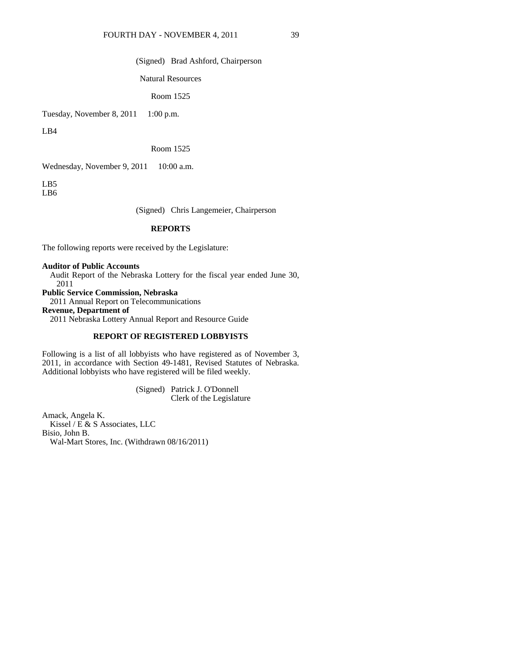#### FOURTH DAY - NOVEMBER 4, 2011 39

#### (Signed) Brad Ashford, Chairperson

Natural Resources

Room 1525

Tuesday, November 8, 2011 1:00 p.m.

LB4

Room 1525

Wednesday, November 9, 2011  $10:00$  a.m.

LB5 LB6

(Signed) Chris Langemeier, Chairperson

## **REPORTS**

The following reports were received by the Legislature:

# **Auditor of Public Accounts**

 Audit Report of the Nebraska Lottery for the fiscal year ended June 30, 2011

#### **Public Service Commission, Nebraska**

2011 Annual Report on Telecommunications

## **Revenue, Department of**

2011 Nebraska Lottery Annual Report and Resource Guide

## **REPORT OF REGISTERED LOBBYISTS**

Following is a list of all lobbyists who have registered as of November 3, 2011, in accordance with Section 49-1481, Revised Statutes of Nebraska. Additional lobbyists who have registered will be filed weekly.

> (Signed) Patrick J. O'Donnell Clerk of the Legislature

Amack, Angela K. Kissel /  $E$  & S Associates, LLC Bisio, John B. Wal-Mart Stores, Inc. (Withdrawn 08/16/2011)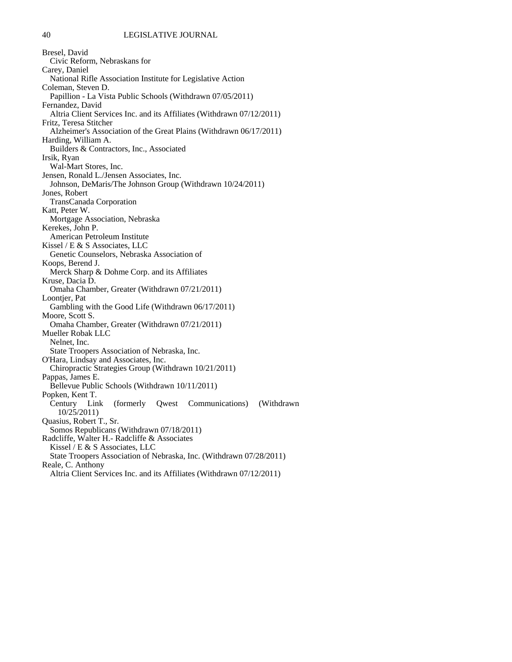Bresel, David Civic Reform, Nebraskans for Carey, Daniel National Rifle Association Institute for Legislative Action Coleman, Steven D. Papillion - La Vista Public Schools (Withdrawn 07/05/2011) Fernandez, David Altria Client Services Inc. and its Affiliates (Withdrawn 07/12/2011) Fritz, Teresa Stitcher Alzheimer's Association of the Great Plains (Withdrawn 06/17/2011) Harding, William A. Builders & Contractors, Inc., Associated Irsik, Ryan Wal-Mart Stores, Inc. Jensen, Ronald L./Jensen Associates, Inc. Johnson, DeMaris/The Johnson Group (Withdrawn 10/24/2011) Jones, Robert TransCanada Corporation Katt, Peter W. Mortgage Association, Nebraska Kerekes, John P. American Petroleum Institute Kissel / E & S Associates, LLC Genetic Counselors, Nebraska Association of Koops, Berend J. Merck Sharp & Dohme Corp. and its Affiliates Kruse, Dacia D. Omaha Chamber, Greater (Withdrawn 07/21/2011) Loontjer, Pat Gambling with the Good Life (Withdrawn 06/17/2011) Moore, Scott S. Omaha Chamber, Greater (Withdrawn 07/21/2011) Mueller Robak LLC Nelnet, Inc. State Troopers Association of Nebraska, Inc. O'Hara, Lindsay and Associates, Inc. Chiropractic Strategies Group (Withdrawn 10/21/2011) Pappas, James E. Bellevue Public Schools (Withdrawn 10/11/2011) Popken, Kent T. Century Link (formerly Qwest Communications) (Withdrawn 10/25/2011) Quasius, Robert T., Sr. Somos Republicans (Withdrawn 07/18/2011) Radcliffe, Walter H.- Radcliffe & Associates Kissel / E & S Associates, LLC State Troopers Association of Nebraska, Inc. (Withdrawn 07/28/2011) Reale, C. Anthony Altria Client Services Inc. and its Affiliates (Withdrawn 07/12/2011)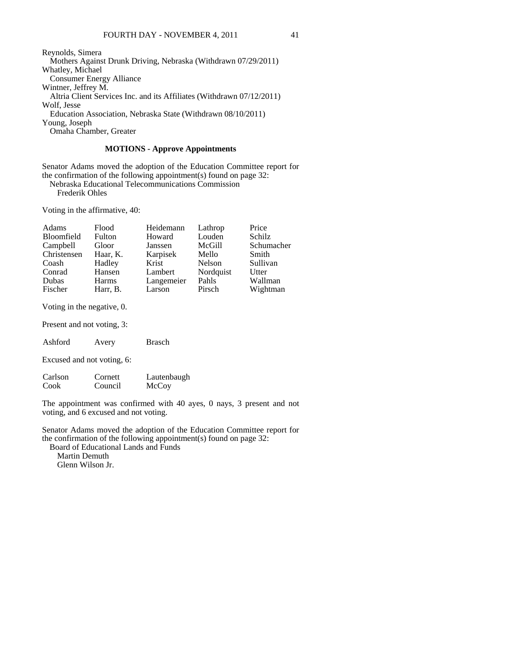Reynolds, Simera Mothers Against Drunk Driving, Nebraska (Withdrawn 07/29/2011) Whatley, Michael Consumer Energy Alliance Wintner, Jeffrey M. Altria Client Services Inc. and its Affiliates (Withdrawn 07/12/2011) Wolf, Jesse Education Association, Nebraska State (Withdrawn 08/10/2011) Young, Joseph Omaha Chamber, Greater

# **MOTIONS - Approve Appointments**

Senator Adams moved the adoption of the Education Committee report for the confirmation of the following appointment(s) found on page 32:

 Nebraska Educational Telecommunications Commission Frederik Ohles

Voting in the affirmative, 40:

| Adams        | Flood        | Heidemann  | Lathrop   | Price      |
|--------------|--------------|------------|-----------|------------|
| Bloomfield   | Fulton       | Howard     | Louden    | Schilz     |
| Campbell     | Gloor        | Janssen    | McGill    | Schumacher |
| Christensen  | Haar, K.     | Karpisek   | Mello     | Smith      |
| Coash        | Hadley       | Krist      | Nelson    | Sullivan   |
| Conrad       | Hansen       | Lambert    | Nordquist | Utter      |
| <b>Dubas</b> | <b>Harms</b> | Langemeier | Pahls     | Wallman    |
| Fischer      | Harr, B.     | Larson     | Pirsch    | Wightman   |

Voting in the negative, 0.

Present and not voting, 3:

Ashford Avery Brasch

Excused and not voting, 6:

| Carlson | Cornett | Lautenbaugh |
|---------|---------|-------------|
| Cook    | Council | McCoy       |

The appointment was confirmed with 40 ayes, 0 nays, 3 present and not voting, and 6 excused and not voting.

Senator Adams moved the adoption of the Education Committee report for the confirmation of the following appointment(s) found on page 32:

 Board of Educational Lands and Funds Martin Demuth Glenn Wilson Jr.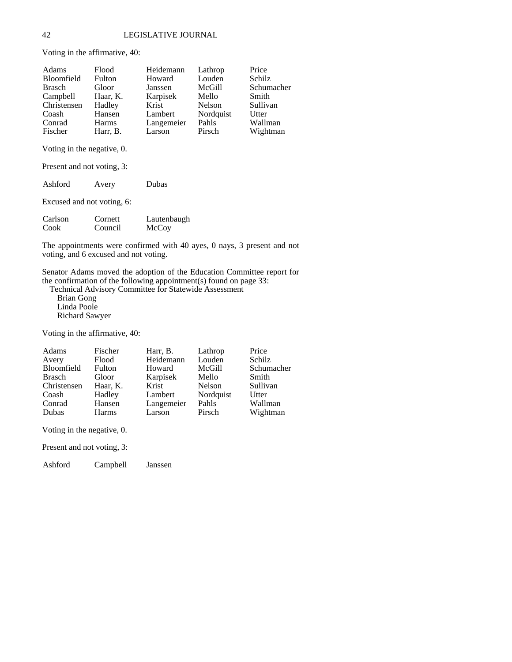Adams Flood Heidemann Lathrop Price Bloomfield Fulton Howard Louden Schilz Brasch Gloor Janssen McGill Schumacher Campbell Haar, K. Karpisek Mello Smith Christensen Hadley Krist Nelson Sullivan Coash Hansen Lambert Nordquist Utter Conrad Harms Langemeier Pahls Wallman Fischer Harr, B. Larson Pirsch Wightman

Voting in the affirmative, 40:

Voting in the negative, 0.

Present and not voting, 3:

Ashford Avery Dubas

Excused and not voting, 6:

| Carlson | Cornett | Lautenbaugh |
|---------|---------|-------------|
| Cook    | Council | McCoy       |

The appointments were confirmed with 40 ayes, 0 nays, 3 present and not voting, and 6 excused and not voting.

Senator Adams moved the adoption of the Education Committee report for the confirmation of the following appointment(s) found on page 33:

Technical Advisory Committee for Statewide Assessment

 Brian Gong Linda Poole Richard Sawyer

Voting in the affirmative, 40:

| Adams         | Fischer       | Harr, B.   | Lathrop   | Price      |
|---------------|---------------|------------|-----------|------------|
| Avery         | Flood         | Heidemann  | Louden    | Schilz     |
| Bloomfield    | <b>Fulton</b> | Howard     | McGill    | Schumacher |
| <b>Brasch</b> | Gloor         | Karpisek   | Mello     | Smith      |
| Christensen   | Haar, K.      | Krist      | Nelson    | Sullivan   |
| Coash         | Hadley        | Lambert    | Nordquist | Utter      |
| Conrad        | Hansen        | Langemeier | Pahls     | Wallman    |
| Dubas         | <b>Harms</b>  | Larson     | Pirsch    | Wightman   |

Voting in the negative, 0.

Present and not voting, 3:

Ashford Campbell Janssen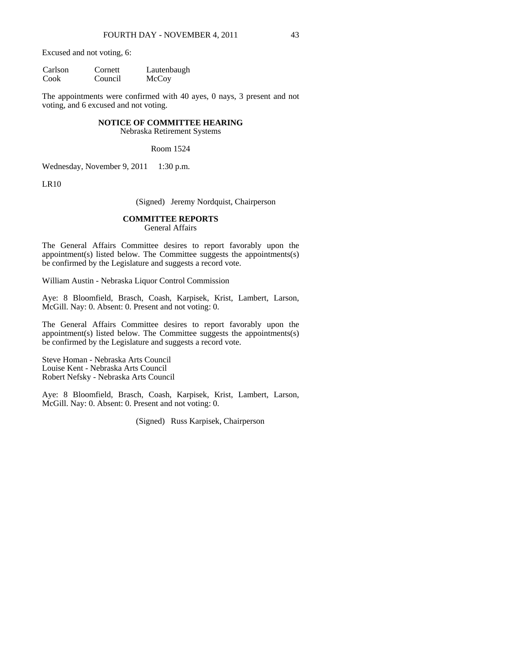Excused and not voting, 6:

| Carlson | Cornett | Lautenbaugh |
|---------|---------|-------------|
| Cook    | Council | McCoy       |

The appointments were confirmed with 40 ayes, 0 nays, 3 present and not voting, and 6 excused and not voting.

#### **NOTICE OF COMMITTEE HEARING**

Nebraska Retirement Systems

#### Room 1524

Wednesday, November 9, 2011 1:30 p.m.

LR10

## (Signed) Jeremy Nordquist, Chairperson

#### **COMMITTEE REPORTS**

General Affairs

The General Affairs Committee desires to report favorably upon the appointment(s) listed below. The Committee suggests the appointments(s) be confirmed by the Legislature and suggests a record vote.

William Austin - Nebraska Liquor Control Commission

Aye: 8 Bloomfield, Brasch, Coash, Karpisek, Krist, Lambert, Larson, McGill. Nay: 0. Absent: 0. Present and not voting: 0.

The General Affairs Committee desires to report favorably upon the appointment(s) listed below. The Committee suggests the appointments(s) be confirmed by the Legislature and suggests a record vote.

Steve Homan - Nebraska Arts Council Louise Kent - Nebraska Arts Council Robert Nefsky - Nebraska Arts Council

Aye: 8 Bloomfield, Brasch, Coash, Karpisek, Krist, Lambert, Larson, McGill. Nay: 0. Absent: 0. Present and not voting: 0.

(Signed) Russ Karpisek, Chairperson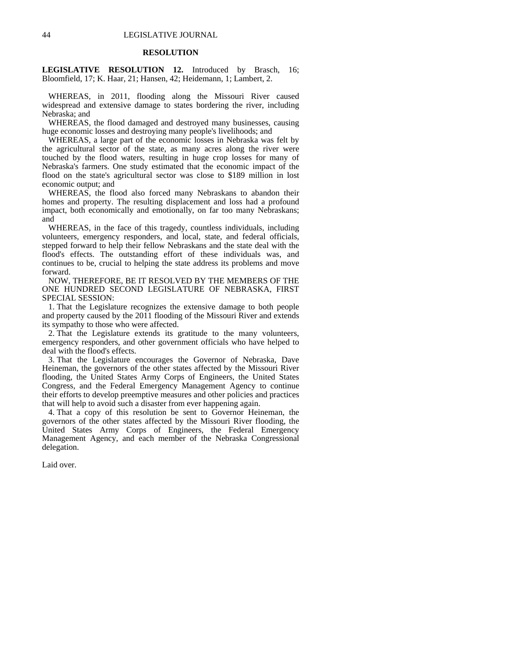#### **RESOLUTION**

**LEGISLATIVE RESOLUTION 12.** Introduced by Brasch, 16; Bloomfield, 17; K. Haar, 21; Hansen, 42; Heidemann, 1; Lambert, 2.

 WHEREAS, in 2011, flooding along the Missouri River caused widespread and extensive damage to states bordering the river, including Nebraska; and

 WHEREAS, the flood damaged and destroyed many businesses, causing huge economic losses and destroying many people's livelihoods; and

 WHEREAS, a large part of the economic losses in Nebraska was felt by the agricultural sector of the state, as many acres along the river were touched by the flood waters, resulting in huge crop losses for many of Nebraska's farmers. One study estimated that the economic impact of the flood on the state's agricultural sector was close to \$189 million in lost economic output; and

 WHEREAS, the flood also forced many Nebraskans to abandon their homes and property. The resulting displacement and loss had a profound impact, both economically and emotionally, on far too many Nebraskans; and

 WHEREAS, in the face of this tragedy, countless individuals, including volunteers, emergency responders, and local, state, and federal officials, stepped forward to help their fellow Nebraskans and the state deal with the flood's effects. The outstanding effort of these individuals was, and continues to be, crucial to helping the state address its problems and move forward.

 NOW, THEREFORE, BE IT RESOLVED BY THE MEMBERS OF THE ONE HUNDRED SECOND LEGISLATURE OF NEBRASKA, FIRST SPECIAL SESSION:

 1. That the Legislature recognizes the extensive damage to both people and property caused by the 2011 flooding of the Missouri River and extends its sympathy to those who were affected.

 2. That the Legislature extends its gratitude to the many volunteers, emergency responders, and other government officials who have helped to deal with the flood's effects.

 3. That the Legislature encourages the Governor of Nebraska, Dave Heineman, the governors of the other states affected by the Missouri River flooding, the United States Army Corps of Engineers, the United States Congress, and the Federal Emergency Management Agency to continue their efforts to develop preemptive measures and other policies and practices that will help to avoid such a disaster from ever happening again.

 4. That a copy of this resolution be sent to Governor Heineman, the governors of the other states affected by the Missouri River flooding, the United States Army Corps of Engineers, the Federal Emergency Management Agency, and each member of the Nebraska Congressional delegation.

Laid over.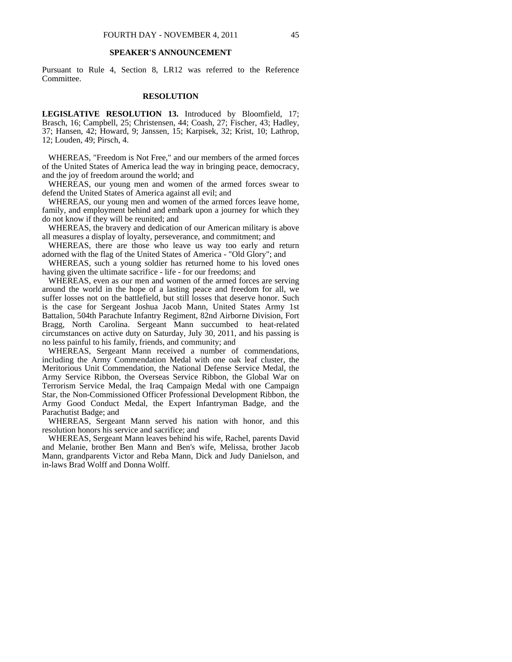#### **SPEAKER'S ANNOUNCEMENT**

Pursuant to Rule 4, Section 8, LR12 was referred to the Reference Committee.

#### **RESOLUTION**

**LEGISLATIVE RESOLUTION 13.** Introduced by Bloomfield, 17; Brasch, 16; Campbell, 25; Christensen, 44; Coash, 27; Fischer, 43; Hadley, 37; Hansen, 42; Howard, 9; Janssen, 15; Karpisek, 32; Krist, 10; Lathrop, 12; Louden, 49; Pirsch, 4.

 WHEREAS, "Freedom is Not Free," and our members of the armed forces of the United States of America lead the way in bringing peace, democracy, and the joy of freedom around the world; and

 WHEREAS, our young men and women of the armed forces swear to defend the United States of America against all evil; and

 WHEREAS, our young men and women of the armed forces leave home, family, and employment behind and embark upon a journey for which they do not know if they will be reunited; and

 WHEREAS, the bravery and dedication of our American military is above all measures a display of loyalty, perseverance, and commitment; and

 WHEREAS, there are those who leave us way too early and return adorned with the flag of the United States of America - "Old Glory"; and

 WHEREAS, such a young soldier has returned home to his loved ones having given the ultimate sacrifice - life - for our freedoms; and

 WHEREAS, even as our men and women of the armed forces are serving around the world in the hope of a lasting peace and freedom for all, we suffer losses not on the battlefield, but still losses that deserve honor. Such is the case for Sergeant Joshua Jacob Mann, United States Army 1st Battalion, 504th Parachute Infantry Regiment, 82nd Airborne Division, Fort Bragg, North Carolina. Sergeant Mann succumbed to heat-related circumstances on active duty on Saturday, July 30, 2011, and his passing is no less painful to his family, friends, and community; and

 WHEREAS, Sergeant Mann received a number of commendations, including the Army Commendation Medal with one oak leaf cluster, the Meritorious Unit Commendation, the National Defense Service Medal, the Army Service Ribbon, the Overseas Service Ribbon, the Global War on Terrorism Service Medal, the Iraq Campaign Medal with one Campaign Star, the Non-Commissioned Officer Professional Development Ribbon, the Army Good Conduct Medal, the Expert Infantryman Badge, and the Parachutist Badge; and

 WHEREAS, Sergeant Mann served his nation with honor, and this resolution honors his service and sacrifice; and

 WHEREAS, Sergeant Mann leaves behind his wife, Rachel, parents David and Melanie, brother Ben Mann and Ben's wife, Melissa, brother Jacob Mann, grandparents Victor and Reba Mann, Dick and Judy Danielson, and in-laws Brad Wolff and Donna Wolff.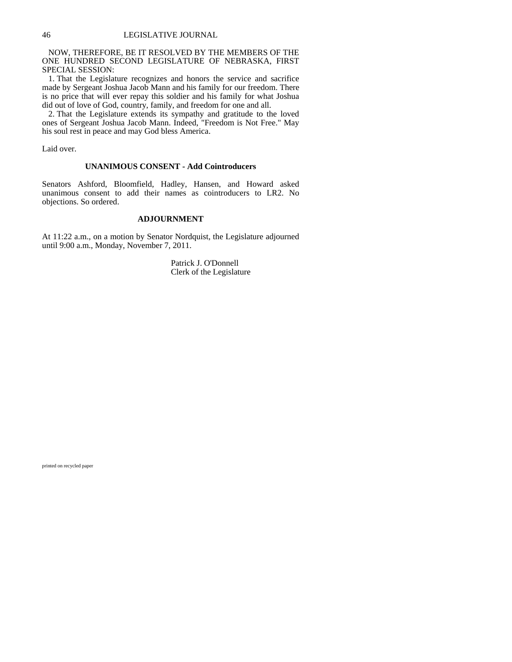## NOW, THEREFORE, BE IT RESOLVED BY THE MEMBERS OF THE ONE HUNDRED SECOND LEGISLATURE OF NEBRASKA, FIRST SPECIAL SESSION:

 1. That the Legislature recognizes and honors the service and sacrifice made by Sergeant Joshua Jacob Mann and his family for our freedom. There is no price that will ever repay this soldier and his family for what Joshua did out of love of God, country, family, and freedom for one and all.

 2. That the Legislature extends its sympathy and gratitude to the loved ones of Sergeant Joshua Jacob Mann. Indeed, "Freedom is Not Free." May his soul rest in peace and may God bless America.

Laid over.

#### **UNANIMOUS CONSENT - Add Cointroducers**

Senators Ashford, Bloomfield, Hadley, Hansen, and Howard asked unanimous consent to add their names as cointroducers to LR2. No objections. So ordered.

#### **ADJOURNMENT**

At 11:22 a.m., on a motion by Senator Nordquist, the Legislature adjourned until 9:00 a.m., Monday, November 7, 2011.

> Patrick J. O'Donnell Clerk of the Legislature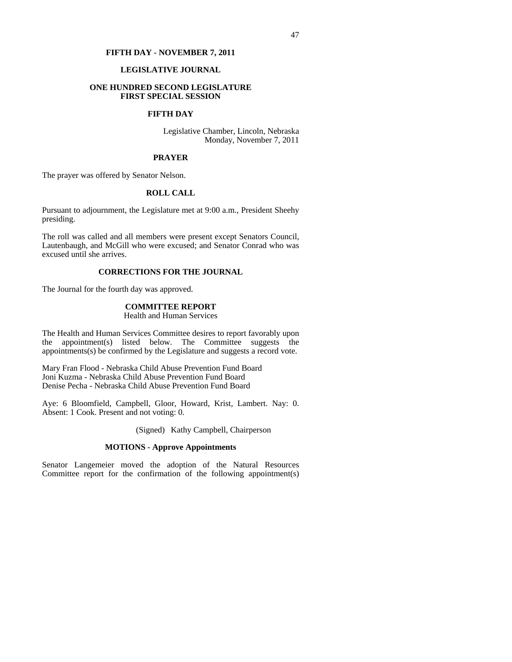# **FIFTH DAY - NOVEMBER 7, 2011**

## **LEGISLATIVE JOURNAL**

## **ONE HUNDRED SECOND LEGISLATURE FIRST SPECIAL SESSION**

#### **FIFTH DAY**

Legislative Chamber, Lincoln, Nebraska Monday, November 7, 2011

#### **PRAYER**

The prayer was offered by Senator Nelson.

# **ROLL CALL**

Pursuant to adjournment, the Legislature met at 9:00 a.m., President Sheehy presiding.

The roll was called and all members were present except Senators Council, Lautenbaugh, and McGill who were excused; and Senator Conrad who was excused until she arrives.

## **CORRECTIONS FOR THE JOURNAL**

The Journal for the fourth day was approved.

### **COMMITTEE REPORT**

Health and Human Services

The Health and Human Services Committee desires to report favorably upon the appointment(s) listed below. The Committee suggests the appointments(s) be confirmed by the Legislature and suggests a record vote.

Mary Fran Flood - Nebraska Child Abuse Prevention Fund Board Joni Kuzma - Nebraska Child Abuse Prevention Fund Board Denise Pecha - Nebraska Child Abuse Prevention Fund Board

Aye: 6 Bloomfield, Campbell, Gloor, Howard, Krist, Lambert. Nay: 0. Absent: 1 Cook. Present and not voting: 0.

(Signed) Kathy Campbell, Chairperson

## **MOTIONS - Approve Appointments**

Senator Langemeier moved the adoption of the Natural Resources Committee report for the confirmation of the following appointment(s)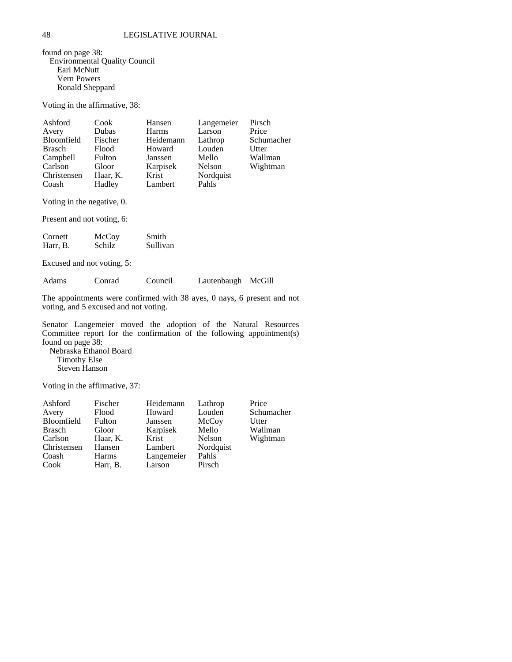found on page 38: Environmental Quality Council Earl McNutt Vern Powers Ronald Sheppard

Voting in the affirmative, 38:

| Ashford       | Cook         | Hansen       | Langemeier | Pirsch     |
|---------------|--------------|--------------|------------|------------|
| Avery         | <b>Dubas</b> | <b>Harms</b> | Larson     | Price      |
| Bloomfield    | Fischer      | Heidemann    | Lathrop    | Schumacher |
| <b>Brasch</b> | Flood        | Howard       | Louden     | Utter      |
| Campbell      | Fulton       | Janssen      | Mello      | Wallman    |
| Carlson       | Gloor        | Karpisek     | Nelson     | Wightman   |
| Christensen   | Haar, K.     | Krist        | Nordquist  |            |
| Coash         | Hadley       | Lambert      | Pahls      |            |

Voting in the negative, 0.

Present and not voting, 6:

| Cornett  | McCoy         | Smith    |
|----------|---------------|----------|
| Harr, B. | <b>Schilz</b> | Sullivan |

Excused and not voting, 5:

| Adams | Conrad | Council | Lautenbaugh McGill |  |
|-------|--------|---------|--------------------|--|
|-------|--------|---------|--------------------|--|

The appointments were confirmed with 38 ayes, 0 nays, 6 present and not voting, and 5 excused and not voting.

Senator Langemeier moved the adoption of the Natural Resources Committee report for the confirmation of the following appointment(s) found on page 38:

 Nebraska Ethanol Board Timothy Else Steven Hanson

Voting in the affirmative, 37:

| Ashford       | Fischer      | Heidemann  | Lathrop   | Price      |
|---------------|--------------|------------|-----------|------------|
| Avery         | Flood        | Howard     | Louden    | Schumacher |
| Bloomfield    | Fulton       | Janssen    | McCoy     | Utter      |
| <b>Brasch</b> | Gloor        | Karpisek   | Mello     | Wallman    |
| Carlson       | Haar, K.     | Krist      | Nelson    | Wightman   |
| Christensen   | Hansen       | Lambert    | Nordquist |            |
| Coash         | <b>Harms</b> | Langemeier | Pahls     |            |
| Cook          | Harr, B.     | Larson     | Pirsch    |            |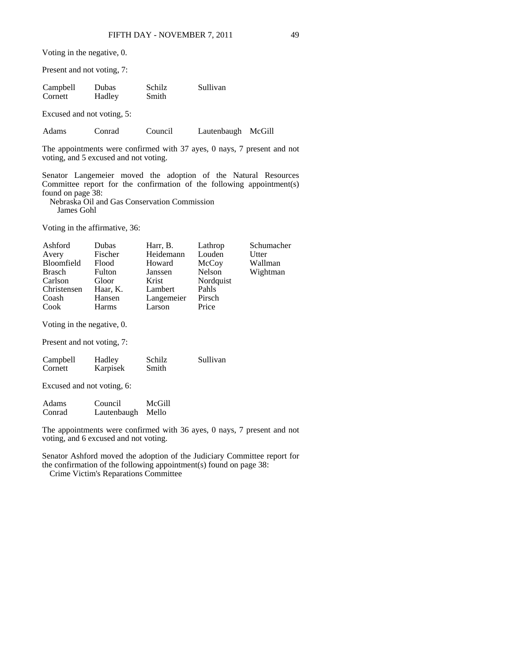Voting in the negative, 0.

Present and not voting, 7:

| Campbell | Dubas  | Schilz | Sullivan |
|----------|--------|--------|----------|
| Cornett  | Hadley | Smith  |          |

Excused and not voting, 5:

| Adams | Conrad | Council | Lautenbaugh McGill |  |
|-------|--------|---------|--------------------|--|
|-------|--------|---------|--------------------|--|

The appointments were confirmed with 37 ayes, 0 nays, 7 present and not voting, and 5 excused and not voting.

Senator Langemeier moved the adoption of the Natural Resources Committee report for the confirmation of the following appointment(s) found on page 38:

 Nebraska Oil and Gas Conservation Commission James Gohl

Voting in the affirmative, 36:

| Ashford<br>Avery | Dubas<br>Fischer | Harr, B.<br>Heidemann | Lathrop<br>Louden | Schumacher<br>Utter |
|------------------|------------------|-----------------------|-------------------|---------------------|
| Bloomfield       | Flood            | Howard                | McCoy             | Wallman             |
| <b>Brasch</b>    | Fulton           | Janssen               | Nelson            | Wightman            |
| Carlson          | Gloor            | Krist                 | Nordquist         |                     |
| Christensen      | Haar, K.         | Lambert               | Pahls             |                     |
| Coash            | Hansen           | Langemeier            | Pirsch            |                     |
| Cook             | <b>Harms</b>     | Larson                | Price             |                     |

Voting in the negative, 0.

Present and not voting, 7:

| Campbell | Hadley   | Schilz | Sullivan |
|----------|----------|--------|----------|
| Cornett  | Karpisek | Smith  |          |

Excused and not voting, 6:

| Adams  | Council     | McGill |
|--------|-------------|--------|
| Conrad | Lautenbaugh | Mello  |

The appointments were confirmed with 36 ayes, 0 nays, 7 present and not voting, and 6 excused and not voting.

Senator Ashford moved the adoption of the Judiciary Committee report for the confirmation of the following appointment(s) found on page 38:

Crime Victim's Reparations Committee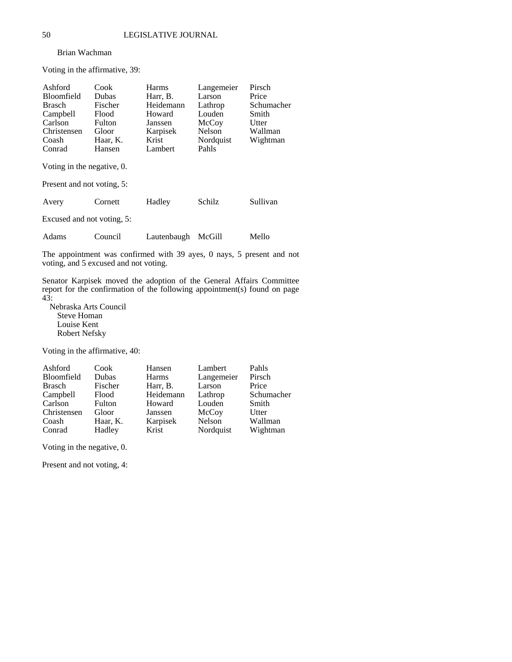#### Brian Wachman

Voting in the affirmative, 39:

| Ashford                                                  | Cook          | <b>Harms</b> | Langemeier    | Pirsch     |
|----------------------------------------------------------|---------------|--------------|---------------|------------|
| <b>Bloomfield</b>                                        | <b>Dubas</b>  | Harr, B.     | Larson        | Price      |
| Brasch                                                   | Fischer       | Heidemann    | Lathrop       | Schumacher |
| Campbell                                                 | Flood         | Howard       | Louden        | Smith      |
| Carlson                                                  | <b>Fulton</b> | Janssen      | McCoy         | Utter      |
| Christensen                                              | Gloor         | Karpisek     | <b>Nelson</b> | Wallman    |
| Coash                                                    | Haar, K.      | Krist        | Nordquist     | Wightman   |
| Conrad                                                   | Hansen        | Lambert      | Pahls         |            |
| Voting in the negative, 0.<br>Present and not voting, 5: |               |              |               |            |
| Avery                                                    | Cornett       | Hadley       | Schilz        | Sullivan   |
| Excused and not voting, 5:                               |               |              |               |            |
| Adams                                                    | Council       | Lautenbaugh  | McGill        | Mello      |

The appointment was confirmed with 39 ayes, 0 nays, 5 present and not voting, and 5 excused and not voting.

Senator Karpisek moved the adoption of the General Affairs Committee report for the confirmation of the following appointment(s) found on page  $4\overline{3}$ :

 Nebraska Arts Council Steve Homan Louise Kent Robert Nefsky

Voting in the affirmative, 40:

| Ashford       | Cook     | Hansen    | Lambert    | Pahls      |
|---------------|----------|-----------|------------|------------|
| Bloomfield    | Dubas    | Harms     | Langemeier | Pirsch     |
| <b>Brasch</b> | Fischer  | Harr, B.  | Larson     | Price      |
| Campbell      | Flood    | Heidemann | Lathrop    | Schumacher |
| Carlson       | Fulton   | Howard    | Louden     | Smith      |
| Christensen   | Gloor    | Janssen   | McCoy      | Utter      |
| Coash         | Haar, K. | Karpisek  | Nelson     | Wallman    |
| Conrad        | Hadley   | Krist     | Nordquist  | Wightman   |

Voting in the negative, 0.

Present and not voting, 4: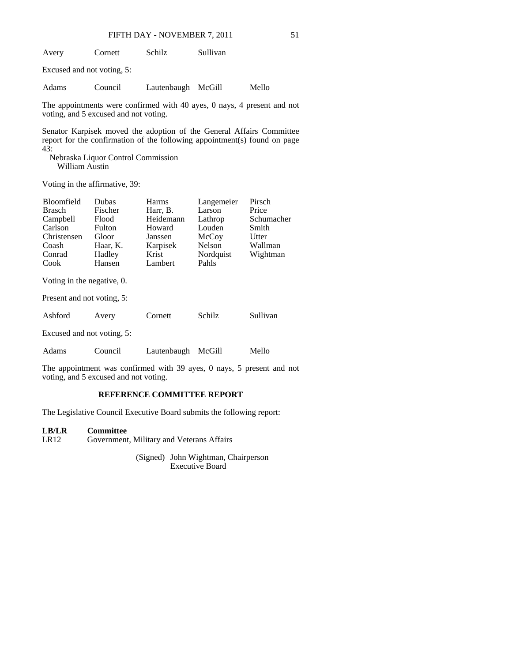#### FIFTH DAY - NOVEMBER 7, 2011 51

| Avery | Cornett                    | Schilz | Sullivan |
|-------|----------------------------|--------|----------|
|       | Excused and not voting, 5: |        |          |

Adams Council Lautenbaugh McGill Mello

The appointments were confirmed with 40 ayes, 0 nays, 4 present and not voting, and 5 excused and not voting.

Senator Karpisek moved the adoption of the General Affairs Committee report for the confirmation of the following appointment(s) found on page 43:

 Nebraska Liquor Control Commission William Austin

Voting in the affirmative, 39:

| <b>Bloomfield</b><br><b>Brasch</b><br>Campbell<br>Carlson<br>Christensen<br>Coash<br>Conrad<br>Cook<br>Voting in the negative, 0. | <b>Dubas</b><br>Fischer<br>Flood<br>Fulton<br>Gloor<br>Haar, K.<br>Hadley<br>Hansen | Harms<br>Harr, B.<br>Heidemann<br>Howard<br>Janssen<br>Karpisek<br>Krist<br>Lambert | Langemeier<br>Larson<br>Lathrop<br>Louden<br>McCoy<br><b>Nelson</b><br>Nordquist<br>Pahls | Pirsch<br>Price<br>Schumacher<br>Smith<br>Utter<br>Wallman<br>Wightman |
|-----------------------------------------------------------------------------------------------------------------------------------|-------------------------------------------------------------------------------------|-------------------------------------------------------------------------------------|-------------------------------------------------------------------------------------------|------------------------------------------------------------------------|
| Present and not voting, 5:                                                                                                        |                                                                                     |                                                                                     |                                                                                           |                                                                        |
| Ashford                                                                                                                           | Avery                                                                               | Cornett                                                                             | Schilz                                                                                    | Sullivan                                                               |
| Excused and not voting, 5:                                                                                                        |                                                                                     |                                                                                     |                                                                                           |                                                                        |
| Adams                                                                                                                             | Council                                                                             | Lautenbaugh                                                                         | McGill                                                                                    | Mello                                                                  |

The appointment was confirmed with 39 ayes, 0 nays, 5 present and not voting, and 5 excused and not voting.

### **REFERENCE COMMITTEE REPORT**

The Legislative Council Executive Board submits the following report:

| <b>LB/LR</b> | Committee                                 |
|--------------|-------------------------------------------|
| LR12         | Government, Military and Veterans Affairs |

 (Signed) John Wightman, Chairperson Executive Board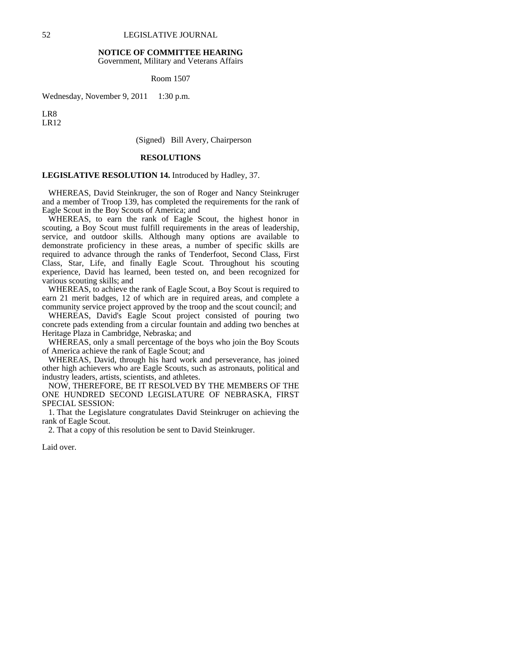## **NOTICE OF COMMITTEE HEARING**

Government, Military and Veterans Affairs

Room 1507

Wednesday, November 9, 2011 1:30 p.m.

LR8 LR12

#### (Signed) Bill Avery, Chairperson

#### **RESOLUTIONS**

#### **LEGISLATIVE RESOLUTION 14.** Introduced by Hadley, 37.

 WHEREAS, David Steinkruger, the son of Roger and Nancy Steinkruger and a member of Troop 139, has completed the requirements for the rank of Eagle Scout in the Boy Scouts of America; and

 WHEREAS, to earn the rank of Eagle Scout, the highest honor in scouting, a Boy Scout must fulfill requirements in the areas of leadership, service, and outdoor skills. Although many options are available to demonstrate proficiency in these areas, a number of specific skills are required to advance through the ranks of Tenderfoot, Second Class, First Class, Star, Life, and finally Eagle Scout. Throughout his scouting experience, David has learned, been tested on, and been recognized for various scouting skills; and

 WHEREAS, to achieve the rank of Eagle Scout, a Boy Scout is required to earn 21 merit badges, 12 of which are in required areas, and complete a community service project approved by the troop and the scout council; and

 WHEREAS, David's Eagle Scout project consisted of pouring two concrete pads extending from a circular fountain and adding two benches at Heritage Plaza in Cambridge, Nebraska; and

 WHEREAS, only a small percentage of the boys who join the Boy Scouts of America achieve the rank of Eagle Scout; and

 WHEREAS, David, through his hard work and perseverance, has joined other high achievers who are Eagle Scouts, such as astronauts, political and industry leaders, artists, scientists, and athletes.

 NOW, THEREFORE, BE IT RESOLVED BY THE MEMBERS OF THE ONE HUNDRED SECOND LEGISLATURE OF NEBRASKA, FIRST SPECIAL SESSION:

 1. That the Legislature congratulates David Steinkruger on achieving the rank of Eagle Scout.

2. That a copy of this resolution be sent to David Steinkruger.

Laid over.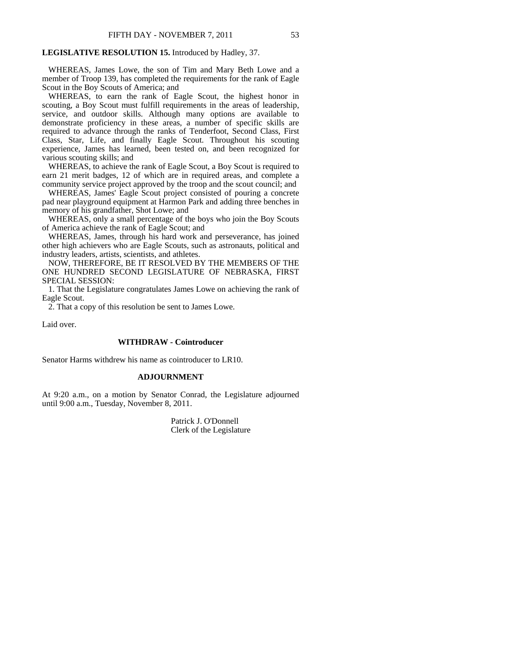## **LEGISLATIVE RESOLUTION 15.** Introduced by Hadley, 37.

 WHEREAS, James Lowe, the son of Tim and Mary Beth Lowe and a member of Troop 139, has completed the requirements for the rank of Eagle Scout in the Boy Scouts of America; and

 WHEREAS, to earn the rank of Eagle Scout, the highest honor in scouting, a Boy Scout must fulfill requirements in the areas of leadership, service, and outdoor skills. Although many options are available to demonstrate proficiency in these areas, a number of specific skills are required to advance through the ranks of Tenderfoot, Second Class, First Class, Star, Life, and finally Eagle Scout. Throughout his scouting experience, James has learned, been tested on, and been recognized for various scouting skills; and

 WHEREAS, to achieve the rank of Eagle Scout, a Boy Scout is required to earn 21 merit badges, 12 of which are in required areas, and complete a community service project approved by the troop and the scout council; and

 WHEREAS, James' Eagle Scout project consisted of pouring a concrete pad near playground equipment at Harmon Park and adding three benches in memory of his grandfather, Shot Lowe; and

 WHEREAS, only a small percentage of the boys who join the Boy Scouts of America achieve the rank of Eagle Scout; and

 WHEREAS, James, through his hard work and perseverance, has joined other high achievers who are Eagle Scouts, such as astronauts, political and industry leaders, artists, scientists, and athletes.

 NOW, THEREFORE, BE IT RESOLVED BY THE MEMBERS OF THE ONE HUNDRED SECOND LEGISLATURE OF NEBRASKA, FIRST SPECIAL SESSION:

 1. That the Legislature congratulates James Lowe on achieving the rank of Eagle Scout.

2. That a copy of this resolution be sent to James Lowe.

Laid over.

#### **WITHDRAW - Cointroducer**

Senator Harms withdrew his name as cointroducer to LR10.

#### **ADJOURNMENT**

At 9:20 a.m., on a motion by Senator Conrad, the Legislature adjourned until 9:00 a.m., Tuesday, November 8, 2011.

> Patrick J. O'Donnell Clerk of the Legislature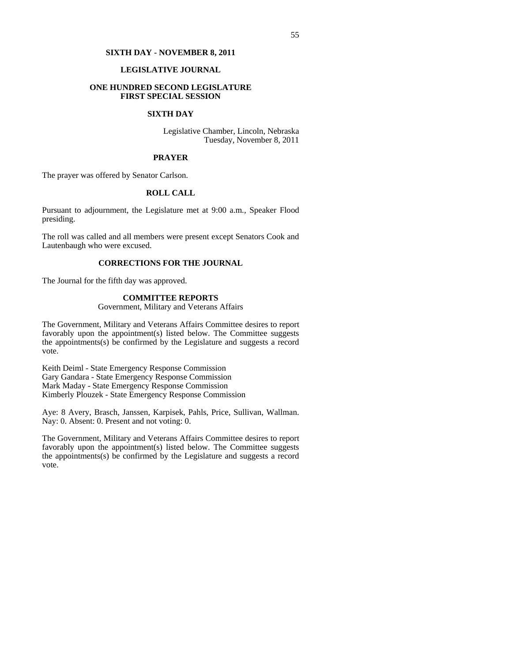# **SIXTH DAY - NOVEMBER 8, 2011**

# **LEGISLATIVE JOURNAL**

## **ONE HUNDRED SECOND LEGISLATURE FIRST SPECIAL SESSION**

### **SIXTH DAY**

Legislative Chamber, Lincoln, Nebraska Tuesday, November 8, 2011

## **PRAYER**

The prayer was offered by Senator Carlson.

# **ROLL CALL**

Pursuant to adjournment, the Legislature met at 9:00 a.m., Speaker Flood presiding.

The roll was called and all members were present except Senators Cook and Lautenbaugh who were excused.

## **CORRECTIONS FOR THE JOURNAL**

The Journal for the fifth day was approved.

## **COMMITTEE REPORTS**

Government, Military and Veterans Affairs

The Government, Military and Veterans Affairs Committee desires to report favorably upon the appointment(s) listed below. The Committee suggests the appointments(s) be confirmed by the Legislature and suggests a record vote.

Keith Deiml - State Emergency Response Commission Gary Gandara - State Emergency Response Commission Mark Maday - State Emergency Response Commission Kimberly Plouzek - State Emergency Response Commission

Aye: 8 Avery, Brasch, Janssen, Karpisek, Pahls, Price, Sullivan, Wallman. Nay: 0. Absent: 0. Present and not voting: 0.

The Government, Military and Veterans Affairs Committee desires to report favorably upon the appointment(s) listed below. The Committee suggests the appointments(s) be confirmed by the Legislature and suggests a record vote.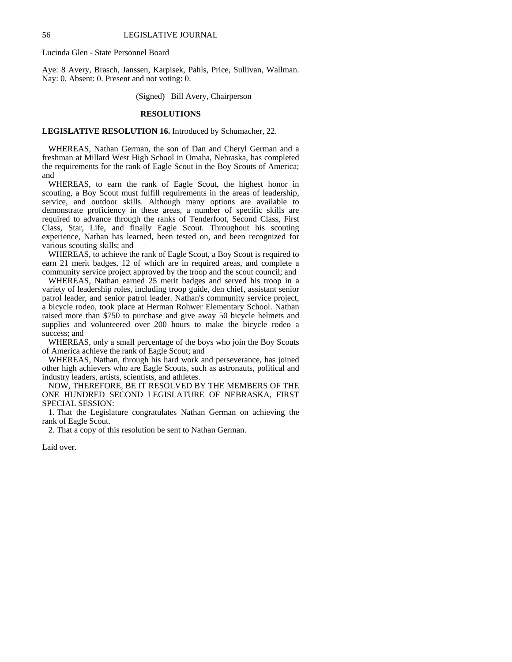Lucinda Glen - State Personnel Board

Aye: 8 Avery, Brasch, Janssen, Karpisek, Pahls, Price, Sullivan, Wallman. Nay: 0. Absent: 0. Present and not voting: 0.

(Signed) Bill Avery, Chairperson

#### **RESOLUTIONS**

### **LEGISLATIVE RESOLUTION 16.** Introduced by Schumacher, 22.

 WHEREAS, Nathan German, the son of Dan and Cheryl German and a freshman at Millard West High School in Omaha, Nebraska, has completed the requirements for the rank of Eagle Scout in the Boy Scouts of America; and

 WHEREAS, to earn the rank of Eagle Scout, the highest honor in scouting, a Boy Scout must fulfill requirements in the areas of leadership, service, and outdoor skills. Although many options are available to demonstrate proficiency in these areas, a number of specific skills are required to advance through the ranks of Tenderfoot, Second Class, First Class, Star, Life, and finally Eagle Scout. Throughout his scouting experience, Nathan has learned, been tested on, and been recognized for various scouting skills; and

 WHEREAS, to achieve the rank of Eagle Scout, a Boy Scout is required to earn 21 merit badges, 12 of which are in required areas, and complete a community service project approved by the troop and the scout council; and

 WHEREAS, Nathan earned 25 merit badges and served his troop in a variety of leadership roles, including troop guide, den chief, assistant senior patrol leader, and senior patrol leader. Nathan's community service project, a bicycle rodeo, took place at Herman Rohwer Elementary School. Nathan raised more than \$750 to purchase and give away 50 bicycle helmets and supplies and volunteered over 200 hours to make the bicycle rodeo a success; and

 WHEREAS, only a small percentage of the boys who join the Boy Scouts of America achieve the rank of Eagle Scout; and

 WHEREAS, Nathan, through his hard work and perseverance, has joined other high achievers who are Eagle Scouts, such as astronauts, political and industry leaders, artists, scientists, and athletes.

 NOW, THEREFORE, BE IT RESOLVED BY THE MEMBERS OF THE ONE HUNDRED SECOND LEGISLATURE OF NEBRASKA, FIRST SPECIAL SESSION:

 1. That the Legislature congratulates Nathan German on achieving the rank of Eagle Scout.

2. That a copy of this resolution be sent to Nathan German.

Laid over.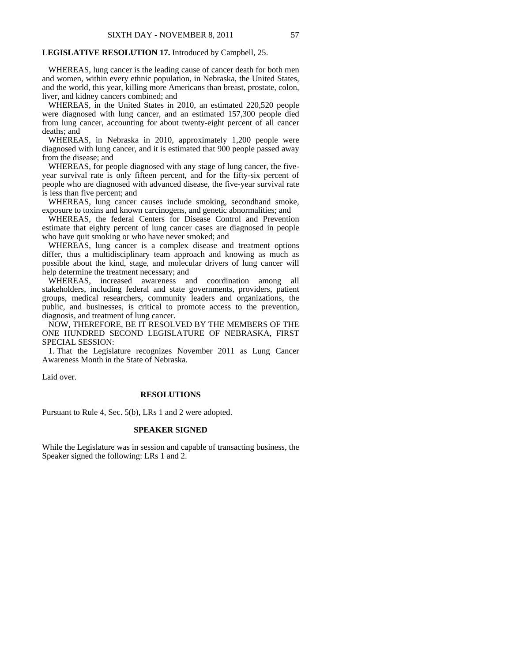#### **LEGISLATIVE RESOLUTION 17.** Introduced by Campbell, 25.

 WHEREAS, lung cancer is the leading cause of cancer death for both men and women, within every ethnic population, in Nebraska, the United States, and the world, this year, killing more Americans than breast, prostate, colon, liver, and kidney cancers combined; and

 WHEREAS, in the United States in 2010, an estimated 220,520 people were diagnosed with lung cancer, and an estimated 157,300 people died from lung cancer, accounting for about twenty-eight percent of all cancer deaths; and

 WHEREAS, in Nebraska in 2010, approximately 1,200 people were diagnosed with lung cancer, and it is estimated that 900 people passed away from the disease; and

 WHEREAS, for people diagnosed with any stage of lung cancer, the fiveyear survival rate is only fifteen percent, and for the fifty-six percent of people who are diagnosed with advanced disease, the five-year survival rate is less than five percent; and

 WHEREAS, lung cancer causes include smoking, secondhand smoke, exposure to toxins and known carcinogens, and genetic abnormalities; and

 WHEREAS, the federal Centers for Disease Control and Prevention estimate that eighty percent of lung cancer cases are diagnosed in people who have quit smoking or who have never smoked; and

 WHEREAS, lung cancer is a complex disease and treatment options differ, thus a multidisciplinary team approach and knowing as much as possible about the kind, stage, and molecular drivers of lung cancer will help determine the treatment necessary; and

 WHEREAS, increased awareness and coordination among all stakeholders, including federal and state governments, providers, patient groups, medical researchers, community leaders and organizations, the public, and businesses, is critical to promote access to the prevention, diagnosis, and treatment of lung cancer.

 NOW, THEREFORE, BE IT RESOLVED BY THE MEMBERS OF THE ONE HUNDRED SECOND LEGISLATURE OF NEBRASKA, FIRST SPECIAL SESSION:

 1. That the Legislature recognizes November 2011 as Lung Cancer Awareness Month in the State of Nebraska.

Laid over.

#### **RESOLUTIONS**

Pursuant to Rule 4, Sec. 5(b), LRs 1 and 2 were adopted.

#### **SPEAKER SIGNED**

While the Legislature was in session and capable of transacting business, the Speaker signed the following: LRs 1 and 2.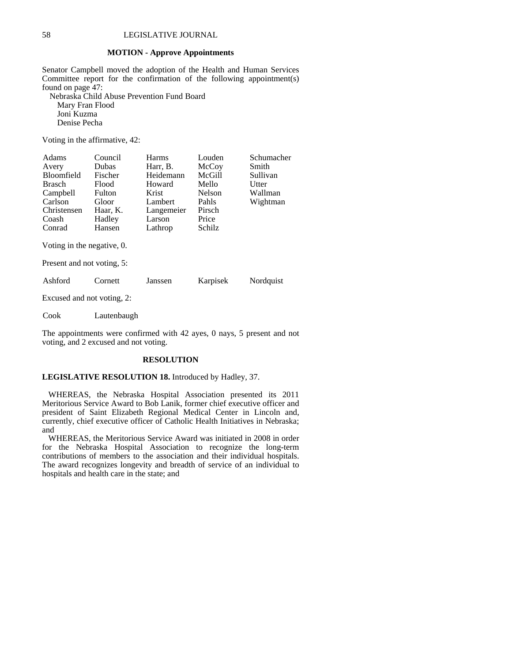#### **MOTION - Approve Appointments**

Senator Campbell moved the adoption of the Health and Human Services Committee report for the confirmation of the following appointment(s) found on page 47:

 Nebraska Child Abuse Prevention Fund Board Mary Fran Flood Joni Kuzma Denise Pecha

Voting in the affirmative, 42:

| Adams                      | Council                    | <b>Harms</b> | Louden   | Schumacher |  |  |  |
|----------------------------|----------------------------|--------------|----------|------------|--|--|--|
| Avery                      | <b>Dubas</b>               | Harr, B.     | McCoy    | Smith      |  |  |  |
| <b>Bloomfield</b>          | Fischer                    | Heidemann    | McGill   | Sullivan   |  |  |  |
| <b>Brasch</b>              | Flood                      | Howard       | Mello    | Utter      |  |  |  |
| Campbell                   | Fulton                     | Krist        | Nelson   | Wallman    |  |  |  |
| Carlson                    | Gloor                      | Lambert      | Pahls    | Wightman   |  |  |  |
| Christensen                | Haar, K.                   | Langemeier   | Pirsch   |            |  |  |  |
| Coash                      | Hadley                     | Larson       | Price    |            |  |  |  |
| Conrad                     | Hansen                     | Lathrop      | Schilz   |            |  |  |  |
|                            | Voting in the negative, 0. |              |          |            |  |  |  |
| Present and not voting, 5: |                            |              |          |            |  |  |  |
| Ashford                    | Cornett                    | Janssen      | Karpisek | Nordquist  |  |  |  |
| Excused and not voting, 2: |                            |              |          |            |  |  |  |

Cook Lautenbaugh

The appointments were confirmed with 42 ayes, 0 nays, 5 present and not voting, and 2 excused and not voting.

#### **RESOLUTION**

### **LEGISLATIVE RESOLUTION 18.** Introduced by Hadley, 37.

 WHEREAS, the Nebraska Hospital Association presented its 2011 Meritorious Service Award to Bob Lanik, former chief executive officer and president of Saint Elizabeth Regional Medical Center in Lincoln and, currently, chief executive officer of Catholic Health Initiatives in Nebraska; and

 WHEREAS, the Meritorious Service Award was initiated in 2008 in order for the Nebraska Hospital Association to recognize the long-term contributions of members to the association and their individual hospitals. The award recognizes longevity and breadth of service of an individual to hospitals and health care in the state; and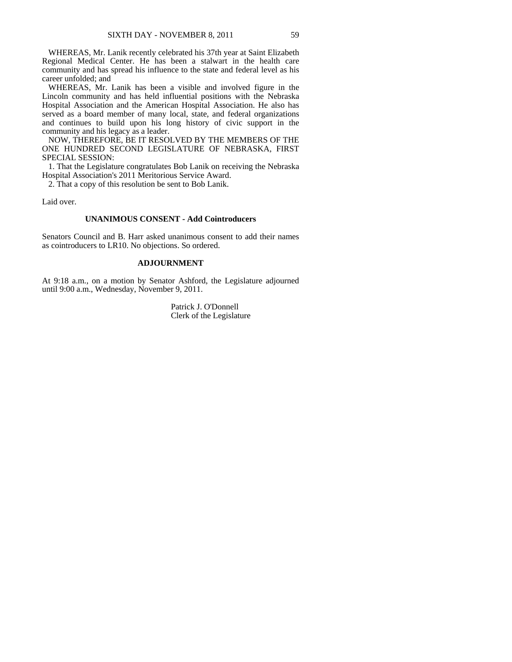WHEREAS, Mr. Lanik recently celebrated his 37th year at Saint Elizabeth Regional Medical Center. He has been a stalwart in the health care community and has spread his influence to the state and federal level as his career unfolded; and

 WHEREAS, Mr. Lanik has been a visible and involved figure in the Lincoln community and has held influential positions with the Nebraska Hospital Association and the American Hospital Association. He also has served as a board member of many local, state, and federal organizations and continues to build upon his long history of civic support in the community and his legacy as a leader.

 NOW, THEREFORE, BE IT RESOLVED BY THE MEMBERS OF THE ONE HUNDRED SECOND LEGISLATURE OF NEBRASKA, FIRST SPECIAL SESSION:

 1. That the Legislature congratulates Bob Lanik on receiving the Nebraska Hospital Association's 2011 Meritorious Service Award.

2. That a copy of this resolution be sent to Bob Lanik.

Laid over.

## **UNANIMOUS CONSENT - Add Cointroducers**

Senators Council and B. Harr asked unanimous consent to add their names as cointroducers to LR10. No objections. So ordered.

## **ADJOURNMENT**

At 9:18 a.m., on a motion by Senator Ashford, the Legislature adjourned until 9:00 a.m., Wednesday, November 9, 2011.

> Patrick J. O'Donnell Clerk of the Legislature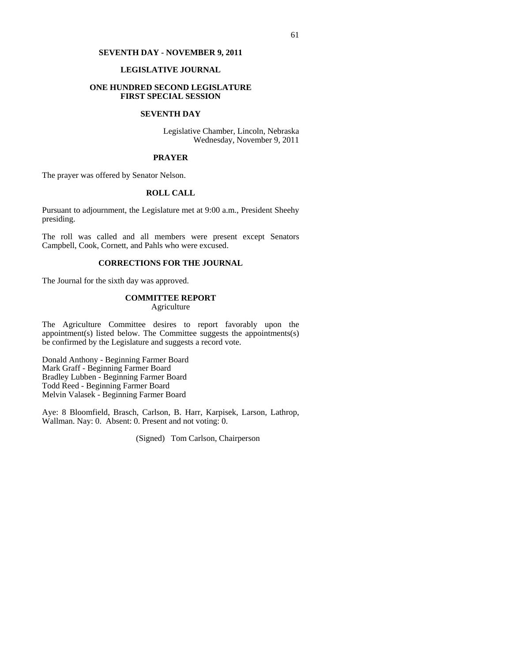## **SEVENTH DAY - NOVEMBER 9, 2011**

### **LEGISLATIVE JOURNAL**

## **ONE HUNDRED SECOND LEGISLATURE FIRST SPECIAL SESSION**

#### **SEVENTH DAY**

Legislative Chamber, Lincoln, Nebraska Wednesday, November 9, 2011

#### **PRAYER**

The prayer was offered by Senator Nelson.

## **ROLL CALL**

Pursuant to adjournment, the Legislature met at 9:00 a.m., President Sheehy presiding.

The roll was called and all members were present except Senators Campbell, Cook, Cornett, and Pahls who were excused.

#### **CORRECTIONS FOR THE JOURNAL**

The Journal for the sixth day was approved.

## **COMMITTEE REPORT**

Agriculture

The Agriculture Committee desires to report favorably upon the appointment(s) listed below. The Committee suggests the appointments(s) be confirmed by the Legislature and suggests a record vote.

Donald Anthony - Beginning Farmer Board Mark Graff - Beginning Farmer Board Bradley Lubben - Beginning Farmer Board Todd Reed - Beginning Farmer Board Melvin Valasek - Beginning Farmer Board

Aye: 8 Bloomfield, Brasch, Carlson, B. Harr, Karpisek, Larson, Lathrop, Wallman. Nay: 0. Absent: 0. Present and not voting: 0.

(Signed) Tom Carlson, Chairperson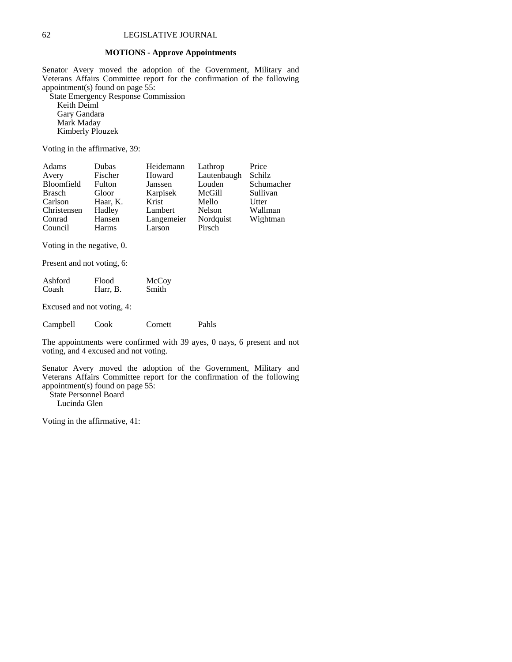#### **MOTIONS - Approve Appointments**

Senator Avery moved the adoption of the Government, Military and Veterans Affairs Committee report for the confirmation of the following appointment(s) found on page  $5\overline{5}$ :

 State Emergency Response Commission Keith Deiml Gary Gandara Mark Maday Kimberly Plouzek

Voting in the affirmative, 39:

| Adams         | Dubas        | Heidemann  | Lathrop     | Price      |
|---------------|--------------|------------|-------------|------------|
| Avery         | Fischer      | Howard     | Lautenbaugh | Schilz     |
| Bloomfield    | Fulton       | Janssen    | Louden      | Schumacher |
| <b>Brasch</b> | Gloor        | Karpisek   | McGill      | Sullivan   |
| Carlson       | Haar, K.     | Krist      | Mello       | Utter      |
| Christensen   | Hadley       | Lambert    | Nelson      | Wallman    |
| Conrad        | Hansen       | Langemeier | Nordquist   | Wightman   |
| Council       | <b>Harms</b> | Larson     | Pirsch      |            |

Voting in the negative, 0.

Present and not voting, 6:

| Ashford | Flood    | McCoy        |
|---------|----------|--------------|
| Coash   | Harr, B. | <b>Smith</b> |

Excused and not voting, 4:

Campbell Cook Cornett Pahls

The appointments were confirmed with 39 ayes, 0 nays, 6 present and not voting, and 4 excused and not voting.

Senator Avery moved the adoption of the Government, Military and Veterans Affairs Committee report for the confirmation of the following appointment(s) found on page  $5\overline{5}$ :

 State Personnel Board Lucinda Glen

Voting in the affirmative, 41: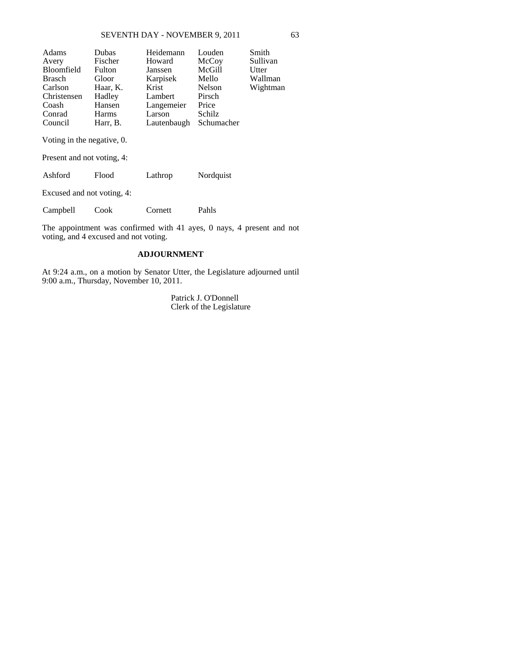# SEVENTH DAY - NOVEMBER 9, 2011 63

| Adams                      | <b>Dubas</b>  | Heidemann   | Louden        | Smith    |
|----------------------------|---------------|-------------|---------------|----------|
| Avery                      | Fischer       | Howard      | McCoy         | Sullivan |
| <b>Bloomfield</b>          | <b>Fulton</b> | Janssen     | McGill        | Utter    |
| <b>Brasch</b>              | Gloor         | Karpisek    | Mello         | Wallman  |
| Carlson                    | Haar, K.      | Krist       | <b>Nelson</b> | Wightman |
| Christensen                | Hadley        | Lambert     | Pirsch        |          |
| Coash                      | Hansen        | Langemeier  | Price         |          |
| Conrad                     | Harms         | Larson      | Schilz        |          |
| Council                    | Harr, B.      | Lautenbaugh | Schumacher    |          |
| Voting in the negative, 0. |               |             |               |          |
| Present and not voting, 4: |               |             |               |          |
| Ashford                    | Flood         | Lathrop     | Nordquist     |          |
| Excused and not voting, 4: |               |             |               |          |
| Campbell                   | Cook          | Cornett     | Pahls         |          |

The appointment was confirmed with 41 ayes, 0 nays, 4 present and not voting, and 4 excused and not voting.

# **ADJOURNMENT**

At 9:24 a.m., on a motion by Senator Utter, the Legislature adjourned until 9:00 a.m., Thursday, November 10, 2011.

> Patrick J. O'Donnell Clerk of the Legislature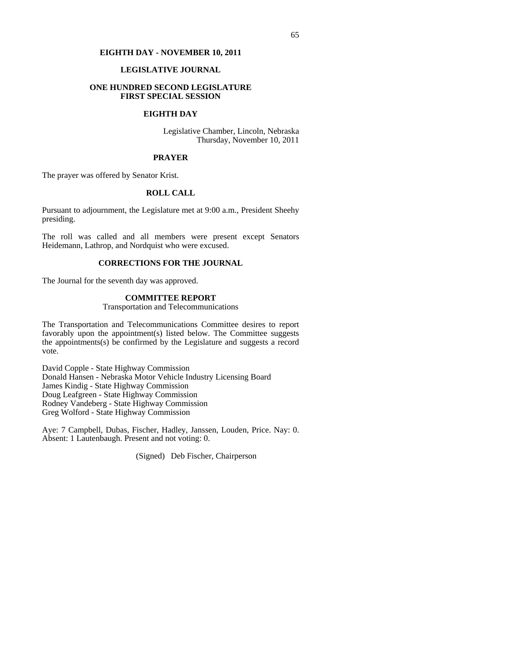# **EIGHTH DAY - NOVEMBER 10, 2011**

# **LEGISLATIVE JOURNAL**

## **ONE HUNDRED SECOND LEGISLATURE FIRST SPECIAL SESSION**

## **EIGHTH DAY**

Legislative Chamber, Lincoln, Nebraska Thursday, November 10, 2011

### **PRAYER**

The prayer was offered by Senator Krist.

## **ROLL CALL**

Pursuant to adjournment, the Legislature met at 9:00 a.m., President Sheehy presiding.

The roll was called and all members were present except Senators Heidemann, Lathrop, and Nordquist who were excused.

## **CORRECTIONS FOR THE JOURNAL**

The Journal for the seventh day was approved.

## **COMMITTEE REPORT**

Transportation and Telecommunications

The Transportation and Telecommunications Committee desires to report favorably upon the appointment(s) listed below. The Committee suggests the appointments(s) be confirmed by the Legislature and suggests a record vote.

David Copple - State Highway Commission Donald Hansen - Nebraska Motor Vehicle Industry Licensing Board James Kindig - State Highway Commission Doug Leafgreen - State Highway Commission Rodney Vandeberg - State Highway Commission Greg Wolford - State Highway Commission

Aye: 7 Campbell, Dubas, Fischer, Hadley, Janssen, Louden, Price. Nay: 0. Absent: 1 Lautenbaugh. Present and not voting: 0.

(Signed) Deb Fischer, Chairperson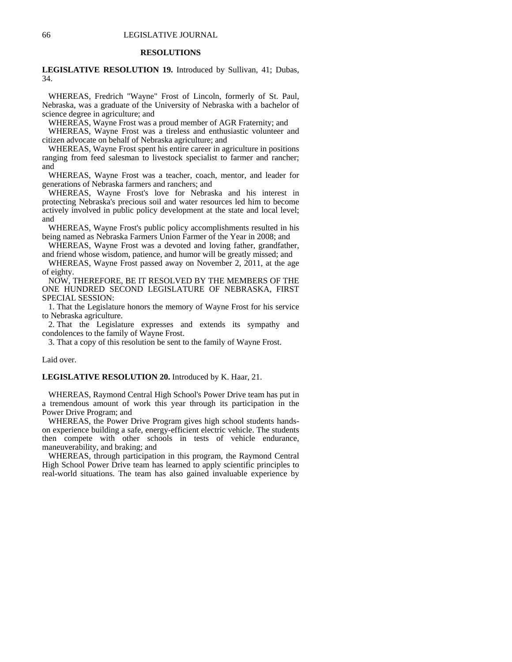#### **RESOLUTIONS**

**LEGISLATIVE RESOLUTION 19.** Introduced by Sullivan, 41; Dubas, 34.

 WHEREAS, Fredrich "Wayne" Frost of Lincoln, formerly of St. Paul, Nebraska, was a graduate of the University of Nebraska with a bachelor of science degree in agriculture; and

WHEREAS, Wayne Frost was a proud member of AGR Fraternity; and

 WHEREAS, Wayne Frost was a tireless and enthusiastic volunteer and citizen advocate on behalf of Nebraska agriculture; and

 WHEREAS, Wayne Frost spent his entire career in agriculture in positions ranging from feed salesman to livestock specialist to farmer and rancher; and

 WHEREAS, Wayne Frost was a teacher, coach, mentor, and leader for generations of Nebraska farmers and ranchers; and

 WHEREAS, Wayne Frost's love for Nebraska and his interest in protecting Nebraska's precious soil and water resources led him to become actively involved in public policy development at the state and local level; and

 WHEREAS, Wayne Frost's public policy accomplishments resulted in his being named as Nebraska Farmers Union Farmer of the Year in 2008; and

 WHEREAS, Wayne Frost was a devoted and loving father, grandfather, and friend whose wisdom, patience, and humor will be greatly missed; and

 WHEREAS, Wayne Frost passed away on November 2, 2011, at the age of eighty.

 NOW, THEREFORE, BE IT RESOLVED BY THE MEMBERS OF THE ONE HUNDRED SECOND LEGISLATURE OF NEBRASKA, FIRST SPECIAL SESSION:

 1. That the Legislature honors the memory of Wayne Frost for his service to Nebraska agriculture.

 2. That the Legislature expresses and extends its sympathy and condolences to the family of Wayne Frost.

3. That a copy of this resolution be sent to the family of Wayne Frost.

Laid over.

#### **LEGISLATIVE RESOLUTION 20.** Introduced by K. Haar, 21.

 WHEREAS, Raymond Central High School's Power Drive team has put in a tremendous amount of work this year through its participation in the Power Drive Program; and

 WHEREAS, the Power Drive Program gives high school students handson experience building a safe, energy-efficient electric vehicle. The students then compete with other schools in tests of vehicle endurance, maneuverability, and braking; and

 WHEREAS, through participation in this program, the Raymond Central High School Power Drive team has learned to apply scientific principles to real-world situations. The team has also gained invaluable experience by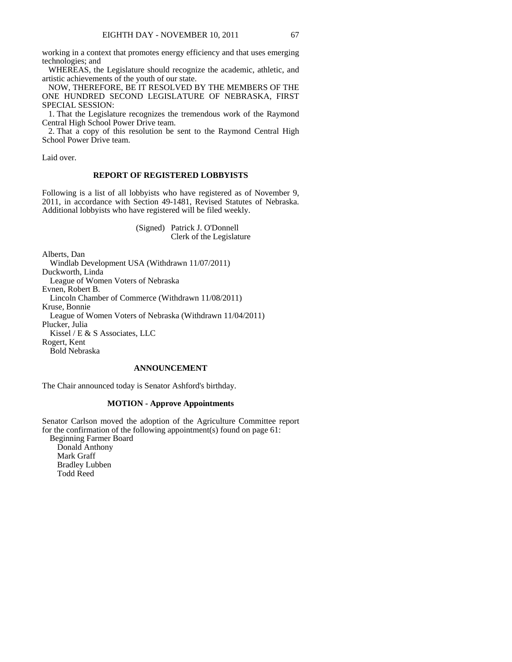working in a context that promotes energy efficiency and that uses emerging technologies; and

 WHEREAS, the Legislature should recognize the academic, athletic, and artistic achievements of the youth of our state.

 NOW, THEREFORE, BE IT RESOLVED BY THE MEMBERS OF THE ONE HUNDRED SECOND LEGISLATURE OF NEBRASKA, FIRST SPECIAL SESSION:

 1. That the Legislature recognizes the tremendous work of the Raymond Central High School Power Drive team.

 2. That a copy of this resolution be sent to the Raymond Central High School Power Drive team.

Laid over.

### **REPORT OF REGISTERED LOBBYISTS**

Following is a list of all lobbyists who have registered as of November 9, 2011, in accordance with Section 49-1481, Revised Statutes of Nebraska. Additional lobbyists who have registered will be filed weekly.

> (Signed) Patrick J. O'Donnell Clerk of the Legislature

Alberts, Dan Windlab Development USA (Withdrawn 11/07/2011) Duckworth, Linda League of Women Voters of Nebraska Evnen, Robert B. Lincoln Chamber of Commerce (Withdrawn 11/08/2011) Kruse, Bonnie League of Women Voters of Nebraska (Withdrawn 11/04/2011) Plucker, Julia Kissel / E & S Associates, LLC Rogert, Kent Bold Nebraska

## **ANNOUNCEMENT**

The Chair announced today is Senator Ashford's birthday.

# **MOTION - Approve Appointments**

Senator Carlson moved the adoption of the Agriculture Committee report for the confirmation of the following appointment(s) found on page 61: Beginning Farmer Board Donald Anthony Mark Graff Bradley Lubben Todd Reed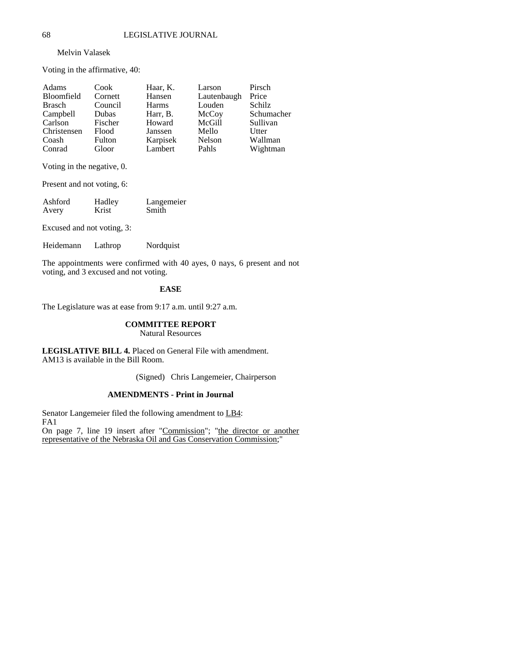## Melvin Valasek

Voting in the affirmative, 40:

| Adams         | Cook    | Haar, K. | Larson      | Pirsch     |
|---------------|---------|----------|-------------|------------|
| Bloomfield    | Cornett | Hansen   | Lautenbaugh | Price      |
| <b>Brasch</b> | Council | Harms    | Louden      | Schilz     |
| Campbell      | Dubas   | Harr, B. | McCoy       | Schumacher |
| Carlson       | Fischer | Howard   | McGill      | Sullivan   |
| Christensen   | Flood   | Janssen  | Mello       | Utter      |
| Coash         | Fulton  | Karpisek | Nelson      | Wallman    |
| Conrad        | Gloor   | Lambert  | Pahls       | Wightman   |

Voting in the negative, 0.

Present and not voting, 6:

| Ashford | Hadley | Langemeier |
|---------|--------|------------|
| Avery   | Krist  | Smith      |

Excused and not voting, 3:

Heidemann Lathrop Nordquist

The appointments were confirmed with 40 ayes, 0 nays, 6 present and not voting, and 3 excused and not voting.

### **EASE**

The Legislature was at ease from 9:17 a.m. until 9:27 a.m.

### **COMMITTEE REPORT**

Natural Resources

**LEGISLATIVE BILL 4.** Placed on General File with amendment. AM13 is available in the Bill Room.

(Signed) Chris Langemeier, Chairperson

### **AMENDMENTS - Print in Journal**

Senator Langemeier filed the following amendment to LB4: FA1 On page 7, line 19 insert after "Commission"; "the director or another representative of the Nebraska Oil and Gas Conservation Commission;"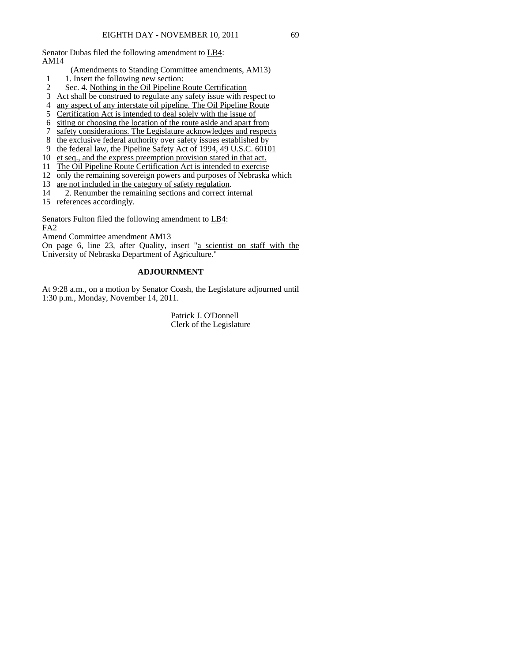Senator Dubas filed the following amendment to LB4: AM14

(Amendments to Standing Committee amendments, AM13)

- 1 1. Insert the following new section:<br>2 Sec. 4. Nothing in the Oil Pipeline I
- Sec. 4. Nothing in the Oil Pipeline Route Certification
- 3 Act shall be construed to regulate any safety issue with respect to
- 4 any aspect of any interstate oil pipeline. The Oil Pipeline Route
- 5 Certification Act is intended to deal solely with the issue of
- 6 siting or choosing the location of the route aside and apart from
- 7 safety considerations. The Legislature acknowledges and respects
- 8 the exclusive federal authority over safety issues established by
- 9 the federal law, the Pipeline Safety Act of 1994, 49 U.S.C. 60101
- 10 et seq., and the express preemption provision stated in that act.
- 11 The Oil Pipeline Route Certification Act is intended to exercise
- 12 only the remaining sovereign powers and purposes of Nebraska which
- 13 are not included in the category of safety regulation.
- 14 2. Renumber the remaining sections and correct internal
- 15 references accordingly.

Senators Fulton filed the following amendment to LB4:

FA2

Amend Committee amendment AM13

On page 6, line 23, after Quality, insert "a scientist on staff with the University of Nebraska Department of Agriculture."

# **ADJOURNMENT**

At 9:28 a.m., on a motion by Senator Coash, the Legislature adjourned until 1:30 p.m., Monday, November 14, 2011.

> Patrick J. O'Donnell Clerk of the Legislature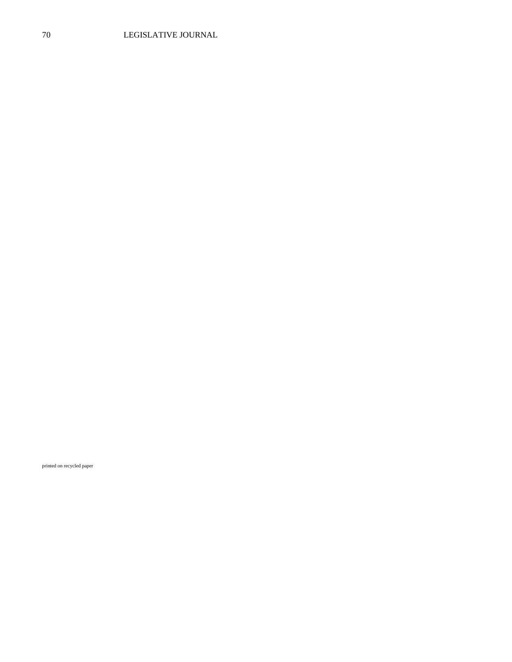printed on recycled paper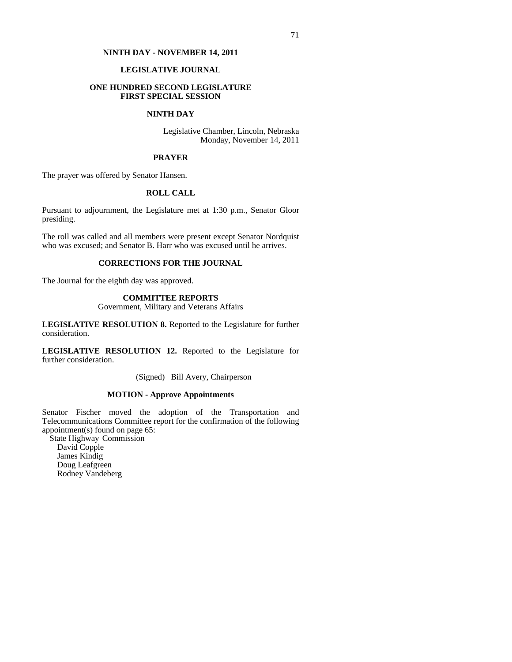## **NINTH DAY - NOVEMBER 14, 2011**

### **LEGISLATIVE JOURNAL**

## **ONE HUNDRED SECOND LEGISLATURE FIRST SPECIAL SESSION**

#### **NINTH DAY**

Legislative Chamber, Lincoln, Nebraska Monday, November 14, 2011

#### **PRAYER**

The prayer was offered by Senator Hansen.

# **ROLL CALL**

Pursuant to adjournment, the Legislature met at 1:30 p.m., Senator Gloor presiding.

The roll was called and all members were present except Senator Nordquist who was excused; and Senator B. Harr who was excused until he arrives.

# **CORRECTIONS FOR THE JOURNAL**

The Journal for the eighth day was approved.

# **COMMITTEE REPORTS**

Government, Military and Veterans Affairs

**LEGISLATIVE RESOLUTION 8.** Reported to the Legislature for further consideration.

**LEGISLATIVE RESOLUTION 12.** Reported to the Legislature for further consideration.

(Signed) Bill Avery, Chairperson

## **MOTION - Approve Appointments**

Senator Fischer moved the adoption of the Transportation and Telecommunications Committee report for the confirmation of the following appointment(s) found on page 65:

 State Highway Commission David Copple James Kindig Doug Leafgreen Rodney Vandeberg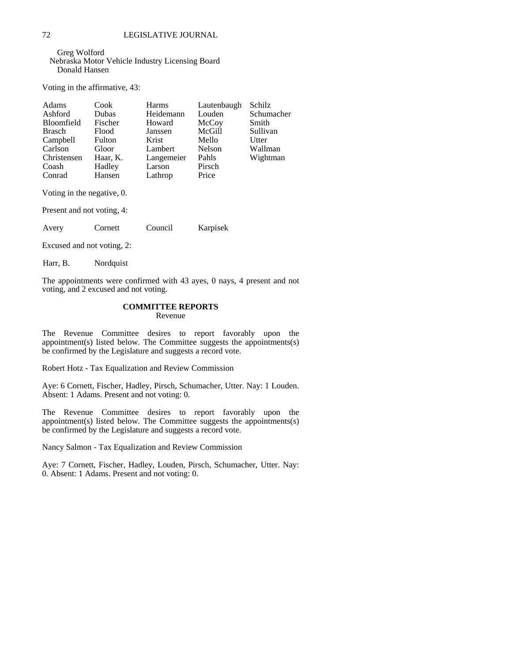Greg Wolford Nebraska Motor Vehicle Industry Licensing Board Donald Hansen

Voting in the affirmative, 43:

| Adams         | Cook     | Harms      | Lautenbaugh | Schilz     |
|---------------|----------|------------|-------------|------------|
| Ashford       | Dubas    | Heidemann  | Louden      | Schumacher |
| Bloomfield    | Fischer  | Howard     | McCoy       | Smith      |
| <b>Brasch</b> | Flood    | Janssen    | McGill      | Sullivan   |
| Campbell      | Fulton   | Krist      | Mello       | Utter      |
| Carlson       | Gloor    | Lambert    | Nelson      | Wallman    |
| Christensen   | Haar, K. | Langemeier | Pahls       | Wightman   |
| Coash         | Hadley   | Larson     | Pirsch      |            |
| Conrad        | Hansen   | Lathrop    | Price       |            |

Voting in the negative, 0.

Present and not voting, 4:

Avery Cornett Council Karpisek

Excused and not voting, 2:

Harr, B. Nordquist

The appointments were confirmed with 43 ayes, 0 nays, 4 present and not voting, and 2 excused and not voting.

#### **COMMITTEE REPORTS**  Revenue

The Revenue Committee desires to report favorably upon the appointment(s) listed below. The Committee suggests the appointments(s) be confirmed by the Legislature and suggests a record vote.

Robert Hotz - Tax Equalization and Review Commission

Aye: 6 Cornett, Fischer, Hadley, Pirsch, Schumacher, Utter. Nay: 1 Louden. Absent: 1 Adams. Present and not voting: 0.

The Revenue Committee desires to report favorably upon the appointment(s) listed below. The Committee suggests the appointments(s) be confirmed by the Legislature and suggests a record vote.

Nancy Salmon - Tax Equalization and Review Commission

Aye: 7 Cornett, Fischer, Hadley, Louden, Pirsch, Schumacher, Utter. Nay: 0. Absent: 1 Adams. Present and not voting: 0.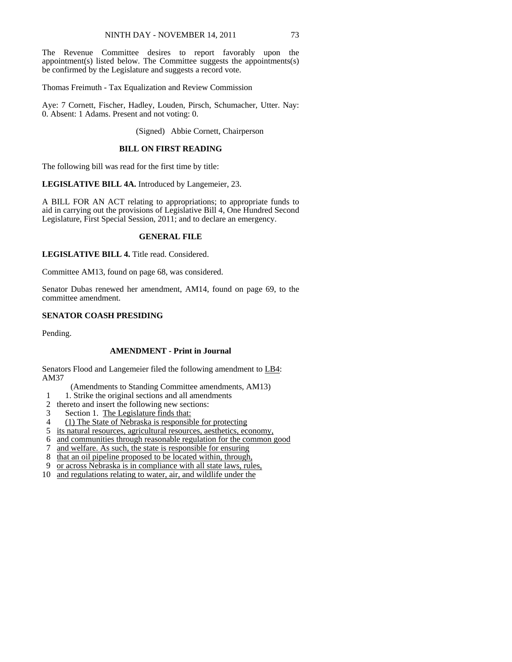The Revenue Committee desires to report favorably upon the appointment(s) listed below. The Committee suggests the appointments(s) be confirmed by the Legislature and suggests a record vote.

Thomas Freimuth - Tax Equalization and Review Commission

Aye: 7 Cornett, Fischer, Hadley, Louden, Pirsch, Schumacher, Utter. Nay: 0. Absent: 1 Adams. Present and not voting: 0.

(Signed) Abbie Cornett, Chairperson

## **BILL ON FIRST READING**

The following bill was read for the first time by title:

**LEGISLATIVE BILL 4A.** Introduced by Langemeier, 23.

A BILL FOR AN ACT relating to appropriations; to appropriate funds to aid in carrying out the provisions of Legislative Bill 4, One Hundred Second Legislature, First Special Session, 2011; and to declare an emergency.

## **GENERAL FILE**

**LEGISLATIVE BILL 4.** Title read. Considered.

Committee AM13, found on page 68, was considered.

Senator Dubas renewed her amendment, AM14, found on page 69, to the committee amendment.

## **SENATOR COASH PRESIDING**

Pending.

## **AMENDMENT - Print in Journal**

Senators Flood and Langemeier filed the following amendment to **LB4**: AM37

(Amendments to Standing Committee amendments, AM13)

- 1 1. Strike the original sections and all amendments
- 2 thereto and insert the following new sections:
- 3 Section 1. The Legislature finds that:
- 4 (1) The State of Nebraska is responsible for protecting
- 5 its natural resources, agricultural resources, aesthetics, economy,

6 and communities through reasonable regulation for the common good

- 7 and welfare. As such, the state is responsible for ensuring
- 8 that an oil pipeline proposed to be located within, through,
- 9 or across Nebraska is in compliance with all state laws, rules,
- 10 and regulations relating to water, air, and wildlife under the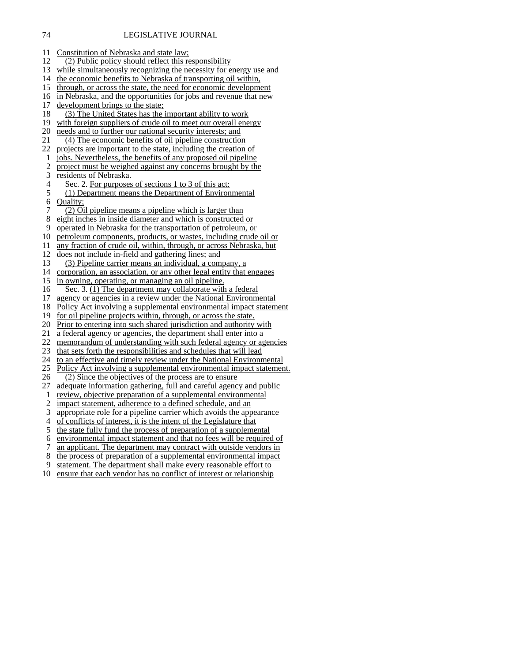| 11                      | Constitution of Nebraska and state law;                                                                                                 |
|-------------------------|-----------------------------------------------------------------------------------------------------------------------------------------|
| 12                      | (2) Public policy should reflect this responsibility                                                                                    |
| 13                      | while simultaneously recognizing the necessity for energy use and                                                                       |
| 14                      | the economic benefits to Nebraska of transporting oil within,                                                                           |
| 15                      | through, or across the state, the need for economic development                                                                         |
| 16                      | in Nebraska, and the opportunities for jobs and revenue that new                                                                        |
| 17                      | development brings to the state;                                                                                                        |
| 18                      | (3) The United States has the important ability to work                                                                                 |
| 19                      | with foreign suppliers of crude oil to meet our overall energy                                                                          |
| 20                      | needs and to further our national security interests; and                                                                               |
| 21                      | (4) The economic benefits of oil pipeline construction                                                                                  |
| 22                      | projects are important to the state, including the creation of                                                                          |
| $\mathbf{1}$            | jobs. Nevertheless, the benefits of any proposed oil pipeline                                                                           |
| $\frac{2}{3}$           | project must be weighed against any concerns brought by the                                                                             |
|                         | residents of Nebraska.                                                                                                                  |
| $\overline{\mathbf{4}}$ | Sec. 2. For purposes of sections 1 to 3 of this act:                                                                                    |
| 5                       | (1) Department means the Department of Environmental                                                                                    |
| 6                       | Quality;                                                                                                                                |
| $\overline{7}$          | (2) Oil pipeline means a pipeline which is larger than                                                                                  |
| 8                       | eight inches in inside diameter and which is constructed or                                                                             |
| 9                       | operated in Nebraska for the transportation of petroleum, or                                                                            |
| 10                      | petroleum components, products, or wastes, including crude oil or                                                                       |
| 11                      | any fraction of crude oil, within, through, or across Nebraska, but                                                                     |
| 12                      | does not include in-field and gathering lines; and                                                                                      |
| 13                      | (3) Pipeline carrier means an individual, a company, a                                                                                  |
| 14                      | corporation, an association, or any other legal entity that engages                                                                     |
| 15                      | in owning, operating, or managing an oil pipeline.                                                                                      |
| 16                      | Sec. 3. (1) The department may collaborate with a federal                                                                               |
| 17                      | agency or agencies in a review under the National Environmental                                                                         |
| 18                      | Policy Act involving a supplemental environmental impact statement                                                                      |
| 19                      | for oil pipeline projects within, through, or across the state.                                                                         |
| 20                      | Prior to entering into such shared jurisdiction and authority with                                                                      |
| 21                      | a federal agency or agencies, the department shall enter into a                                                                         |
| 22<br>23                | memorandum of understanding with such federal agency or agencies                                                                        |
| 24                      | that sets forth the responsibilities and schedules that will lead<br>to an effective and timely review under the National Environmental |
| 25                      | Policy Act involving a supplemental environmental impact statement.                                                                     |
| 26                      | (2) Since the objectives of the process are to ensure                                                                                   |
| 27                      | adequate information gathering, full and careful agency and public                                                                      |
| $\mathbf{1}$            | review, objective preparation of a supplemental environmental                                                                           |
| $\overline{c}$          | impact statement, adherence to a defined schedule, and an                                                                               |
| 3                       | appropriate role for a pipeline carrier which avoids the appearance                                                                     |
| $\overline{\mathbf{4}}$ | of conflicts of interest, it is the intent of the Legislature that                                                                      |
| 5                       | the state fully fund the process of preparation of a supplemental                                                                       |
| 6                       | environmental impact statement and that no fees will be required of                                                                     |
| $\overline{7}$          | an applicant. The department may contract with outside vendors in                                                                       |
| 8                       | the process of preparation of a supplemental environmental impact                                                                       |
| 9                       | statement. The department shall make every reasonable effort to                                                                         |
|                         |                                                                                                                                         |

10 ensure that each vendor has no conflict of interest or relationship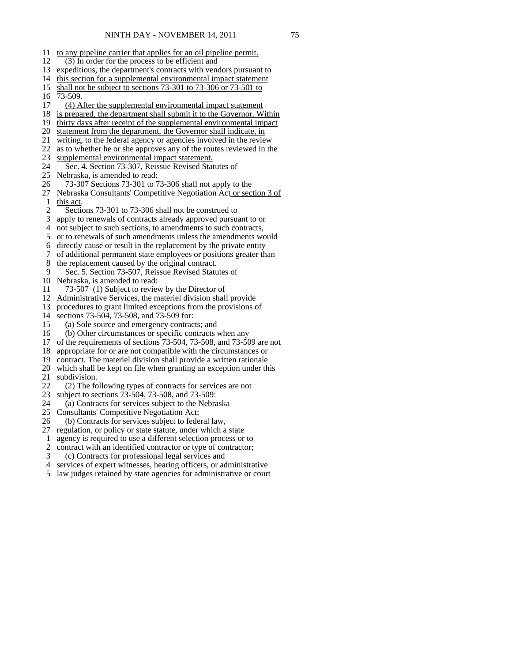11 to any pipeline carrier that applies for an oil pipeline permit. 12 (3) In order for the process to be efficient and 13 expeditious, the department's contracts with vendors pursuant to 14 this section for a supplemental environmental impact statement 15 shall not be subject to sections 73-301 to 73-306 or 73-501 to 16 73-509. 17 (4) After the supplemental environmental impact statement 18 is prepared, the department shall submit it to the Governor. Within 19 thirty days after receipt of the supplemental environmental impact 20 statement from the department, the Governor shall indicate, in 21 writing, to the federal agency or agencies involved in the review 22 as to whether he or she approves any of the routes reviewed in the 23 supplemental environmental impact statement. 24 Sec. 4. Section 73-307, Reissue Revised Statutes of 25 Nebraska, is amended to read: 26 73-307 Sections 73-301 to 73-306 shall not apply to the 27 Nebraska Consultants' Competitive Negotiation Act or section 3 of 1 this act. 2 Sections 73-301 to 73-306 shall not be construed to 3 apply to renewals of contracts already approved pursuant to or 4 not subject to such sections, to amendments to such contracts, 5 or to renewals of such amendments unless the amendments would 6 directly cause or result in the replacement by the private entity 7 of additional permanent state employees or positions greater than 8 the replacement caused by the original contract. 9 Sec. 5. Section 73-507, Reissue Revised Statutes of 10 Nebraska, is amended to read: 11 73-507 (1) Subject to review by the Director of 12 Administrative Services, the materiel division shall provide 13 procedures to grant limited exceptions from the provisions of 14 sections 73-504, 73-508, and 73-509 for: 15 (a) Sole source and emergency contracts; and 16 (b) Other circumstances or specific contracts when any 17 of the requirements of sections 73-504, 73-508, and 73-509 are not 18 appropriate for or are not compatible with the circumstances or 19 contract. The materiel division shall provide a written rationale 20 which shall be kept on file when granting an exception under this 21 subdivision. 22 (2) The following types of contracts for services are not 23 subject to sections 73-504, 73-508, and 73-509: 24 (a) Contracts for services subject to the Nebraska 25 Consultants' Competitive Negotiation Act; 26 (b) Contracts for services subject to federal law, 27 regulation, or policy or state statute, under which a state 1 agency is required to use a different selection process or to 2 contract with an identified contractor or type of contractor; 3 (c) Contracts for professional legal services and 4 services of expert witnesses, hearing officers, or administrative 5 law judges retained by state agencies for administrative or court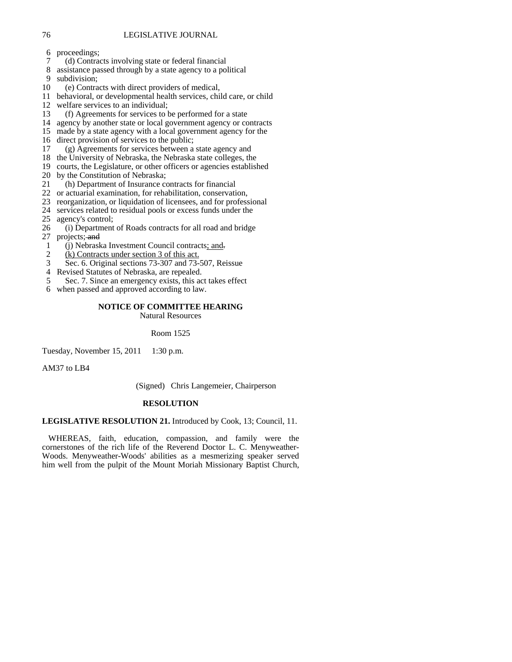- 6 proceedings;
- 7 (d) Contracts involving state or federal financial
- 8 assistance passed through by a state agency to a political
- 9 subdivision;
- 10 (e) Contracts with direct providers of medical,
- 11 behavioral, or developmental health services, child care, or child
- 12 welfare services to an individual;
- 13 (f) Agreements for services to be performed for a state
- 14 agency by another state or local government agency or contracts
- 15 made by a state agency with a local government agency for the
- 16 direct provision of services to the public;
- 17 (g) Agreements for services between a state agency and
- 18 the University of Nebraska, the Nebraska state colleges, the
- 19 courts, the Legislature, or other officers or agencies established
- 20 by the Constitution of Nebraska;<br>21 (b) Department of Insurance co
- 21 (h) Department of Insurance contracts for financial
- 22 or actuarial examination, for rehabilitation, conservation,
- 23 reorganization, or liquidation of licensees, and for professional
- 24 services related to residual pools or excess funds under the
- 25 agency's control;
- 26 (i) Department of Roads contracts for all road and bridge 27 projects; and
	- 1 (j) Nebraska Investment Council contracts; and-<br>2 (k) Contracts under section 3 of this act.
- $(k)$  Contracts under section 3 of this act.
- 3 Sec. 6. Original sections 73-307 and 73-507, Reissue
- 4 Revised Statutes of Nebraska, are repealed.
- 5 Sec. 7. Since an emergency exists, this act takes effect
- 6 when passed and approved according to law.

## **NOTICE OF COMMITTEE HEARING**

Natural Resources

Room 1525

Tuesday, November 15, 2011 1:30 p.m.

AM37 to LB4

(Signed) Chris Langemeier, Chairperson

## **RESOLUTION**

**LEGISLATIVE RESOLUTION 21.** Introduced by Cook, 13; Council, 11.

 WHEREAS, faith, education, compassion, and family were the cornerstones of the rich life of the Reverend Doctor L. C. Menyweather-Woods. Menyweather-Woods' abilities as a mesmerizing speaker served him well from the pulpit of the Mount Moriah Missionary Baptist Church,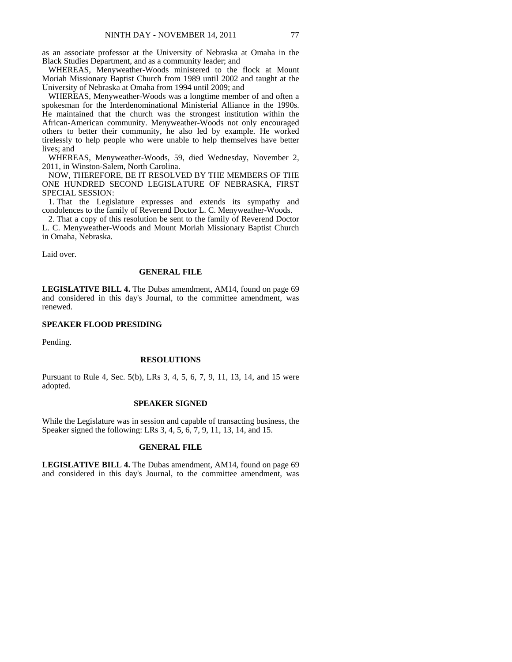as an associate professor at the University of Nebraska at Omaha in the Black Studies Department, and as a community leader; and

 WHEREAS, Menyweather-Woods ministered to the flock at Mount Moriah Missionary Baptist Church from 1989 until 2002 and taught at the University of Nebraska at Omaha from 1994 until 2009; and

 WHEREAS, Menyweather-Woods was a longtime member of and often a spokesman for the Interdenominational Ministerial Alliance in the 1990s. He maintained that the church was the strongest institution within the African-American community. Menyweather-Woods not only encouraged others to better their community, he also led by example. He worked tirelessly to help people who were unable to help themselves have better lives; and

 WHEREAS, Menyweather-Woods, 59, died Wednesday, November 2, 2011, in Winston-Salem, North Carolina.

 NOW, THEREFORE, BE IT RESOLVED BY THE MEMBERS OF THE ONE HUNDRED SECOND LEGISLATURE OF NEBRASKA, FIRST SPECIAL SESSION:

 1. That the Legislature expresses and extends its sympathy and condolences to the family of Reverend Doctor L. C. Menyweather-Woods.

 2. That a copy of this resolution be sent to the family of Reverend Doctor L. C. Menyweather-Woods and Mount Moriah Missionary Baptist Church in Omaha, Nebraska.

Laid over.

#### **GENERAL FILE**

**LEGISLATIVE BILL 4.** The Dubas amendment, AM14, found on page 69 and considered in this day's Journal, to the committee amendment, was renewed.

#### **SPEAKER FLOOD PRESIDING**

Pending.

#### **RESOLUTIONS**

Pursuant to Rule 4, Sec. 5(b), LRs 3, 4, 5, 6, 7, 9, 11, 13, 14, and 15 were adopted.

#### **SPEAKER SIGNED**

While the Legislature was in session and capable of transacting business, the Speaker signed the following: LRs 3, 4, 5, 6, 7, 9, 11, 13, 14, and 15.

#### **GENERAL FILE**

**LEGISLATIVE BILL 4.** The Dubas amendment, AM14, found on page 69 and considered in this day's Journal, to the committee amendment, was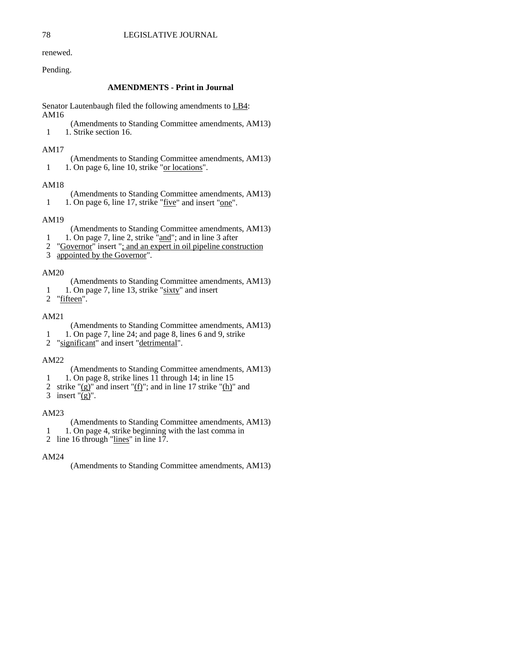renewed.

Pending.

## **AMENDMENTS - Print in Journal**

Senator Lautenbaugh filed the following amendments to LB4: AM16

(Amendments to Standing Committee amendments, AM13)

1 1. Strike section 16

## AM17

```
(Amendments to Standing Committee amendments, AM13) 
1 1. On page 6, line 10, strike "or locations".
```
## AM18

(Amendments to Standing Committee amendments, AM13)

1 1. On page 6, line 17, strike "five" and insert "one".

## AM19

(Amendments to Standing Committee amendments, AM13)

- 1 1. On page 7, line 2, strike "and"; and in line 3 after
- 2 "Governor" insert "; and an expert in oil pipeline construction
- 3 appointed by the Governor".

# AM20

(Amendments to Standing Committee amendments, AM13)

1 1. On page 7, line 13, strike " $sixty$ " and insert

2 "fifteen".

# AM21

(Amendments to Standing Committee amendments, AM13)

- 1 1. On page 7, line 24; and page 8, lines 6 and 9, strike
- 2 "significant" and insert "detrimental".

# AM22

- (Amendments to Standing Committee amendments, AM13)
- 1 1. On page 8, strike lines  $11$  through 14; in line 15
- 2 strike " $(g)$ " and insert " $(f)$ "; and in line 17 strike " $(h)$ " and
- 3 insert  $\sqrt[n]{(g)}$ ".

# AM23

(Amendments to Standing Committee amendments, AM13)

- 1 1. On page 4, strike beginning with the last comma in
- 2 line 16 through "lines" in line 17.

# AM24

(Amendments to Standing Committee amendments, AM13)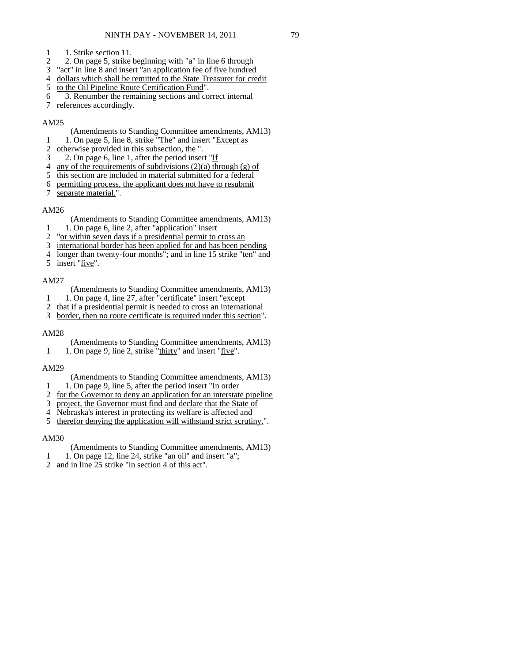- 1 1. Strike section 11.<br>2 2. On page 5, strike
- 2. On page 5, strike beginning with " $a$ " in line 6 through
- 3 "act" in line 8 and insert "an application fee of five hundred<br>4 dollars which shall be remitted to the State Treasurer for cre
- dollars which shall be remitted to the State Treasurer for credit
- 5 to the Oil Pipeline Route Certification Fund".
- 6 3. Renumber the remaining sections and correct internal
- 7 references accordingly.

## AM25

- (Amendments to Standing Committee amendments, AM13)
- 1 1. On page 5, line 8, strike "The" and insert "Except as 2 otherwise provided in this subsection, the ".
- 3 2. On page 6, line 1, after the period insert "If
- 4 any of the requirements of subdivisions  $(2)(a)$  through  $(g)$  of
- 5 this section are included in material submitted for a federal
- 6 permitting process, the applicant does not have to resubmit
- 7 separate material.".

## AM26

- (Amendments to Standing Committee amendments, AM13)
- 1 1. On page 6, line 2, after "application" insert
- 2 "or within seven days if a presidential permit to cross an
- 3 international border has been applied for and has been pending
- 4 longer than twenty-four months"; and in line 15 strike "ten" and
- 5 insert "five".

## AM27

- (Amendments to Standing Committee amendments, AM13)
- 1 1. On page 4, line 27, after "certificate" insert "except"
- 2 that if a presidential permit is needed to cross an international
- 3 border, then no route certificate is required under this section".

## AM28

(Amendments to Standing Committee amendments, AM13)

1 1. On page 9, line 2, strike " $\frac{thirty}{thirty}$ " and insert " $\frac{five}{itve}$ ".

## AM29

- (Amendments to Standing Committee amendments, AM13)
- 1 1. On page 9, line 5, after the period insert "In order
- 2 for the Governor to deny an application for an interstate pipeline
- 3 project, the Governor must find and declare that the State of
- 4 Nebraska's interest in protecting its welfare is affected and
- 5 therefor denying the application will withstand strict scrutiny.".

## AM30

- (Amendments to Standing Committee amendments, AM13)
- 1 1. On page 12, line 24, strike "an oil" and insert " $a$ ";
- 2 and in line  $25$  strike "in section  $4$  of this act".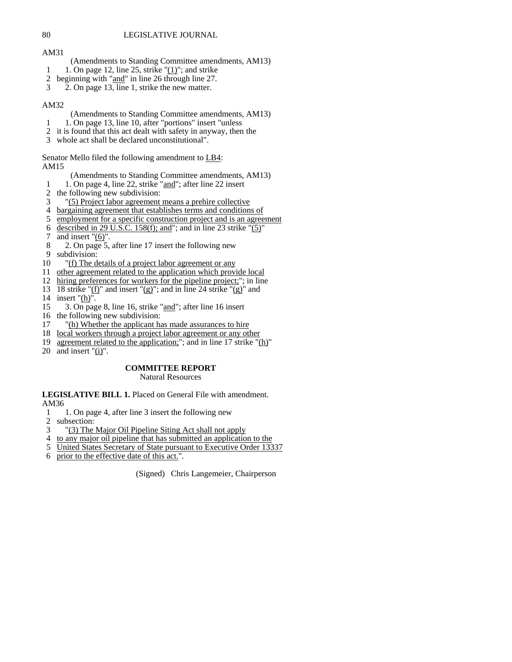AM31

- (Amendments to Standing Committee amendments, AM13)
- 1 1. On page 12, line 25, strike  $(1)$ "; and strike
- 2 beginning with "and" in line 26 through line 27.
- $\overline{3}$  2. On page 13, line 1, strike the new matter.

## AM32

- (Amendments to Standing Committee amendments, AM13)
- 1 1. On page 13, line 10, after "portions" insert "unless
- 2 it is found that this act dealt with safety in anyway, then the
- 3 whole act shall be declared unconstitutional".

Senator Mello filed the following amendment to LB4: AM15

(Amendments to Standing Committee amendments, AM13)

- 1 1. On page 4, line 22, strike "and"; after line 22 insert
- 2 the following new subdivision:
- 3 "(5) Project labor agreement means a prehire collective
- 4 bargaining agreement that establishes terms and conditions of
- 5 employment for a specific construction project and is an agreement
- 6 described in 29 U.S.C. 158(f); and "; and in line 23 strike  $\sqrt{\frac{(5)}{2}}$ "<br>7 and insert "(6)". and insert  $"(6)$ ".
- 8 2. On page 5, after line 17 insert the following new 9 subdivision:
- 10 "(f) The details of a project labor agreement or any
- 11 other agreement related to the application which provide local
- 12 hiring preferences for workers for the pipeline project;"; in line
- 13 18 strike "(f)" and insert "(g)"; and in line 24 strike "(g)" and
- 14 insert "(h)".
- 15 3. On page 8, line 16, strike "and"; after line 16 insert
- 16 the following new subdivision:
- 17 "(h) Whether the applicant has made assurances to hire
- 18 local workers through a project labor agreement or any other
- 19 agreement related to the application;"; and in line 17 strike "(h)"
- 20 and insert "(i)".

## **COMMITTEE REPORT**

## Natural Resources

## **LEGISLATIVE BILL 1.** Placed on General File with amendment. AM36

- 1 1. On page 4, after line 3 insert the following new
- 2 subsection:
- 3 "(3) The Major Oil Pipeline Siting Act shall not apply
- 4 to any major oil pipeline that has submitted an application to the
- 5 United States Secretary of State pursuant to Executive Order 13337
- 6 prior to the effective date of this act.".

(Signed) Chris Langemeier, Chairperson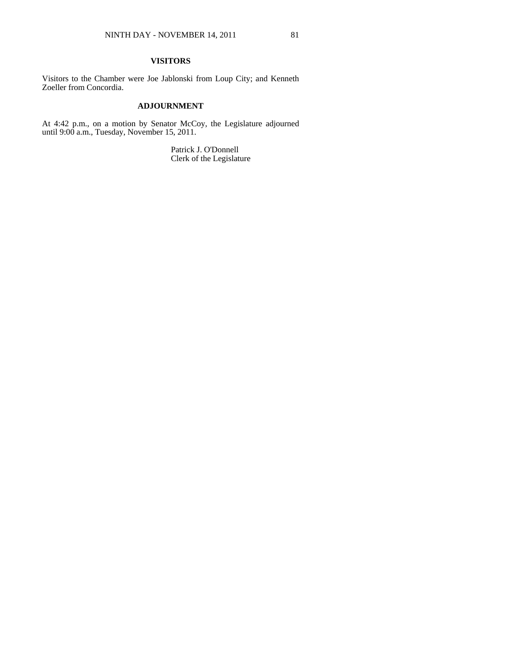## **VISITORS**

Visitors to the Chamber were Joe Jablonski from Loup City; and Kenneth Zoeller from Concordia.

## **ADJOURNMENT**

At 4:42 p.m., on a motion by Senator McCoy, the Legislature adjourned until 9:00 a.m., Tuesday, November 15, 2011.

> Patrick J. O'Donnell Clerk of the Legislature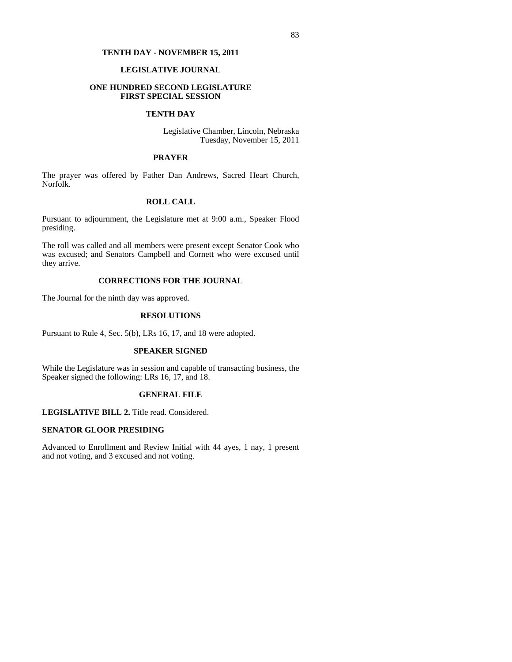### **TENTH DAY - NOVEMBER 15, 2011**

#### **LEGISLATIVE JOURNAL**

#### **ONE HUNDRED SECOND LEGISLATURE FIRST SPECIAL SESSION**

#### **TENTH DAY**

Legislative Chamber, Lincoln, Nebraska Tuesday, November 15, 2011

#### **PRAYER**

The prayer was offered by Father Dan Andrews, Sacred Heart Church, Norfolk.

## **ROLL CALL**

Pursuant to adjournment, the Legislature met at 9:00 a.m., Speaker Flood presiding.

The roll was called and all members were present except Senator Cook who was excused; and Senators Campbell and Cornett who were excused until they arrive.

## **CORRECTIONS FOR THE JOURNAL**

The Journal for the ninth day was approved.

#### **RESOLUTIONS**

Pursuant to Rule 4, Sec. 5(b), LRs 16, 17, and 18 were adopted.

#### **SPEAKER SIGNED**

While the Legislature was in session and capable of transacting business, the Speaker signed the following: LRs 16, 17, and 18.

#### **GENERAL FILE**

LEGISLATIVE BILL 2. Title read. Considered.

#### **SENATOR GLOOR PRESIDING**

Advanced to Enrollment and Review Initial with 44 ayes, 1 nay, 1 present and not voting, and 3 excused and not voting.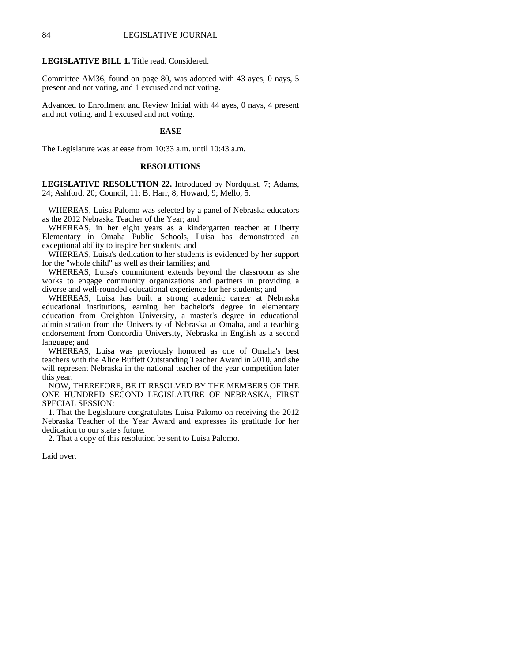### **LEGISLATIVE BILL 1.** Title read. Considered.

Committee AM36, found on page 80, was adopted with 43 ayes, 0 nays, 5 present and not voting, and 1 excused and not voting.

Advanced to Enrollment and Review Initial with 44 ayes, 0 nays, 4 present and not voting, and 1 excused and not voting.

#### **EASE**

The Legislature was at ease from 10:33 a.m. until 10:43 a.m.

#### **RESOLUTIONS**

**LEGISLATIVE RESOLUTION 22.** Introduced by Nordquist, 7; Adams, 24; Ashford, 20; Council, 11; B. Harr, 8; Howard, 9; Mello, 5.

 WHEREAS, Luisa Palomo was selected by a panel of Nebraska educators as the 2012 Nebraska Teacher of the Year; and

 WHEREAS, in her eight years as a kindergarten teacher at Liberty Elementary in Omaha Public Schools, Luisa has demonstrated an exceptional ability to inspire her students; and

 WHEREAS, Luisa's dedication to her students is evidenced by her support for the "whole child" as well as their families; and

 WHEREAS, Luisa's commitment extends beyond the classroom as she works to engage community organizations and partners in providing a diverse and well-rounded educational experience for her students; and

 WHEREAS, Luisa has built a strong academic career at Nebraska educational institutions, earning her bachelor's degree in elementary education from Creighton University, a master's degree in educational administration from the University of Nebraska at Omaha, and a teaching endorsement from Concordia University, Nebraska in English as a second language; and

 WHEREAS, Luisa was previously honored as one of Omaha's best teachers with the Alice Buffett Outstanding Teacher Award in 2010, and she will represent Nebraska in the national teacher of the year competition later this year.

 NOW, THEREFORE, BE IT RESOLVED BY THE MEMBERS OF THE ONE HUNDRED SECOND LEGISLATURE OF NEBRASKA, FIRST SPECIAL SESSION:

 1. That the Legislature congratulates Luisa Palomo on receiving the 2012 Nebraska Teacher of the Year Award and expresses its gratitude for her dedication to our state's future.

2. That a copy of this resolution be sent to Luisa Palomo.

Laid over.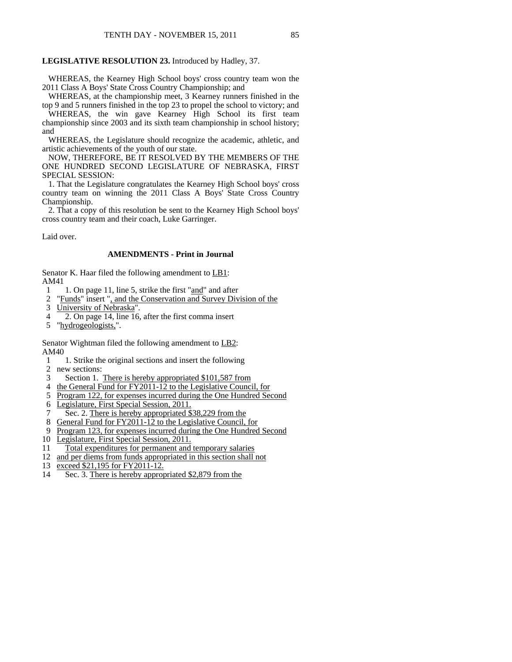#### **LEGISLATIVE RESOLUTION 23.** Introduced by Hadley, 37.

 WHEREAS, the Kearney High School boys' cross country team won the 2011 Class A Boys' State Cross Country Championship; and

 WHEREAS, at the championship meet, 3 Kearney runners finished in the top 9 and 5 runners finished in the top 23 to propel the school to victory; and

WHEREAS, the win gave Kearney High School its first team championship since 2003 and its sixth team championship in school history; and

 WHEREAS, the Legislature should recognize the academic, athletic, and artistic achievements of the youth of our state.

 NOW, THEREFORE, BE IT RESOLVED BY THE MEMBERS OF THE ONE HUNDRED SECOND LEGISLATURE OF NEBRASKA, FIRST SPECIAL SESSION:

 1. That the Legislature congratulates the Kearney High School boys' cross country team on winning the 2011 Class A Boys' State Cross Country Championship.

 2. That a copy of this resolution be sent to the Kearney High School boys' cross country team and their coach, Luke Garringer.

Laid over.

### **AMENDMENTS - Print in Journal**

Senator K. Haar filed the following amendment to LB1: AM41

- 1 1. On page 11, line 5, strike the first "and" and after
- 2 "Funds" insert ", and the Conservation and Survey Division of the
- 3 University of Nebraska".
- 4 2. On page 14, line 16, after the first comma insert
- 5 "hydrogeologists,".

Senator Wightman filed the following amendment to LB2: AM40

- 1 1. Strike the original sections and insert the following
- 2 new sections:
- 3 Section 1. There is hereby appropriated \$101,587 from
- 4 the General Fund for FY2011-12 to the Legislative Council, for
- 5 Program 122, for expenses incurred during the One Hundred Second
- 6 Legislature, First Special Session, 2011.<br>7 Sec. 2. There is hereby appropriated \$
- Sec. 2. There is hereby appropriated \$38,229 from the
- 8 General Fund for FY2011-12 to the Legislative Council, for
- 9 Program 123, for expenses incurred during the One Hundred Second
- 10 Legislature, First Special Session, 2011.
- 11 Total expenditures for permanent and temporary salaries
- 12 and per diems from funds appropriated in this section shall not
- 13 exceed \$21,195 for FY2011-12.
- 14 Sec. 3. There is hereby appropriated \$2,879 from the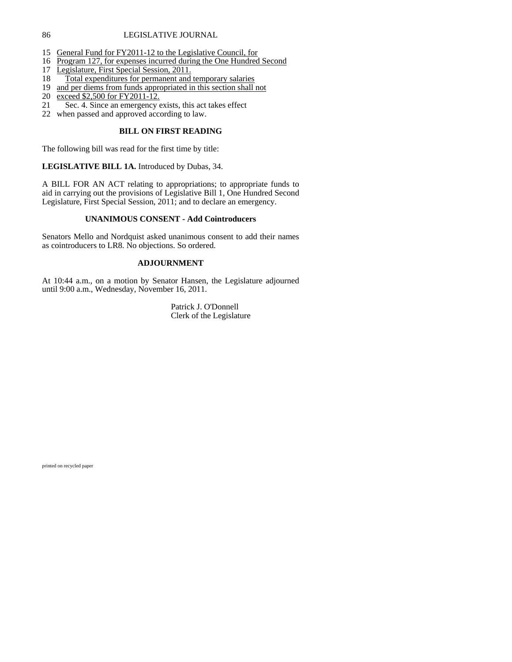- 15 General Fund for FY2011-12 to the Legislative Council, for
- 16 Program 127, for expenses incurred during the One Hundred Second
- 17 Legislature, First Special Session, 2011.
- 18 Total expenditures for permanent and temporary salaries
- 19 and per diems from funds appropriated in this section shall not
- 20 exceed \$2,500 for FY2011-12.
- 21 Sec. 4. Since an emergency exists, this act takes effect
- 22 when passed and approved according to law.

## **BILL ON FIRST READING**

The following bill was read for the first time by title:

**LEGISLATIVE BILL 1A.** Introduced by Dubas, 34.

A BILL FOR AN ACT relating to appropriations; to appropriate funds to aid in carrying out the provisions of Legislative Bill 1, One Hundred Second Legislature, First Special Session, 2011; and to declare an emergency.

## **UNANIMOUS CONSENT - Add Cointroducers**

Senators Mello and Nordquist asked unanimous consent to add their names as cointroducers to LR8. No objections. So ordered.

## **ADJOURNMENT**

At 10:44 a.m., on a motion by Senator Hansen, the Legislature adjourned until 9:00 a.m., Wednesday, November 16, 2011.

> Patrick J. O'Donnell Clerk of the Legislature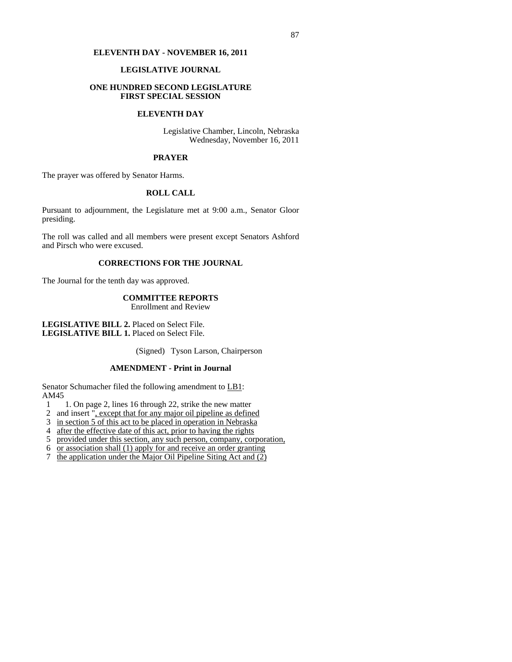## **ELEVENTH DAY - NOVEMBER 16, 2011**

## **LEGISLATIVE JOURNAL**

## **ONE HUNDRED SECOND LEGISLATURE FIRST SPECIAL SESSION**

### **ELEVENTH DAY**

Legislative Chamber, Lincoln, Nebraska Wednesday, November 16, 2011

### **PRAYER**

The prayer was offered by Senator Harms.

## **ROLL CALL**

Pursuant to adjournment, the Legislature met at 9:00 a.m., Senator Gloor presiding.

The roll was called and all members were present except Senators Ashford and Pirsch who were excused.

## **CORRECTIONS FOR THE JOURNAL**

The Journal for the tenth day was approved.

## **COMMITTEE REPORTS**

Enrollment and Review

**LEGISLATIVE BILL 2.** Placed on Select File. **LEGISLATIVE BILL 1.** Placed on Select File.

(Signed) Tyson Larson, Chairperson

## **AMENDMENT - Print in Journal**

Senator Schumacher filed the following amendment to LB1: AM45

- 1 1. On page 2, lines 16 through 22, strike the new matter 2 and insert ", except that for any major oil pipeline as defined
- and insert ", except that for any major oil pipeline as defined
- 3 in section 5 of this act to be placed in operation in Nebraska
- 4 after the effective date of this act, prior to having the rights
- 5 provided under this section, any such person, company, corporation,
- 6 or association shall (1) apply for and receive an order granting
- 7 the application under the Major Oil Pipeline Siting Act and (2)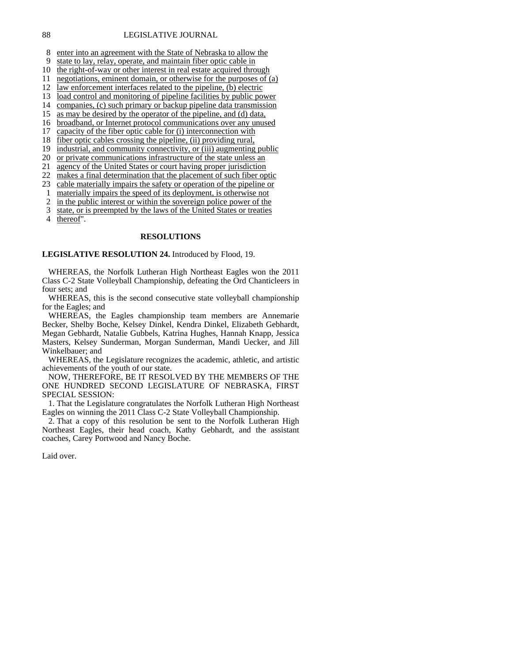8 enter into an agreement with the State of Nebraska to allow the

9 state to lay, relay, operate, and maintain fiber optic cable in

- 10 the right-of-way or other interest in real estate acquired through
- 11 negotiations, eminent domain, or otherwise for the purposes of (a)
- 12 law enforcement interfaces related to the pipeline, (b) electric
- 13 load control and monitoring of pipeline facilities by public power
- 14 companies, (c) such primary or backup pipeline data transmission
- 15 as may be desired by the operator of the pipeline, and (d) data,
- 16 broadband, or Internet protocol communications over any unused
- 17 capacity of the fiber optic cable for (i) interconnection with
- 18 fiber optic cables crossing the pipeline, (ii) providing rural,
- 19 industrial, and community connectivity, or (iii) augmenting public
- 20 or private communications infrastructure of the state unless an
- 21 agency of the United States or court having proper jurisdiction
- 22 makes a final determination that the placement of such fiber optic
- 23 cable materially impairs the safety or operation of the pipeline or
	- 1 materially impairs the speed of its deployment, is otherwise not
	- 2 in the public interest or within the sovereign police power of the
	- 3 state, or is preempted by the laws of the United States or treaties
	- 4 thereof".

## **RESOLUTIONS**

## **LEGISLATIVE RESOLUTION 24.** Introduced by Flood, 19.

 WHEREAS, the Norfolk Lutheran High Northeast Eagles won the 2011 Class C-2 State Volleyball Championship, defeating the Ord Chanticleers in four sets; and

 WHEREAS, this is the second consecutive state volleyball championship for the Eagles; and

 WHEREAS, the Eagles championship team members are Annemarie Becker, Shelby Boche, Kelsey Dinkel, Kendra Dinkel, Elizabeth Gebhardt, Megan Gebhardt, Natalie Gubbels, Katrina Hughes, Hannah Knapp, Jessica Masters, Kelsey Sunderman, Morgan Sunderman, Mandi Uecker, and Jill Winkelbauer; and

 WHEREAS, the Legislature recognizes the academic, athletic, and artistic achievements of the youth of our state.

 NOW, THEREFORE, BE IT RESOLVED BY THE MEMBERS OF THE ONE HUNDRED SECOND LEGISLATURE OF NEBRASKA, FIRST SPECIAL SESSION:

 1. That the Legislature congratulates the Norfolk Lutheran High Northeast Eagles on winning the 2011 Class C-2 State Volleyball Championship.

 2. That a copy of this resolution be sent to the Norfolk Lutheran High Northeast Eagles, their head coach, Kathy Gebhardt, and the assistant coaches, Carey Portwood and Nancy Boche.

Laid over.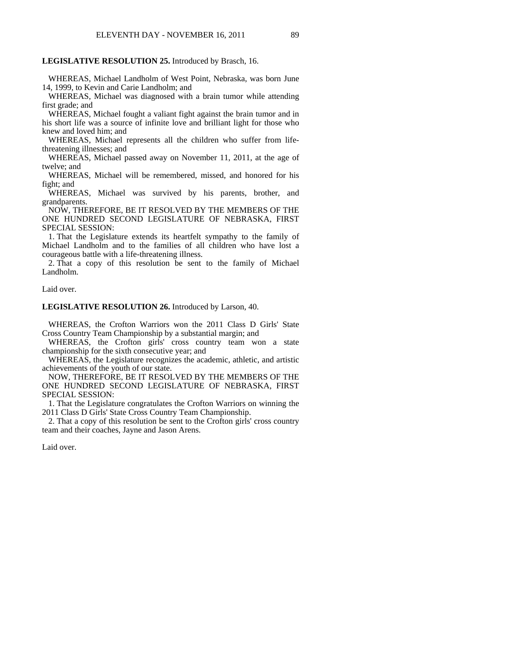## **LEGISLATIVE RESOLUTION 25.** Introduced by Brasch, 16.

 WHEREAS, Michael Landholm of West Point, Nebraska, was born June 14, 1999, to Kevin and Carie Landholm; and

 WHEREAS, Michael was diagnosed with a brain tumor while attending first grade; and

 WHEREAS, Michael fought a valiant fight against the brain tumor and in his short life was a source of infinite love and brilliant light for those who knew and loved him; and

 WHEREAS, Michael represents all the children who suffer from lifethreatening illnesses; and

 WHEREAS, Michael passed away on November 11, 2011, at the age of twelve; and

 WHEREAS, Michael will be remembered, missed, and honored for his fight; and

 WHEREAS, Michael was survived by his parents, brother, and grandparents.

 NOW, THEREFORE, BE IT RESOLVED BY THE MEMBERS OF THE ONE HUNDRED SECOND LEGISLATURE OF NEBRASKA, FIRST SPECIAL SESSION:

 1. That the Legislature extends its heartfelt sympathy to the family of Michael Landholm and to the families of all children who have lost a courageous battle with a life-threatening illness.

 2. That a copy of this resolution be sent to the family of Michael Landholm.

Laid over.

**LEGISLATIVE RESOLUTION 26.** Introduced by Larson, 40.

 WHEREAS, the Crofton Warriors won the 2011 Class D Girls' State Cross Country Team Championship by a substantial margin; and

WHEREAS, the Crofton girls' cross country team won a state championship for the sixth consecutive year; and

 WHEREAS, the Legislature recognizes the academic, athletic, and artistic achievements of the youth of our state.

 NOW, THEREFORE, BE IT RESOLVED BY THE MEMBERS OF THE ONE HUNDRED SECOND LEGISLATURE OF NEBRASKA, FIRST SPECIAL SESSION:

 1. That the Legislature congratulates the Crofton Warriors on winning the 2011 Class D Girls' State Cross Country Team Championship.

 2. That a copy of this resolution be sent to the Crofton girls' cross country team and their coaches, Jayne and Jason Arens.

Laid over.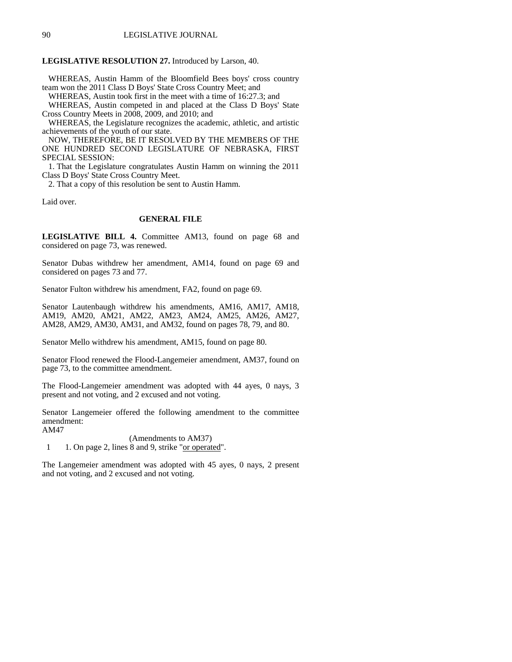### **LEGISLATIVE RESOLUTION 27.** Introduced by Larson, 40.

 WHEREAS, Austin Hamm of the Bloomfield Bees boys' cross country team won the 2011 Class D Boys' State Cross Country Meet; and

WHEREAS, Austin took first in the meet with a time of 16:27.3; and

 WHEREAS, Austin competed in and placed at the Class D Boys' State Cross Country Meets in 2008, 2009, and 2010; and

 WHEREAS, the Legislature recognizes the academic, athletic, and artistic achievements of the youth of our state.

 NOW, THEREFORE, BE IT RESOLVED BY THE MEMBERS OF THE ONE HUNDRED SECOND LEGISLATURE OF NEBRASKA, FIRST SPECIAL SESSION:

 1. That the Legislature congratulates Austin Hamm on winning the 2011 Class D Boys' State Cross Country Meet.

2. That a copy of this resolution be sent to Austin Hamm.

Laid over.

#### **GENERAL FILE**

LEGISLATIVE BILL 4. Committee AM13, found on page 68 and considered on page 73, was renewed.

Senator Dubas withdrew her amendment, AM14, found on page 69 and considered on pages 73 and 77.

Senator Fulton withdrew his amendment, FA2, found on page 69.

Senator Lautenbaugh withdrew his amendments, AM16, AM17, AM18, AM19, AM20, AM21, AM22, AM23, AM24, AM25, AM26, AM27, AM28, AM29, AM30, AM31, and AM32, found on pages 78, 79, and 80.

Senator Mello withdrew his amendment, AM15, found on page 80.

Senator Flood renewed the Flood-Langemeier amendment, AM37, found on page 73, to the committee amendment.

The Flood-Langemeier amendment was adopted with 44 ayes, 0 nays, 3 present and not voting, and 2 excused and not voting.

Senator Langemeier offered the following amendment to the committee amendment: AM47

(Amendments to AM37)

1 1. On page 2, lines 8 and 9, strike "or operated".

The Langemeier amendment was adopted with 45 ayes, 0 nays, 2 present and not voting, and 2 excused and not voting.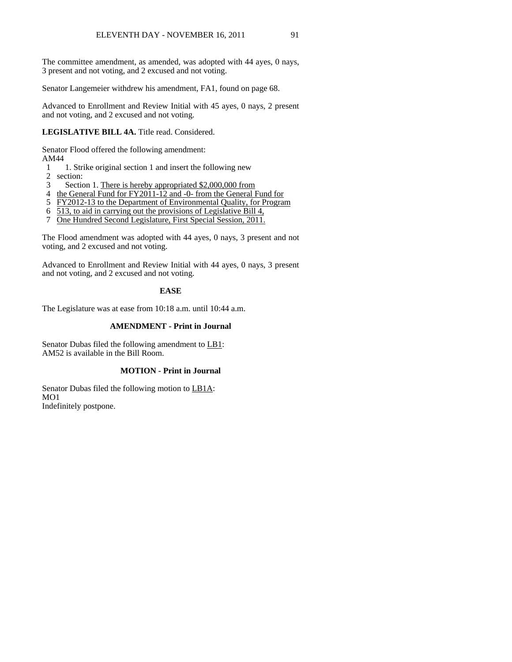The committee amendment, as amended, was adopted with 44 ayes, 0 nays, 3 present and not voting, and 2 excused and not voting.

Senator Langemeier withdrew his amendment, FA1, found on page 68.

Advanced to Enrollment and Review Initial with 45 ayes, 0 nays, 2 present and not voting, and 2 excused and not voting.

**LEGISLATIVE BILL 4A.** Title read. Considered.

Senator Flood offered the following amendment: AM44

- 1 1. Strike original section 1 and insert the following new
- 2 section:
- 3 Section 1. There is hereby appropriated \$2,000,000 from
- 4 the General Fund for FY2011-12 and -0- from the General Fund for
- 5 FY2012-13 to the Department of Environmental Quality, for Program
- 6 513, to aid in carrying out the provisions of Legislative Bill 4,
- 7 One Hundred Second Legislature, First Special Session, 2011.

The Flood amendment was adopted with 44 ayes, 0 nays, 3 present and not voting, and 2 excused and not voting.

Advanced to Enrollment and Review Initial with 44 ayes, 0 nays, 3 present and not voting, and 2 excused and not voting.

## **EASE**

The Legislature was at ease from 10:18 a.m. until 10:44 a.m.

## **AMENDMENT - Print in Journal**

Senator Dubas filed the following amendment to LB1: AM52 is available in the Bill Room.

## **MOTION - Print in Journal**

Senator Dubas filed the following motion to LB1A: MO1 Indefinitely postpone.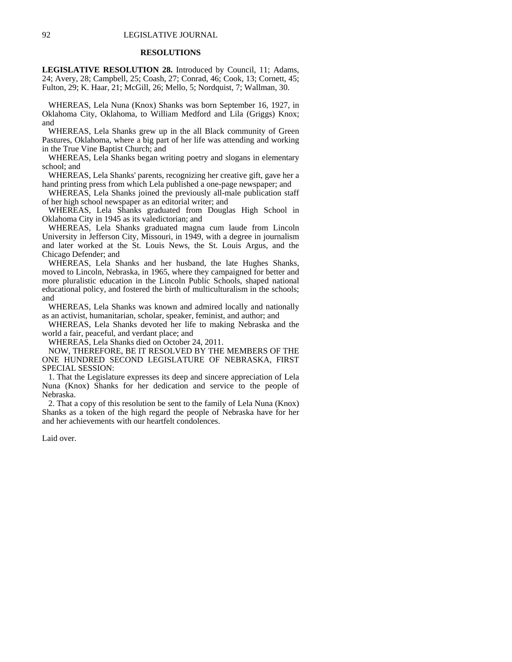#### **RESOLUTIONS**

**LEGISLATIVE RESOLUTION 28.** Introduced by Council, 11; Adams, 24; Avery, 28; Campbell, 25; Coash, 27; Conrad, 46; Cook, 13; Cornett, 45; Fulton, 29; K. Haar, 21; McGill, 26; Mello, 5; Nordquist, 7; Wallman, 30.

 WHEREAS, Lela Nuna (Knox) Shanks was born September 16, 1927, in Oklahoma City, Oklahoma, to William Medford and Lila (Griggs) Knox; and

 WHEREAS, Lela Shanks grew up in the all Black community of Green Pastures, Oklahoma, where a big part of her life was attending and working in the True Vine Baptist Church; and

 WHEREAS, Lela Shanks began writing poetry and slogans in elementary school; and

 WHEREAS, Lela Shanks' parents, recognizing her creative gift, gave her a hand printing press from which Lela published a one-page newspaper; and

 WHEREAS, Lela Shanks joined the previously all-male publication staff of her high school newspaper as an editorial writer; and

 WHEREAS, Lela Shanks graduated from Douglas High School in Oklahoma City in 1945 as its valedictorian; and

 WHEREAS, Lela Shanks graduated magna cum laude from Lincoln University in Jefferson City, Missouri, in 1949, with a degree in journalism and later worked at the St. Louis News, the St. Louis Argus, and the Chicago Defender; and

 WHEREAS, Lela Shanks and her husband, the late Hughes Shanks, moved to Lincoln, Nebraska, in 1965, where they campaigned for better and more pluralistic education in the Lincoln Public Schools, shaped national educational policy, and fostered the birth of multiculturalism in the schools; and

 WHEREAS, Lela Shanks was known and admired locally and nationally as an activist, humanitarian, scholar, speaker, feminist, and author; and

 WHEREAS, Lela Shanks devoted her life to making Nebraska and the world a fair, peaceful, and verdant place; and

WHEREAS, Lela Shanks died on October 24, 2011.

 NOW, THEREFORE, BE IT RESOLVED BY THE MEMBERS OF THE ONE HUNDRED SECOND LEGISLATURE OF NEBRASKA, FIRST SPECIAL SESSION:

 1. That the Legislature expresses its deep and sincere appreciation of Lela Nuna (Knox) Shanks for her dedication and service to the people of Nebraska.

 2. That a copy of this resolution be sent to the family of Lela Nuna (Knox) Shanks as a token of the high regard the people of Nebraska have for her and her achievements with our heartfelt condolences.

Laid over.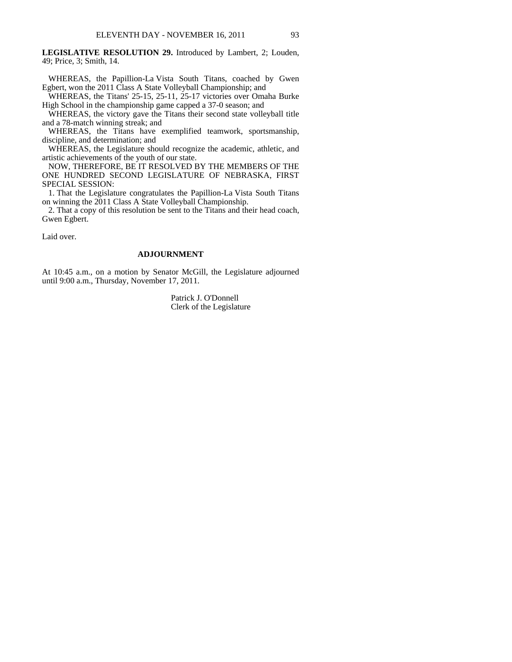**LEGISLATIVE RESOLUTION 29.** Introduced by Lambert, 2; Louden, 49; Price, 3; Smith, 14.

 WHEREAS, the Papillion-La Vista South Titans, coached by Gwen Egbert, won the 2011 Class A State Volleyball Championship; and

 WHEREAS, the Titans' 25-15, 25-11, 25-17 victories over Omaha Burke High School in the championship game capped a 37-0 season; and

 WHEREAS, the victory gave the Titans their second state volleyball title and a 78-match winning streak; and

 WHEREAS, the Titans have exemplified teamwork, sportsmanship, discipline, and determination; and

 WHEREAS, the Legislature should recognize the academic, athletic, and artistic achievements of the youth of our state.

 NOW, THEREFORE, BE IT RESOLVED BY THE MEMBERS OF THE ONE HUNDRED SECOND LEGISLATURE OF NEBRASKA, FIRST SPECIAL SESSION:

 1. That the Legislature congratulates the Papillion-La Vista South Titans on winning the 2011 Class A State Volleyball Championship.

 2. That a copy of this resolution be sent to the Titans and their head coach, Gwen Egbert.

Laid over.

#### **ADJOURNMENT**

At 10:45 a.m., on a motion by Senator McGill, the Legislature adjourned until 9:00 a.m., Thursday, November 17, 2011.

> Patrick J. O'Donnell Clerk of the Legislature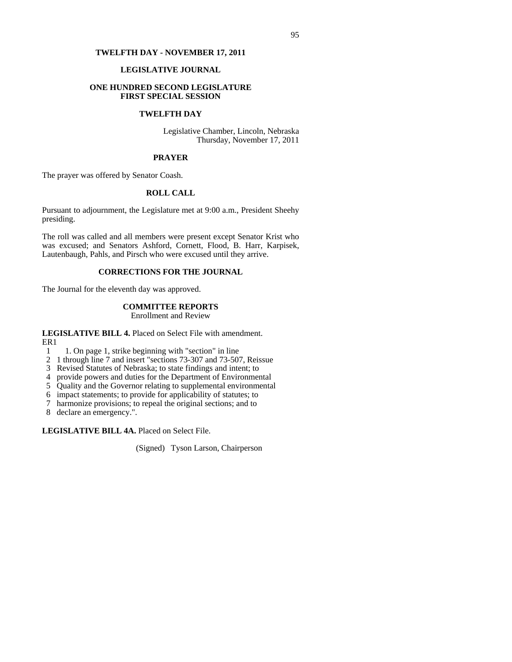## **TWELFTH DAY - NOVEMBER 17, 2011**

## **LEGISLATIVE JOURNAL**

### **ONE HUNDRED SECOND LEGISLATURE FIRST SPECIAL SESSION**

#### **TWELFTH DAY**

Legislative Chamber, Lincoln, Nebraska Thursday, November 17, 2011

#### **PRAYER**

The prayer was offered by Senator Coash.

### **ROLL CALL**

Pursuant to adjournment, the Legislature met at 9:00 a.m., President Sheehy presiding.

The roll was called and all members were present except Senator Krist who was excused; and Senators Ashford, Cornett, Flood, B. Harr, Karpisek, Lautenbaugh, Pahls, and Pirsch who were excused until they arrive.

## **CORRECTIONS FOR THE JOURNAL**

The Journal for the eleventh day was approved.

### **COMMITTEE REPORTS**

Enrollment and Review

**LEGISLATIVE BILL 4.** Placed on Select File with amendment. ER1

- 1 1. On page 1, strike beginning with "section" in line
- 2 1 through line 7 and insert "sections 73-307 and 73-507, Reissue
- 3 Revised Statutes of Nebraska; to state findings and intent; to
- 4 provide powers and duties for the Department of Environmental
- 5 Quality and the Governor relating to supplemental environmental
- 6 impact statements; to provide for applicability of statutes; to
- 7 harmonize provisions; to repeal the original sections; and to
- 8 declare an emergency.".

**LEGISLATIVE BILL 4A.** Placed on Select File.

(Signed) Tyson Larson, Chairperson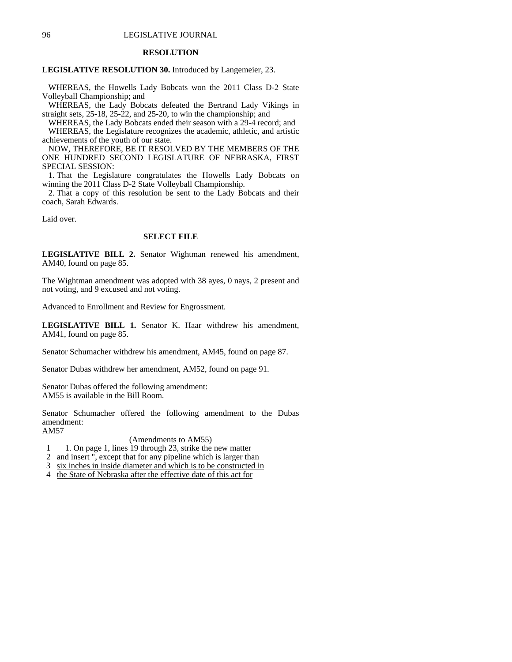### **RESOLUTION**

### **LEGISLATIVE RESOLUTION 30.** Introduced by Langemeier, 23.

 WHEREAS, the Howells Lady Bobcats won the 2011 Class D-2 State Volleyball Championship; and

 WHEREAS, the Lady Bobcats defeated the Bertrand Lady Vikings in straight sets,  $25-18$ ,  $25-22$ , and  $25-20$ , to win the championship; and

 WHEREAS, the Lady Bobcats ended their season with a 29-4 record; and WHEREAS, the Legislature recognizes the academic, athletic, and artistic achievements of the youth of our state.

 NOW, THEREFORE, BE IT RESOLVED BY THE MEMBERS OF THE ONE HUNDRED SECOND LEGISLATURE OF NEBRASKA, FIRST SPECIAL SESSION:

 1. That the Legislature congratulates the Howells Lady Bobcats on winning the 2011 Class D-2 State Volleyball Championship.

 2. That a copy of this resolution be sent to the Lady Bobcats and their coach, Sarah Edwards.

Laid over.

#### **SELECT FILE**

**LEGISLATIVE BILL 2.** Senator Wightman renewed his amendment, AM40, found on page 85.

The Wightman amendment was adopted with 38 ayes, 0 nays, 2 present and not voting, and 9 excused and not voting.

Advanced to Enrollment and Review for Engrossment.

**LEGISLATIVE BILL 1.** Senator K. Haar withdrew his amendment, AM41, found on page 85.

Senator Schumacher withdrew his amendment, AM45, found on page 87.

Senator Dubas withdrew her amendment, AM52, found on page 91.

Senator Dubas offered the following amendment: AM55 is available in the Bill Room.

Senator Schumacher offered the following amendment to the Dubas amendment: AM57

(Amendments to AM55)

- 1. On page 1, lines 19 through 23, strike the new matter
- 2 and insert ", except that for any pipeline which is larger than
- 3 six inches in inside diameter and which is to be constructed in
- 4 the State of Nebraska after the effective date of this act for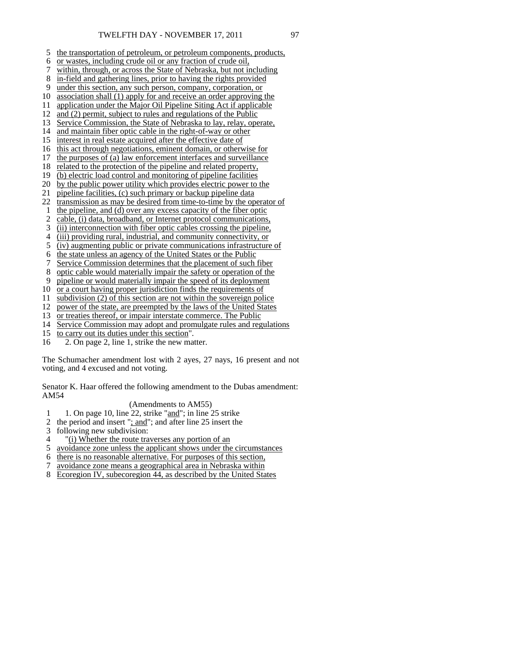5 the transportation of petroleum, or petroleum components, products, 6 or wastes, including crude oil or any fraction of crude oil, 7 within, through, or across the State of Nebraska, but not including 8 in-field and gathering lines, prior to having the rights provided 9 under this section, any such person, company, corporation, or 10 association shall (1) apply for and receive an order approving the 11 application under the Major Oil Pipeline Siting Act if applicable 12 and (2) permit, subject to rules and regulations of the Public 13 Service Commission, the State of Nebraska to lay, relay, operate, 14 and maintain fiber optic cable in the right-of-way or other 15 interest in real estate acquired after the effective date of 16 this act through negotiations, eminent domain, or otherwise for 17 the purposes of (a) law enforcement interfaces and surveillance 18 related to the protection of the pipeline and related property, 19 (b) electric load control and monitoring of pipeline facilities 20 by the public power utility which provides electric power to the 21 pipeline facilities, (c) such primary or backup pipeline data 22 transmission as may be desired from time-to-time by the operator of 1 the pipeline, and (d) over any excess capacity of the fiber optic 2 cable, (i) data, broadband, or Internet protocol communications, 3 (ii) interconnection with fiber optic cables crossing the pipeline, 4 (iii) providing rural, industrial, and community connectivity, or 5 (iv) augmenting public or private communications infrastructure of 6 the state unless an agency of the United States or the Public 7 Service Commission determines that the placement of such fiber 8 optic cable would materially impair the safety or operation of the 9 pipeline or would materially impair the speed of its deployment 10 or a court having proper jurisdiction finds the requirements of 11 subdivision (2) of this section are not within the sovereign police 12 power of the state, are preempted by the laws of the United States 13 or treaties thereof, or impair interstate commerce. The Public 14 Service Commission may adopt and promulgate rules and regulations

- 15 to carry out its duties under this section".
- 16 2. On page 2, line 1, strike the new matter.

The Schumacher amendment lost with 2 ayes, 27 nays, 16 present and not voting, and 4 excused and not voting.

Senator K. Haar offered the following amendment to the Dubas amendment: AM54

### (Amendments to AM55)

- 1 1. On page 10, line  $22$ , strike "and"; in line 25 strike
- 2 the period and insert "; and"; and after line 25 insert the
- 3 following new subdivision:<br>4 "(i) Whether the route tra
- "(i) Whether the route traverses any portion of an
- 5 avoidance zone unless the applicant shows under the circumstances
- 6 there is no reasonable alternative. For purposes of this section,
- 7 avoidance zone means a geographical area in Nebraska within
- 8 Ecoregion IV, subecoregion 44, as described by the United States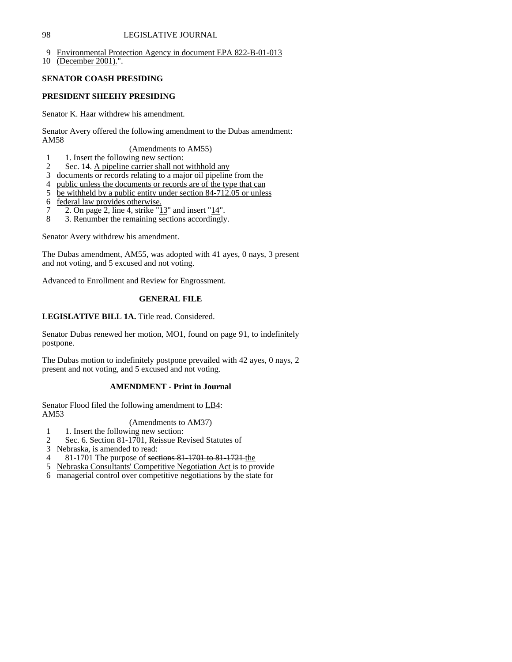- 9 Environmental Protection Agency in document EPA 822-B-01-013
- 10 (December 2001).".

## **SENATOR COASH PRESIDING**

## **PRESIDENT SHEEHY PRESIDING**

Senator K. Haar withdrew his amendment.

Senator Avery offered the following amendment to the Dubas amendment: AM58

(Amendments to AM55)

- 1 1. Insert the following new section:
- 2 Sec. 14. A pipeline carrier shall not withhold any
- 3 documents or records relating to a major oil pipeline from the
- 4 public unless the documents or records are of the type that can
- 5 be withheld by a public entity under section 84-712.05 or unless
- 6 federal law provides otherwise.
- 7 2. On page 2, line 4, strike " $\frac{13}{3}$ " and insert " $\frac{14}{3}$ ".
- 8 3. Renumber the remaining sections accordingly.

Senator Avery withdrew his amendment.

The Dubas amendment, AM55, was adopted with 41 ayes, 0 nays, 3 present and not voting, and 5 excused and not voting.

Advanced to Enrollment and Review for Engrossment.

## **GENERAL FILE**

**LEGISLATIVE BILL 1A.** Title read. Considered.

Senator Dubas renewed her motion, MO1, found on page 91, to indefinitely postpone.

The Dubas motion to indefinitely postpone prevailed with 42 ayes, 0 nays, 2 present and not voting, and 5 excused and not voting.

## **AMENDMENT - Print in Journal**

Senator Flood filed the following amendment to LB4: AM53

(Amendments to AM37)

- 1 1. Insert the following new section:
- 2 Sec. 6. Section 81-1701, Reissue Revised Statutes of
- 3 Nebraska, is amended to read:
- 4 81-1701 The purpose of sections 81-1701 to 81-1721 the
- 5 Nebraska Consultants' Competitive Negotiation Act is to provide
- 6 managerial control over competitive negotiations by the state for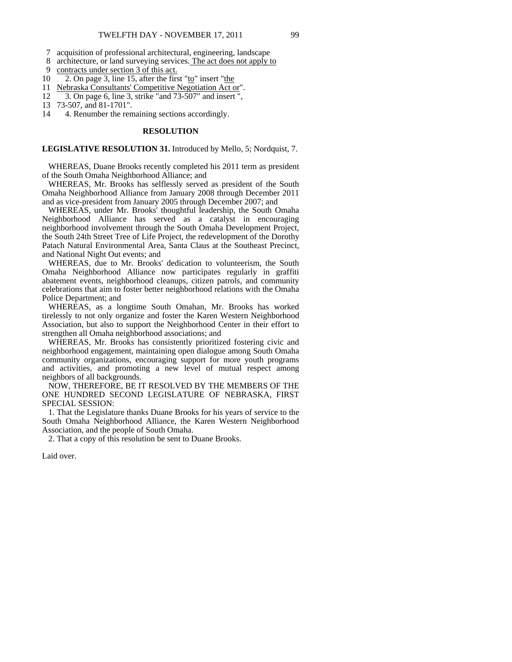- 7 acquisition of professional architectural, engineering, landscape
- 8 architecture, or land surveying services. The act does not apply to
- 9 contracts under section 3 of this act.
- 10 2. On page 3, line 15, after the first "to" insert "the
- 11 Nebraska Consultants' Competitive Negotiation Act or".
- 12 3. On page 6, line 3, strike "and 73-507" and insert ",
- 13 73-507, and 81-1701".
- 14 4. Renumber the remaining sections accordingly.

### **RESOLUTION**

#### **LEGISLATIVE RESOLUTION 31.** Introduced by Mello, 5; Nordquist, 7.

 WHEREAS, Duane Brooks recently completed his 2011 term as president of the South Omaha Neighborhood Alliance; and

 WHEREAS, Mr. Brooks has selflessly served as president of the South Omaha Neighborhood Alliance from January 2008 through December 2011 and as vice-president from January 2005 through December 2007; and

 WHEREAS, under Mr. Brooks' thoughtful leadership, the South Omaha Neighborhood Alliance has served as a catalyst in encouraging neighborhood involvement through the South Omaha Development Project, the South 24th Street Tree of Life Project, the redevelopment of the Dorothy Patach Natural Environmental Area, Santa Claus at the Southeast Precinct, and National Night Out events; and

 WHEREAS, due to Mr. Brooks' dedication to volunteerism, the South Omaha Neighborhood Alliance now participates regularly in graffiti abatement events, neighborhood cleanups, citizen patrols, and community celebrations that aim to foster better neighborhood relations with the Omaha Police Department; and

 WHEREAS, as a longtime South Omahan, Mr. Brooks has worked tirelessly to not only organize and foster the Karen Western Neighborhood Association, but also to support the Neighborhood Center in their effort to strengthen all Omaha neighborhood associations; and

 WHEREAS, Mr. Brooks has consistently prioritized fostering civic and neighborhood engagement, maintaining open dialogue among South Omaha community organizations, encouraging support for more youth programs and activities, and promoting a new level of mutual respect among neighbors of all backgrounds.

 NOW, THEREFORE, BE IT RESOLVED BY THE MEMBERS OF THE ONE HUNDRED SECOND LEGISLATURE OF NEBRASKA, FIRST SPECIAL SESSION:

 1. That the Legislature thanks Duane Brooks for his years of service to the South Omaha Neighborhood Alliance, the Karen Western Neighborhood Association, and the people of South Omaha.

2. That a copy of this resolution be sent to Duane Brooks.

Laid over.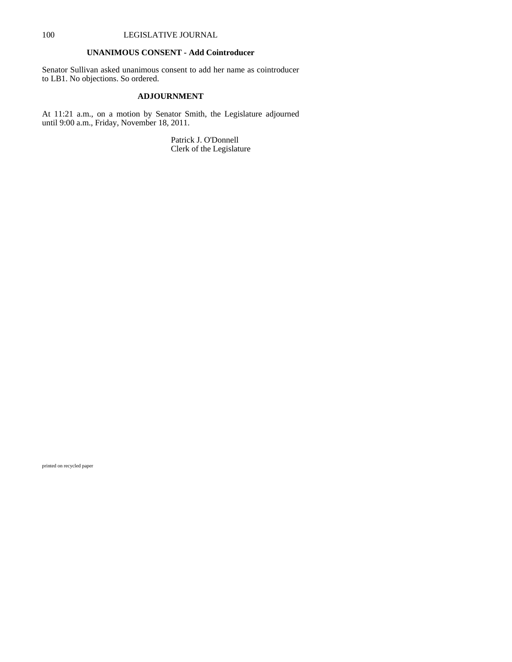## **UNANIMOUS CONSENT - Add Cointroducer**

Senator Sullivan asked unanimous consent to add her name as cointroducer to LB1. No objections. So ordered.

#### **ADJOURNMENT**

At 11:21 a.m., on a motion by Senator Smith, the Legislature adjourned until 9:00 a.m., Friday, November 18, 2011.

> Patrick J. O'Donnell Clerk of the Legislature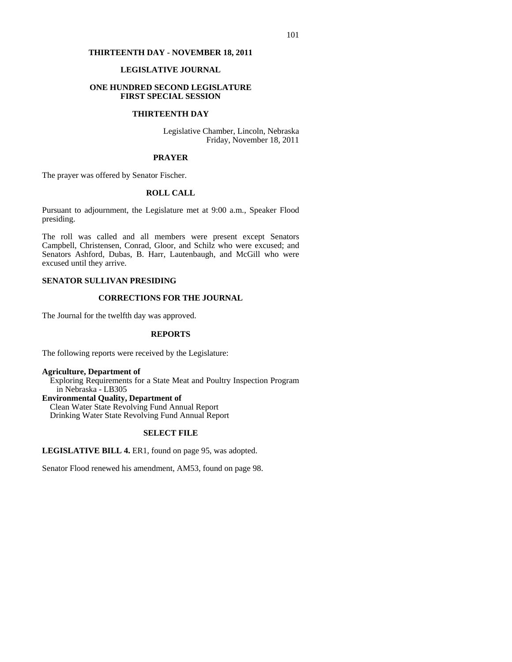## **THIRTEENTH DAY - NOVEMBER 18, 2011**

## **LEGISLATIVE JOURNAL**

## **ONE HUNDRED SECOND LEGISLATURE FIRST SPECIAL SESSION**

### **THIRTEENTH DAY**

Legislative Chamber, Lincoln, Nebraska Friday, November 18, 2011

#### **PRAYER**

The prayer was offered by Senator Fischer.

## **ROLL CALL**

Pursuant to adjournment, the Legislature met at 9:00 a.m., Speaker Flood presiding.

The roll was called and all members were present except Senators Campbell, Christensen, Conrad, Gloor, and Schilz who were excused; and Senators Ashford, Dubas, B. Harr, Lautenbaugh, and McGill who were excused until they arrive.

### **SENATOR SULLIVAN PRESIDING**

## **CORRECTIONS FOR THE JOURNAL**

The Journal for the twelfth day was approved.

### **REPORTS**

The following reports were received by the Legislature:

### **Agriculture, Department of**

 Exploring Requirements for a State Meat and Poultry Inspection Program in Nebraska - LB305

#### **Environmental Quality, Department of**

 Clean Water State Revolving Fund Annual Report Drinking Water State Revolving Fund Annual Report

## **SELECT FILE**

## **LEGISLATIVE BILL 4.** ER1, found on page 95, was adopted.

Senator Flood renewed his amendment, AM53, found on page 98.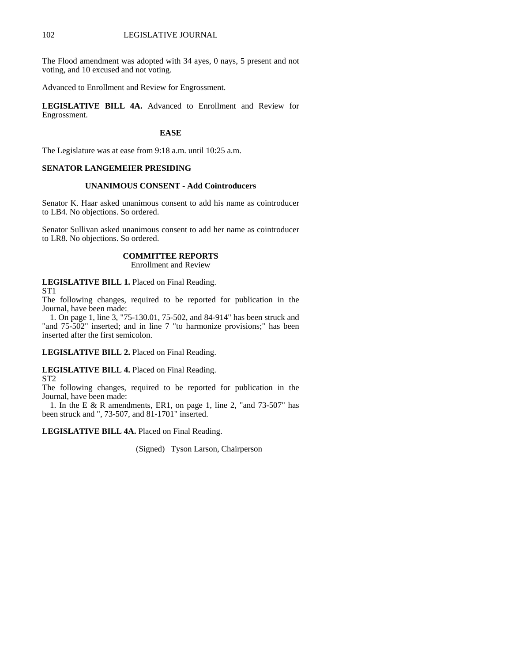The Flood amendment was adopted with 34 ayes, 0 nays, 5 present and not voting, and 10 excused and not voting.

Advanced to Enrollment and Review for Engrossment.

**LEGISLATIVE BILL 4A.** Advanced to Enrollment and Review for Engrossment.

#### **EASE**

The Legislature was at ease from 9:18 a.m. until 10:25 a.m.

### **SENATOR LANGEMEIER PRESIDING**

#### **UNANIMOUS CONSENT - Add Cointroducers**

Senator K. Haar asked unanimous consent to add his name as cointroducer to LB4. No objections. So ordered.

Senator Sullivan asked unanimous consent to add her name as cointroducer to LR8. No objections. So ordered.

#### **COMMITTEE REPORTS**

Enrollment and Review

LEGISLATIVE BILL 1. Placed on Final Reading.

ST1

The following changes, required to be reported for publication in the Journal, have been made:

 1. On page 1, line 3, "75-130.01, 75-502, and 84-914" has been struck and "and 75-502" inserted; and in line 7 "to harmonize provisions;" has been inserted after the first semicolon.

**LEGISLATIVE BILL 2.** Placed on Final Reading.

**LEGISLATIVE BILL 4.** Placed on Final Reading.

ST2

The following changes, required to be reported for publication in the Journal, have been made:

 1. In the E & R amendments, ER1, on page 1, line 2, "and 73-507" has been struck and ", 73-507, and 81-1701" inserted.

**LEGISLATIVE BILL 4A.** Placed on Final Reading.

(Signed) Tyson Larson, Chairperson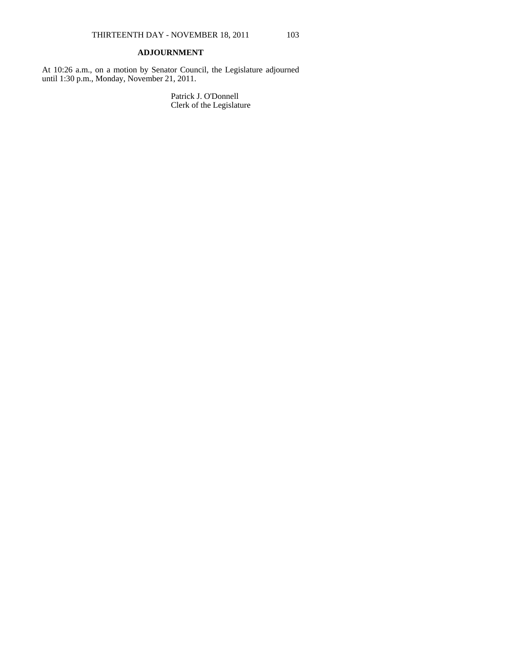## **ADJOURNMENT**

At 10:26 a.m., on a motion by Senator Council, the Legislature adjourned until 1:30 p.m., Monday, November 21, 2011.

> Patrick J. O'Donnell Clerk of the Legislature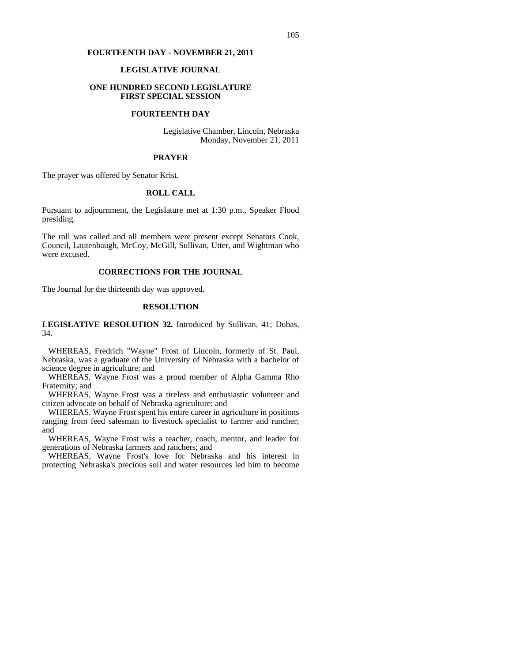#### **FOURTEENTH DAY - NOVEMBER 21, 2011**

#### **LEGISLATIVE JOURNAL**

### **ONE HUNDRED SECOND LEGISLATURE FIRST SPECIAL SESSION**

#### **FOURTEENTH DAY**

Legislative Chamber, Lincoln, Nebraska Monday, November 21, 2011

#### **PRAYER**

The prayer was offered by Senator Krist.

## **ROLL CALL**

Pursuant to adjournment, the Legislature met at 1:30 p.m., Speaker Flood presiding.

The roll was called and all members were present except Senators Cook, Council, Lautenbaugh, McCoy, McGill, Sullivan, Utter, and Wightman who were excused.

#### **CORRECTIONS FOR THE JOURNAL**

The Journal for the thirteenth day was approved.

#### **RESOLUTION**

**LEGISLATIVE RESOLUTION 32.** Introduced by Sullivan, 41; Dubas, 34.

 WHEREAS, Fredrich "Wayne" Frost of Lincoln, formerly of St. Paul, Nebraska, was a graduate of the University of Nebraska with a bachelor of science degree in agriculture; and

 WHEREAS, Wayne Frost was a proud member of Alpha Gamma Rho Fraternity; and

 WHEREAS, Wayne Frost was a tireless and enthusiastic volunteer and citizen advocate on behalf of Nebraska agriculture; and

 WHEREAS, Wayne Frost spent his entire career in agriculture in positions ranging from feed salesman to livestock specialist to farmer and rancher; and

 WHEREAS, Wayne Frost was a teacher, coach, mentor, and leader for generations of Nebraska farmers and ranchers; and

 WHEREAS, Wayne Frost's love for Nebraska and his interest in protecting Nebraska's precious soil and water resources led him to become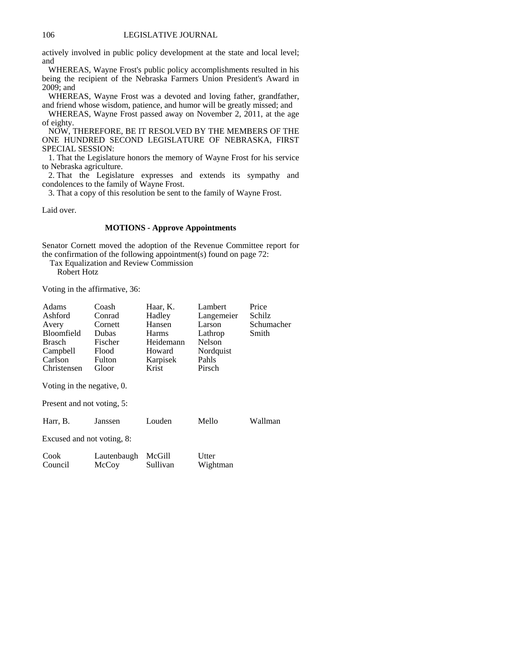actively involved in public policy development at the state and local level; and

 WHEREAS, Wayne Frost's public policy accomplishments resulted in his being the recipient of the Nebraska Farmers Union President's Award in 2009; and

 WHEREAS, Wayne Frost was a devoted and loving father, grandfather, and friend whose wisdom, patience, and humor will be greatly missed; and

 WHEREAS, Wayne Frost passed away on November 2, 2011, at the age of eighty.

 NOW, THEREFORE, BE IT RESOLVED BY THE MEMBERS OF THE ONE HUNDRED SECOND LEGISLATURE OF NEBRASKA, FIRST SPECIAL SESSION:

 1. That the Legislature honors the memory of Wayne Frost for his service to Nebraska agriculture.

 2. That the Legislature expresses and extends its sympathy and condolences to the family of Wayne Frost.

3. That a copy of this resolution be sent to the family of Wayne Frost.

Laid over.

#### **MOTIONS - Approve Appointments**

Senator Cornett moved the adoption of the Revenue Committee report for the confirmation of the following appointment(s) found on page 72:

Tax Equalization and Review Commission

Robert Hotz

Voting in the affirmative, 36:

| Adams<br>Ashford<br>Avery<br><b>Bloomfield</b><br>Brasch<br>Campbell<br>Carlson<br>Christensen<br>Voting in the negative, 0. | Coash<br>Conrad<br>Cornett<br>Dubas<br>Fischer<br>Flood<br><b>Fulton</b><br>Gloor | Haar, K.<br>Hadley<br>Hansen<br>Harms<br>Heidemann<br>Howard<br>Karpisek<br>Krist | Lambert<br>Langemeier<br>Larson<br>Lathrop<br>Nelson<br>Nordquist<br>Pahls<br>Pirsch | Price<br>Schilz<br>Schumacher<br>Smith |  |
|------------------------------------------------------------------------------------------------------------------------------|-----------------------------------------------------------------------------------|-----------------------------------------------------------------------------------|--------------------------------------------------------------------------------------|----------------------------------------|--|
| Present and not voting, 5:                                                                                                   |                                                                                   |                                                                                   |                                                                                      |                                        |  |
| Harr, B.                                                                                                                     | Janssen                                                                           | Louden                                                                            | Mello                                                                                | Wallman                                |  |
| Excused and not voting, 8:                                                                                                   |                                                                                   |                                                                                   |                                                                                      |                                        |  |
| Cook<br>Council                                                                                                              | Lautenbaugh<br>McCoy                                                              | McGill<br>Sullivan                                                                | Utter<br>Wightman                                                                    |                                        |  |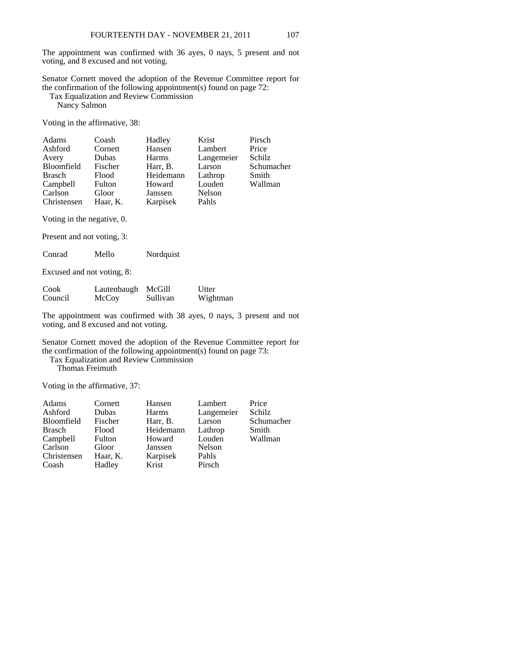The appointment was confirmed with 36 ayes, 0 nays, 5 present and not voting, and 8 excused and not voting.

Senator Cornett moved the adoption of the Revenue Committee report for the confirmation of the following appointment(s) found on page  $72$ :

Tax Equalization and Review Commission

Nancy Salmon

Voting in the affirmative, 38:

| Adams         | Coash    | Hadley       | Krist      | Pirsch     |
|---------------|----------|--------------|------------|------------|
| Ashford       | Cornett  | Hansen       | Lambert    | Price      |
| Avery         | Dubas    | <b>Harms</b> | Langemeier | Schilz     |
| Bloomfield    | Fischer  | Harr, B.     | Larson     | Schumacher |
| <b>Brasch</b> | Flood    | Heidemann    | Lathrop    | Smith      |
| Campbell      | Fulton   | Howard       | Louden     | Wallman    |
| Carlson       | Gloor    | Janssen      | Nelson     |            |
| Christensen   | Haar, K. | Karpisek     | Pahls      |            |

Voting in the negative, 0.

Present and not voting, 3:

Conrad Mello Nordquist

Excused and not voting, 8:

| Cook    | Lautenbaugh McGill |          | Utter    |
|---------|--------------------|----------|----------|
| Council | McCoy              | Sullivan | Wightman |

The appointment was confirmed with 38 ayes, 0 nays, 3 present and not voting, and 8 excused and not voting.

Senator Cornett moved the adoption of the Revenue Committee report for the confirmation of the following appointment(s) found on page 73:

Tax Equalization and Review Commission

Thomas Freimuth

Voting in the affirmative, 37:

| Adams             | Cornett  | Hansen    | Lambert    | Price      |
|-------------------|----------|-----------|------------|------------|
| Ashford           | Dubas    | Harms     | Langemeier | Schilz     |
| <b>Bloomfield</b> | Fischer  | Harr, B.  | Larson     | Schumacher |
| <b>Brasch</b>     | Flood    | Heidemann | Lathrop    | Smith      |
| Campbell          | Fulton   | Howard    | Louden     | Wallman    |
| Carlson           | Gloor    | Janssen   | Nelson     |            |
| Christensen       | Haar, K. | Karpisek  | Pahls      |            |
| Coash             | Hadley   | Krist     | Pirsch     |            |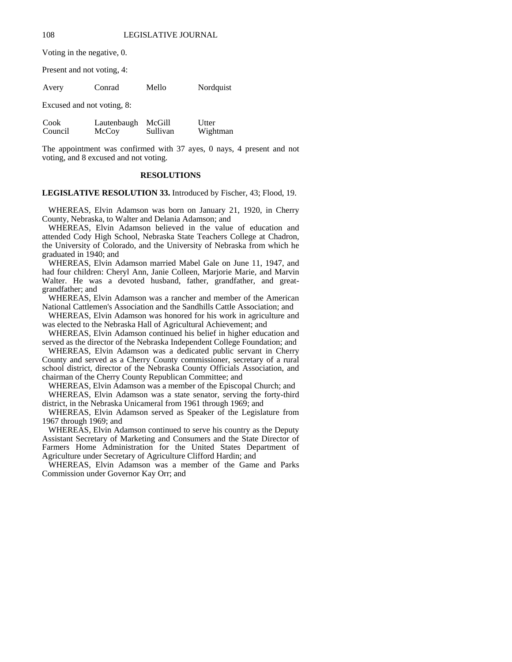Voting in the negative, 0.

Present and not voting, 4:

| Avery | Conrad | Mello | Nordquist |
|-------|--------|-------|-----------|
|       |        |       |           |

Excused and not voting, 8:

| Cook    | Lautenbaugh McGill |          | Utter    |
|---------|--------------------|----------|----------|
| Council | McCoy              | Sullivan | Wightman |

The appointment was confirmed with 37 ayes, 0 nays, 4 present and not voting, and 8 excused and not voting.

#### **RESOLUTIONS**

**LEGISLATIVE RESOLUTION 33.** Introduced by Fischer, 43; Flood, 19.

 WHEREAS, Elvin Adamson was born on January 21, 1920, in Cherry County, Nebraska, to Walter and Delania Adamson; and

 WHEREAS, Elvin Adamson believed in the value of education and attended Cody High School, Nebraska State Teachers College at Chadron, the University of Colorado, and the University of Nebraska from which he graduated in 1940; and

 WHEREAS, Elvin Adamson married Mabel Gale on June 11, 1947, and had four children: Cheryl Ann, Janie Colleen, Marjorie Marie, and Marvin Walter. He was a devoted husband, father, grandfather, and greatgrandfather; and

 WHEREAS, Elvin Adamson was a rancher and member of the American National Cattlemen's Association and the Sandhills Cattle Association; and

 WHEREAS, Elvin Adamson was honored for his work in agriculture and was elected to the Nebraska Hall of Agricultural Achievement; and

 WHEREAS, Elvin Adamson continued his belief in higher education and served as the director of the Nebraska Independent College Foundation; and

 WHEREAS, Elvin Adamson was a dedicated public servant in Cherry County and served as a Cherry County commissioner, secretary of a rural school district, director of the Nebraska County Officials Association, and chairman of the Cherry County Republican Committee; and

WHEREAS, Elvin Adamson was a member of the Episcopal Church; and

 WHEREAS, Elvin Adamson was a state senator, serving the forty-third district, in the Nebraska Unicameral from 1961 through 1969; and

 WHEREAS, Elvin Adamson served as Speaker of the Legislature from 1967 through 1969; and

 WHEREAS, Elvin Adamson continued to serve his country as the Deputy Assistant Secretary of Marketing and Consumers and the State Director of Farmers Home Administration for the United States Department of Agriculture under Secretary of Agriculture Clifford Hardin; and

 WHEREAS, Elvin Adamson was a member of the Game and Parks Commission under Governor Kay Orr; and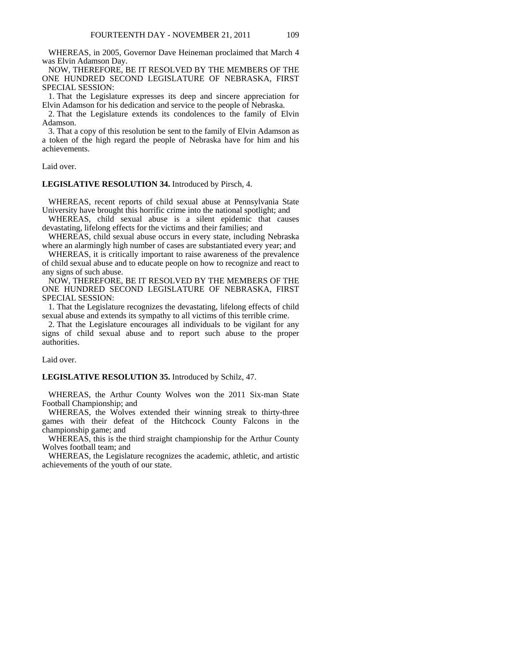WHEREAS, in 2005, Governor Dave Heineman proclaimed that March 4 was Elvin Adamson Day.

 NOW, THEREFORE, BE IT RESOLVED BY THE MEMBERS OF THE ONE HUNDRED SECOND LEGISLATURE OF NEBRASKA, FIRST SPECIAL SESSION:

 1. That the Legislature expresses its deep and sincere appreciation for Elvin Adamson for his dedication and service to the people of Nebraska.

 2. That the Legislature extends its condolences to the family of Elvin Adamson.

 3. That a copy of this resolution be sent to the family of Elvin Adamson as a token of the high regard the people of Nebraska have for him and his achievements.

Laid over.

#### **LEGISLATIVE RESOLUTION 34.** Introduced by Pirsch, 4.

 WHEREAS, recent reports of child sexual abuse at Pennsylvania State University have brought this horrific crime into the national spotlight; and

 WHEREAS, child sexual abuse is a silent epidemic that causes devastating, lifelong effects for the victims and their families; and

 WHEREAS, child sexual abuse occurs in every state, including Nebraska where an alarmingly high number of cases are substantiated every year; and

 WHEREAS, it is critically important to raise awareness of the prevalence of child sexual abuse and to educate people on how to recognize and react to any signs of such abuse.

 NOW, THEREFORE, BE IT RESOLVED BY THE MEMBERS OF THE ONE HUNDRED SECOND LEGISLATURE OF NEBRASKA, FIRST SPECIAL SESSION:

 1. That the Legislature recognizes the devastating, lifelong effects of child sexual abuse and extends its sympathy to all victims of this terrible crime.

 2. That the Legislature encourages all individuals to be vigilant for any signs of child sexual abuse and to report such abuse to the proper authorities.

Laid over.

#### **LEGISLATIVE RESOLUTION 35.** Introduced by Schilz, 47.

 WHEREAS, the Arthur County Wolves won the 2011 Six-man State Football Championship; and

 WHEREAS, the Wolves extended their winning streak to thirty-three games with their defeat of the Hitchcock County Falcons in the championship game; and

 WHEREAS, this is the third straight championship for the Arthur County Wolves football team; and

 WHEREAS, the Legislature recognizes the academic, athletic, and artistic achievements of the youth of our state.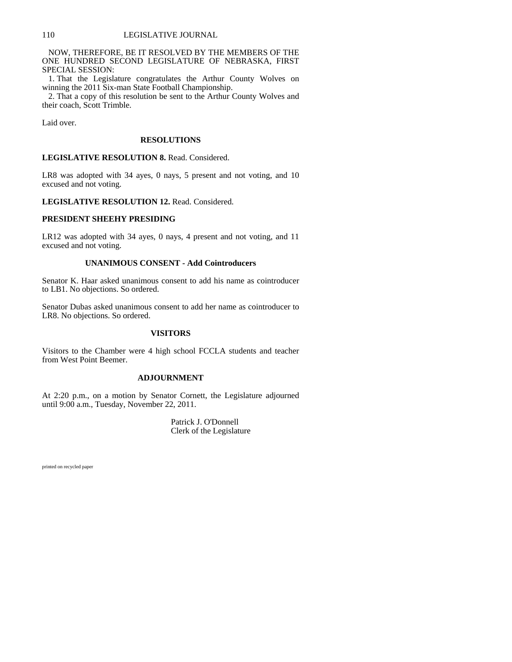NOW, THEREFORE, BE IT RESOLVED BY THE MEMBERS OF THE ONE HUNDRED SECOND LEGISLATURE OF NEBRASKA, FIRST SPECIAL SESSION:

 1. That the Legislature congratulates the Arthur County Wolves on winning the 2011 Six-man State Football Championship.

 2. That a copy of this resolution be sent to the Arthur County Wolves and their coach, Scott Trimble.

Laid over.

## **RESOLUTIONS**

### **LEGISLATIVE RESOLUTION 8.** Read. Considered.

LR8 was adopted with 34 ayes, 0 nays, 5 present and not voting, and 10 excused and not voting.

**LEGISLATIVE RESOLUTION 12.** Read. Considered.

### **PRESIDENT SHEEHY PRESIDING**

LR12 was adopted with 34 ayes, 0 nays, 4 present and not voting, and 11 excused and not voting.

#### **UNANIMOUS CONSENT - Add Cointroducers**

Senator K. Haar asked unanimous consent to add his name as cointroducer to LB1. No objections. So ordered.

Senator Dubas asked unanimous consent to add her name as cointroducer to LR8. No objections. So ordered.

### **VISITORS**

Visitors to the Chamber were 4 high school FCCLA students and teacher from West Point Beemer.

#### **ADJOURNMENT**

At 2:20 p.m., on a motion by Senator Cornett, the Legislature adjourned until 9:00 a.m., Tuesday, November 22, 2011.

> Patrick J. O'Donnell Clerk of the Legislature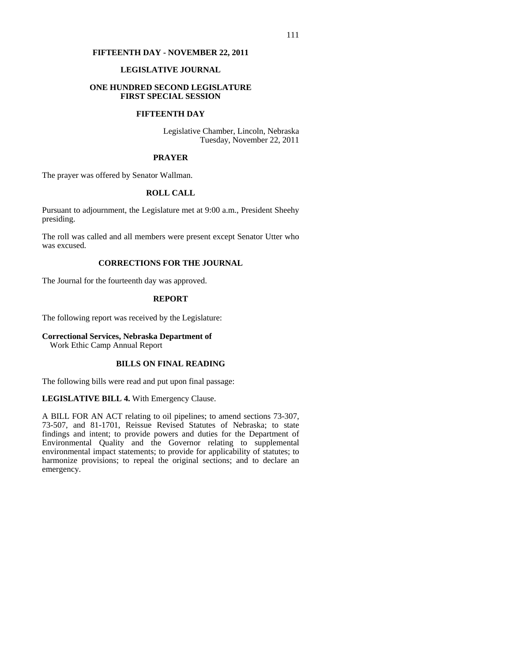## **FIFTEENTH DAY - NOVEMBER 22, 2011**

## **LEGISLATIVE JOURNAL**

## **ONE HUNDRED SECOND LEGISLATURE FIRST SPECIAL SESSION**

### **FIFTEENTH DAY**

Legislative Chamber, Lincoln, Nebraska Tuesday, November 22, 2011

### **PRAYER**

The prayer was offered by Senator Wallman.

# **ROLL CALL**

Pursuant to adjournment, the Legislature met at 9:00 a.m., President Sheehy presiding.

The roll was called and all members were present except Senator Utter who was excused.

## **CORRECTIONS FOR THE JOURNAL**

The Journal for the fourteenth day was approved.

## **REPORT**

The following report was received by the Legislature:

**Correctional Services, Nebraska Department of**  Work Ethic Camp Annual Report

## **BILLS ON FINAL READING**

The following bills were read and put upon final passage:

**LEGISLATIVE BILL 4.** With Emergency Clause.

A BILL FOR AN ACT relating to oil pipelines; to amend sections 73-307, 73-507, and 81-1701, Reissue Revised Statutes of Nebraska; to state findings and intent; to provide powers and duties for the Department of Environmental Quality and the Governor relating to supplemental environmental impact statements; to provide for applicability of statutes; to harmonize provisions; to repeal the original sections; and to declare an emergency.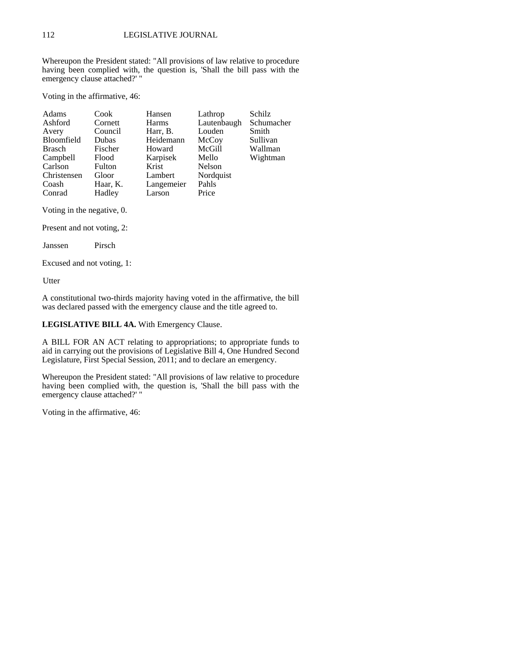Whereupon the President stated: "All provisions of law relative to procedure having been complied with, the question is, 'Shall the bill pass with the emergency clause attached?' "

Voting in the affirmative, 46:

| Cook     | Hansen     | Lathrop     | Schilz     |
|----------|------------|-------------|------------|
| Cornett  | Harms      | Lautenbaugh | Schumacher |
| Council  | Harr, B.   | Louden      | Smith      |
| Dubas    | Heidemann  | McCoy       | Sullivan   |
| Fischer  | Howard     | McGill      | Wallman    |
| Flood    | Karpisek   | Mello       | Wightman   |
| Fulton   | Krist      | Nelson      |            |
| Gloor    | Lambert    | Nordquist   |            |
| Haar, K. | Langemeier | Pahls       |            |
| Hadley   | Larson     | Price       |            |
|          |            |             |            |

Voting in the negative, 0.

Present and not voting, 2:

Janssen Pirsch

Excused and not voting, 1:

**U**tter

A constitutional two-thirds majority having voted in the affirmative, the bill was declared passed with the emergency clause and the title agreed to.

## **LEGISLATIVE BILL 4A.** With Emergency Clause.

A BILL FOR AN ACT relating to appropriations; to appropriate funds to aid in carrying out the provisions of Legislative Bill 4, One Hundred Second Legislature, First Special Session, 2011; and to declare an emergency.

Whereupon the President stated: "All provisions of law relative to procedure having been complied with, the question is, 'Shall the bill pass with the emergency clause attached?' "

Voting in the affirmative, 46: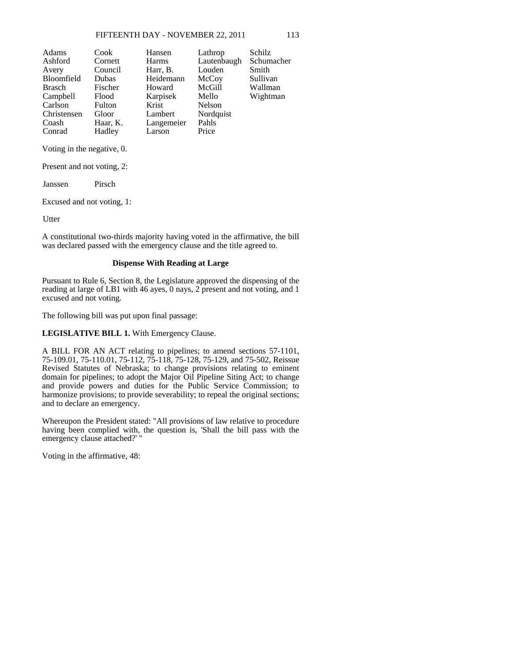### FIFTEENTH DAY - NOVEMBER 22, 2011 113

| Adams         | Cook     | Hansen       | Lathrop     | Schilz     |
|---------------|----------|--------------|-------------|------------|
| Ashford       | Cornett  | <b>Harms</b> | Lautenbaugh | Schumacher |
| Avery         | Council  | Harr, B.     | Louden      | Smith      |
| Bloomfield    | Dubas    | Heidemann    | McCoy       | Sullivan   |
| <b>Brasch</b> | Fischer  | Howard       | McGill      | Wallman    |
| Campbell      | Flood    | Karpisek     | Mello       | Wightman   |
| Carlson       | Fulton   | Krist        | Nelson      |            |
| Christensen   | Gloor    | Lambert      | Nordquist   |            |
| Coash         | Haar, K. | Langemeier   | Pahls       |            |
| Conrad        | Hadley   | Larson       | Price       |            |

Voting in the negative, 0.

Present and not voting, 2:

Janssen Pirsch

Excused and not voting, 1:

**U**tter

A constitutional two-thirds majority having voted in the affirmative, the bill was declared passed with the emergency clause and the title agreed to.

## **Dispense With Reading at Large**

Pursuant to Rule 6, Section 8, the Legislature approved the dispensing of the reading at large of LB1 with 46 ayes, 0 nays, 2 present and not voting, and 1 excused and not voting.

The following bill was put upon final passage:

**LEGISLATIVE BILL 1.** With Emergency Clause.

A BILL FOR AN ACT relating to pipelines; to amend sections 57-1101, 75-109.01, 75-110.01, 75-112, 75-118, 75-128, 75-129, and 75-502, Reissue Revised Statutes of Nebraska; to change provisions relating to eminent domain for pipelines; to adopt the Major Oil Pipeline Siting Act; to change and provide powers and duties for the Public Service Commission; to harmonize provisions; to provide severability; to repeal the original sections; and to declare an emergency.

Whereupon the President stated: "All provisions of law relative to procedure having been complied with, the question is, 'Shall the bill pass with the emergency clause attached?' "

Voting in the affirmative, 48: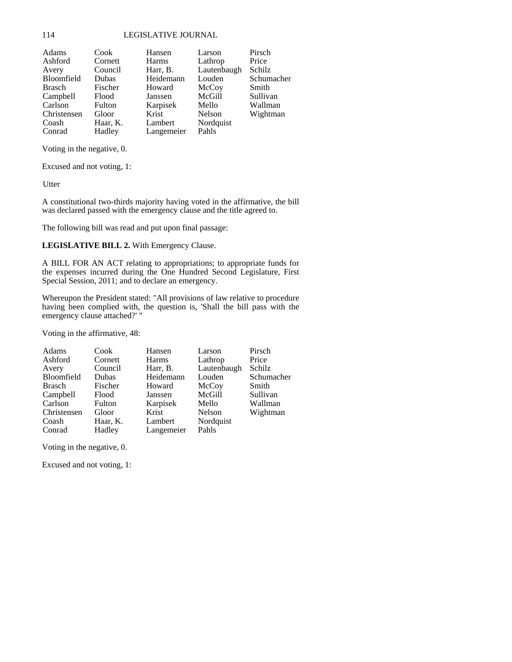# 114 LEGISLATIVE JOURNAL

| Adams         | Cook         | Hansen     | Larson      | Pirsch     |
|---------------|--------------|------------|-------------|------------|
| Ashford       | Cornett      | Harms      | Lathrop     | Price      |
| Avery         | Council      | Harr, B.   | Lautenbaugh | Schilz     |
| Bloomfield    | <b>Dubas</b> | Heidemann  | Louden      | Schumacher |
| <b>Brasch</b> | Fischer      | Howard     | McCoy       | Smith      |
| Campbell      | Flood        | Janssen    | McGill      | Sullivan   |
| Carlson       | Fulton       | Karpisek   | Mello       | Wallman    |
| Christensen   | Gloor        | Krist      | Nelson      | Wightman   |
| Coash         | Haar, K.     | Lambert    | Nordquist   |            |
| Conrad        | Hadley       | Langemeier | Pahls       |            |

Voting in the negative, 0.

Excused and not voting, 1:

**U**tter

A constitutional two-thirds majority having voted in the affirmative, the bill was declared passed with the emergency clause and the title agreed to.

The following bill was read and put upon final passage:

**LEGISLATIVE BILL 2.** With Emergency Clause.

A BILL FOR AN ACT relating to appropriations; to appropriate funds for the expenses incurred during the One Hundred Second Legislature, First Special Session, 2011; and to declare an emergency.

Whereupon the President stated: "All provisions of law relative to procedure having been complied with, the question is, 'Shall the bill pass with the emergency clause attached?' "

Voting in the affirmative, 48:

| Adams             | Cook         | Hansen       | Larson      | Pirsch     |
|-------------------|--------------|--------------|-------------|------------|
| Ashford           | Cornett      | <b>Harms</b> | Lathrop     | Price      |
| Avery             | Council      | Harr, B.     | Lautenbaugh | Schilz     |
| <b>Bloomfield</b> | <b>Dubas</b> | Heidemann    | Louden      | Schumacher |
| <b>Brasch</b>     | Fischer      | Howard       | McCoy       | Smith      |
| Campbell          | Flood        | Janssen      | McGill      | Sullivan   |
| Carlson           | Fulton       | Karpisek     | Mello       | Wallman    |
| Christensen       | Gloor        | Krist        | Nelson      | Wightman   |
| Coash             | Haar, K.     | Lambert      | Nordquist   |            |
| Conrad            | Hadley       | Langemeier   | Pahls       |            |

Voting in the negative, 0.

Excused and not voting, 1: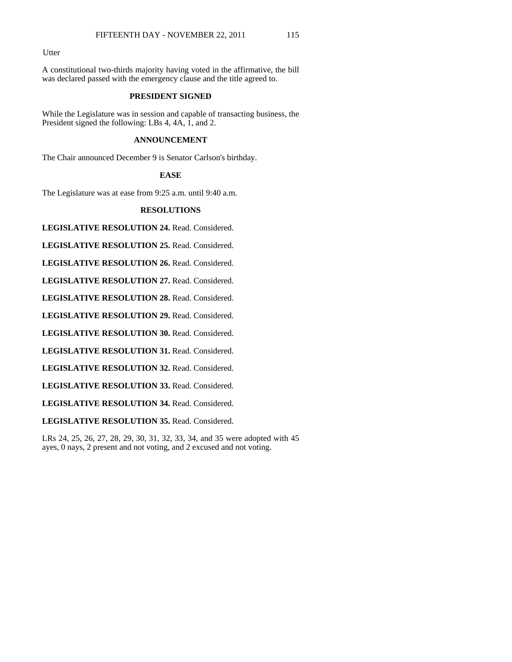**U**tter

A constitutional two-thirds majority having voted in the affirmative, the bill was declared passed with the emergency clause and the title agreed to.

# **PRESIDENT SIGNED**

While the Legislature was in session and capable of transacting business, the President signed the following: LBs 4, 4A, 1, and 2.

## **ANNOUNCEMENT**

The Chair announced December 9 is Senator Carlson's birthday.

#### **EASE**

The Legislature was at ease from 9:25 a.m. until 9:40 a.m.

#### **RESOLUTIONS**

**LEGISLATIVE RESOLUTION 24.** Read. Considered.

**LEGISLATIVE RESOLUTION 25.** Read. Considered.

**LEGISLATIVE RESOLUTION 26.** Read. Considered.

**LEGISLATIVE RESOLUTION 27.** Read. Considered.

**LEGISLATIVE RESOLUTION 28.** Read. Considered.

LEGISLATIVE RESOLUTION 29. Read. Considered.

**LEGISLATIVE RESOLUTION 30.** Read. Considered.

**LEGISLATIVE RESOLUTION 31.** Read. Considered.

**LEGISLATIVE RESOLUTION 32.** Read. Considered.

**LEGISLATIVE RESOLUTION 33.** Read. Considered.

**LEGISLATIVE RESOLUTION 34.** Read. Considered.

**LEGISLATIVE RESOLUTION 35.** Read. Considered.

LRs 24, 25, 26, 27, 28, 29, 30, 31, 32, 33, 34, and 35 were adopted with 45 ayes, 0 nays, 2 present and not voting, and 2 excused and not voting.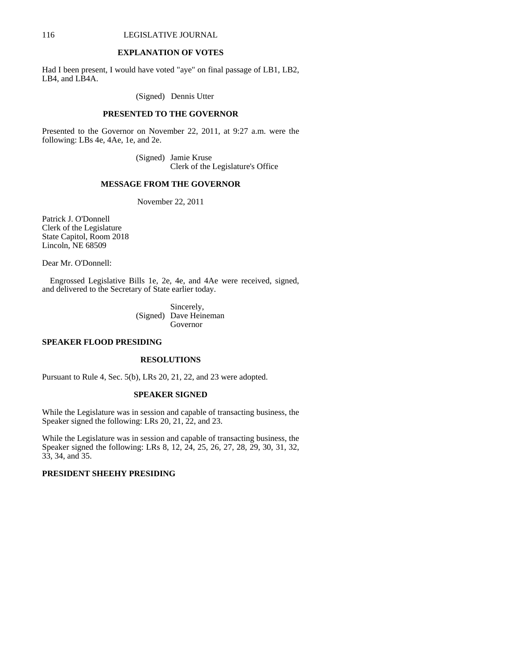#### 116 LEGISLATIVE JOURNAL

## **EXPLANATION OF VOTES**

Had I been present, I would have voted "aye" on final passage of LB1, LB2, LB4, and LB4A.

(Signed) Dennis Utter

## **PRESENTED TO THE GOVERNOR**

Presented to the Governor on November 22, 2011, at 9:27 a.m. were the following: LBs 4e, 4Ae, 1e, and 2e.

> (Signed) Jamie Kruse Clerk of the Legislature's Office

## **MESSAGE FROM THE GOVERNOR**

November 22, 2011

Patrick J. O'Donnell Clerk of the Legislature State Capitol, Room 2018 Lincoln, NE 68509

Dear Mr. O'Donnell:

 Engrossed Legislative Bills 1e, 2e, 4e, and 4Ae were received, signed, and delivered to the Secretary of State earlier today.

> Sincerely, (Signed) Dave Heineman Governor

## **SPEAKER FLOOD PRESIDING**

#### **RESOLUTIONS**

Pursuant to Rule 4, Sec. 5(b), LRs 20, 21, 22, and 23 were adopted.

#### **SPEAKER SIGNED**

While the Legislature was in session and capable of transacting business, the Speaker signed the following: LRs 20, 21, 22, and 23.

While the Legislature was in session and capable of transacting business, the Speaker signed the following: LRs 8, 12, 24, 25, 26, 27, 28, 29, 30, 31, 32, 33, 34, and 35.

## **PRESIDENT SHEEHY PRESIDING**